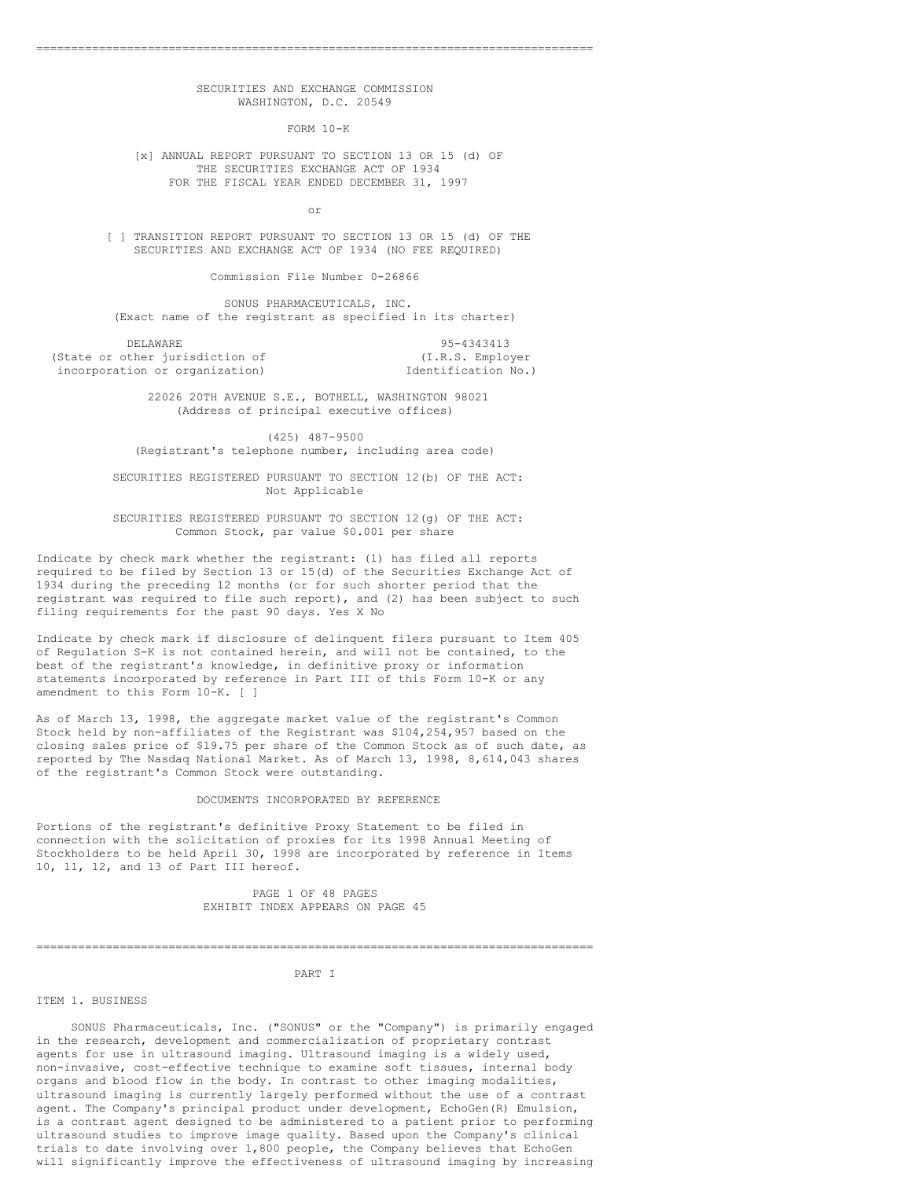## SECURITIES AND EXCHANGE COMMISSION WASHINGTON, D.C. 20549

================================================================================

FORM 10-K

[x] ANNUAL REPORT PURSUANT TO SECTION 13 OR 15 (d) OF THE SECURITIES EXCHANGE ACT OF 1934 FOR THE FISCAL YEAR ENDED DECEMBER 31, 1997

or

[ ] TRANSITION REPORT PURSUANT TO SECTION 13 OR 15 (d) OF THE SECURITIES AND EXCHANGE ACT OF 1934 (NO FEE REQUIRED)

Commission File Number 0-26866

SONUS PHARMACEUTICALS, INC. (Exact name of the registrant as specified in its charter)

DELAWARE 95-4343413 (State or other jurisdiction of  $(1.R.S.$  Employer incorporation or organization)  $\qquad \qquad$  Identification No.) incorporation or organization)

> 22026 20TH AVENUE S.E., BOTHELL, WASHINGTON 98021 (Address of principal executive offices)

(425) 487-9500 (Registrant's telephone number, including area code)

SECURITIES REGISTERED PURSUANT TO SECTION 12(b) OF THE ACT: Not Applicable

SECURITIES REGISTERED PURSUANT TO SECTION 12(g) OF THE ACT: Common Stock, par value \$0.001 per share

Indicate by check mark whether the registrant: (1) has filed all reports required to be filed by Section 13 or 15(d) of the Securities Exchange Act of 1934 during the preceding 12 months (or for such shorter period that the registrant was required to file such report), and (2) has been subject to such filing requirements for the past 90 days. Yes X No

Indicate by check mark if disclosure of delinquent filers pursuant to Item 405 of Regulation S-K is not contained herein, and will not be contained, to the best of the registrant's knowledge, in definitive proxy or information statements incorporated by reference in Part III of this Form 10-K or any amendment to this Form 10-K. [ ]

As of March 13, 1998, the aggregate market value of the registrant's Common Stock held by non-affiliates of the Registrant was \$104,254,957 based on the closing sales price of \$19.75 per share of the Common Stock as of such date, as reported by The Nasdaq National Market. As of March 13, 1998, 8,614,043 shares of the registrant's Common Stock were outstanding.

#### DOCUMENTS INCORPORATED BY REFERENCE

Portions of the registrant's definitive Proxy Statement to be filed in connection with the solicitation of proxies for its 1998 Annual Meeting of Stockholders to be held April 30, 1998 are incorporated by reference in Items 10, 11, 12, and 13 of Part III hereof.

> PAGE 1 OF 48 PAGES EXHIBIT INDEX APPEARS ON PAGE 45

#### PART I

================================================================================

#### ITEM 1. BUSINESS

SONUS Pharmaceuticals, Inc. ("SONUS" or the "Company") is primarily engaged in the research, development and commercialization of proprietary contrast agents for use in ultrasound imaging. Ultrasound imaging is a widely used, non-invasive, cost-effective technique to examine soft tissues, internal body organs and blood flow in the body. In contrast to other imaging modalities, ultrasound imaging is currently largely performed without the use of a contrast agent. The Company's principal product under development, EchoGen(R) Emulsion, is a contrast agent designed to be administered to a patient prior to performing ultrasound studies to improve image quality. Based upon the Company's clinical trials to date involving over 1,800 people, the Company believes that EchoGen will significantly improve the effectiveness of ultrasound imaging by increasing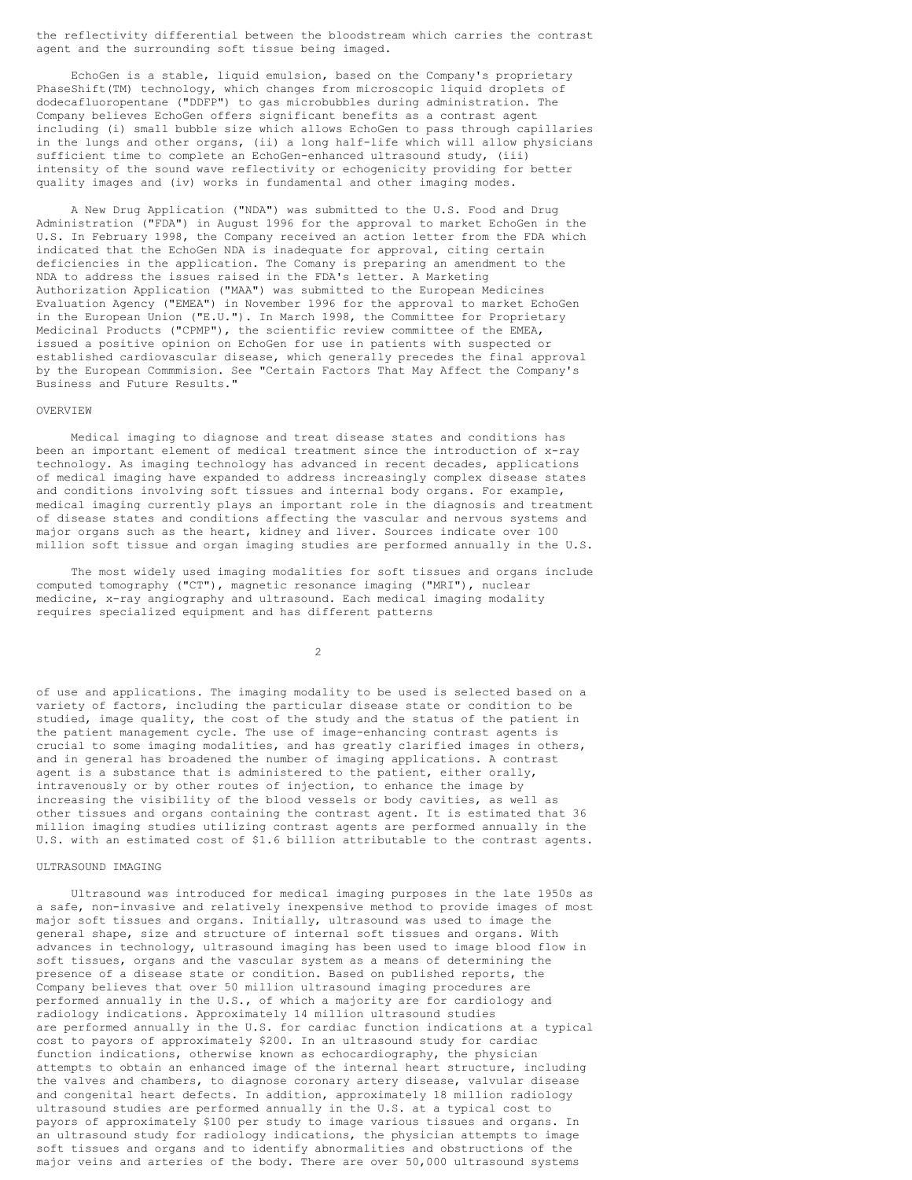the reflectivity differential between the bloodstream which carries the contrast agent and the surrounding soft tissue being imaged.

EchoGen is a stable, liquid emulsion, based on the Company's proprietary PhaseShift(TM) technology, which changes from microscopic liquid droplets of dodecafluoropentane ("DDFP") to gas microbubbles during administration. The Company believes EchoGen offers significant benefits as a contrast agent including (i) small bubble size which allows EchoGen to pass through capillaries in the lungs and other organs, (ii) a long half-life which will allow physicians sufficient time to complete an EchoGen-enhanced ultrasound study, (iii) intensity of the sound wave reflectivity or echogenicity providing for better quality images and (iv) works in fundamental and other imaging modes.

A New Drug Application ("NDA") was submitted to the U.S. Food and Drug Administration ("FDA") in August 1996 for the approval to market EchoGen in the U.S. In February 1998, the Company received an action letter from the FDA which indicated that the EchoGen NDA is inadequate for approval, citing certain deficiencies in the application. The Comany is preparing an amendment to the NDA to address the issues raised in the FDA's letter. A Marketing Authorization Application ("MAA") was submitted to the European Medicines Evaluation Agency ("EMEA") in November 1996 for the approval to market EchoGen in the European Union ("E.U."). In March 1998, the Committee for Proprietary Medicinal Products ("CPMP"), the scientific review committee of the EMEA, issued a positive opinion on EchoGen for use in patients with suspected or established cardiovascular disease, which generally precedes the final approval by the European Commmision. See "Certain Factors That May Affect the Company's Business and Future Results."

#### **OVERVIEW**

Medical imaging to diagnose and treat disease states and conditions has been an important element of medical treatment since the introduction of x-ray technology. As imaging technology has advanced in recent decades, applications of medical imaging have expanded to address increasingly complex disease states and conditions involving soft tissues and internal body organs. For example, medical imaging currently plays an important role in the diagnosis and treatment of disease states and conditions affecting the vascular and nervous systems and major organs such as the heart, kidney and liver. Sources indicate over 100 million soft tissue and organ imaging studies are performed annually in the U.S.

The most widely used imaging modalities for soft tissues and organs include computed tomography ("CT"), magnetic resonance imaging ("MRI"), nuclear medicine, x-ray angiography and ultrasound. Each medical imaging modality requires specialized equipment and has different patterns

 $\mathfrak{D}$ 

of use and applications. The imaging modality to be used is selected based on a variety of factors, including the particular disease state or condition to be studied, image quality, the cost of the study and the status of the patient in the patient management cycle. The use of image-enhancing contrast agents is crucial to some imaging modalities, and has greatly clarified images in others, and in general has broadened the number of imaging applications. A contrast agent is a substance that is administered to the patient, either orally, intravenously or by other routes of injection, to enhance the image by increasing the visibility of the blood vessels or body cavities, as well as other tissues and organs containing the contrast agent. It is estimated that 36 million imaging studies utilizing contrast agents are performed annually in the U.S. with an estimated cost of \$1.6 billion attributable to the contrast agents.

## ULTRASOUND IMAGING

Ultrasound was introduced for medical imaging purposes in the late 1950s as a safe, non-invasive and relatively inexpensive method to provide images of most major soft tissues and organs. Initially, ultrasound was used to image the general shape, size and structure of internal soft tissues and organs. With advances in technology, ultrasound imaging has been used to image blood flow in soft tissues, organs and the vascular system as a means of determining the presence of a disease state or condition. Based on published reports, the Company believes that over 50 million ultrasound imaging procedures are performed annually in the U.S., of which a majority are for cardiology and radiology indications. Approximately 14 million ultrasound studies are performed annually in the U.S. for cardiac function indications at a typical cost to payors of approximately \$200. In an ultrasound study for cardiac function indications, otherwise known as echocardiography, the physician attempts to obtain an enhanced image of the internal heart structure, including the valves and chambers, to diagnose coronary artery disease, valvular disease and congenital heart defects. In addition, approximately 18 million radiology ultrasound studies are performed annually in the U.S. at a typical cost to payors of approximately \$100 per study to image various tissues and organs. In an ultrasound study for radiology indications, the physician attempts to image soft tissues and organs and to identify abnormalities and obstructions of the major veins and arteries of the body. There are over 50,000 ultrasound systems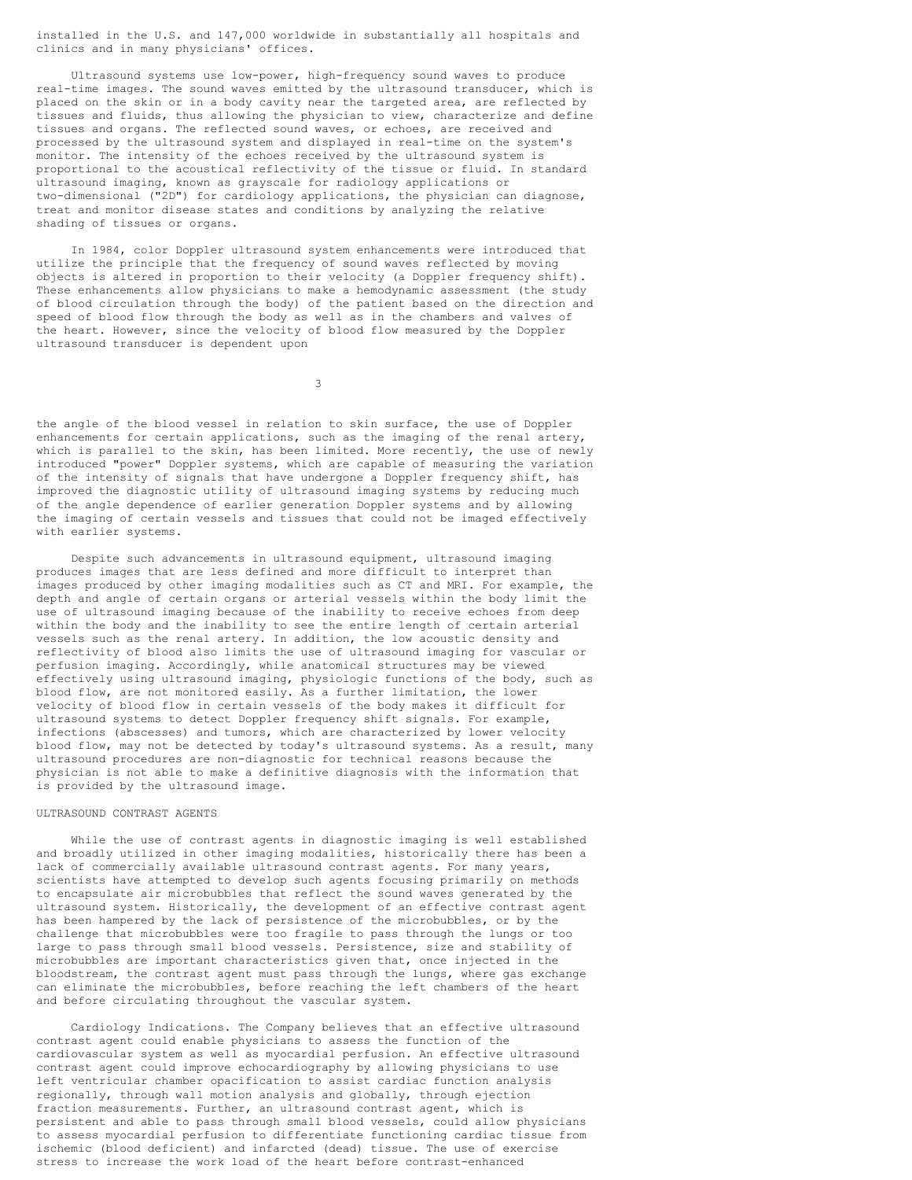installed in the U.S. and 147,000 worldwide in substantially all hospitals and clinics and in many physicians' offices.

Ultrasound systems use low-power, high-frequency sound waves to produce real-time images. The sound waves emitted by the ultrasound transducer, which is placed on the skin or in a body cavity near the targeted area, are reflected by tissues and fluids, thus allowing the physician to view, characterize and define tissues and organs. The reflected sound waves, or echoes, are received and processed by the ultrasound system and displayed in real-time on the system's monitor. The intensity of the echoes received by the ultrasound system is proportional to the acoustical reflectivity of the tissue or fluid. In standard ultrasound imaging, known as grayscale for radiology applications or two-dimensional ("2D") for cardiology applications, the physician can diagnose, treat and monitor disease states and conditions by analyzing the relative shading of tissues or organs.

In 1984, color Doppler ultrasound system enhancements were introduced that utilize the principle that the frequency of sound waves reflected by moving objects is altered in proportion to their velocity (a Doppler frequency shift). These enhancements allow physicians to make a hemodynamic assessment (the study of blood circulation through the body) of the patient based on the direction and speed of blood flow through the body as well as in the chambers and valves of the heart. However, since the velocity of blood flow measured by the Doppler ultrasound transducer is dependent upon

3

the angle of the blood vessel in relation to skin surface, the use of Doppler enhancements for certain applications, such as the imaging of the renal artery, which is parallel to the skin, has been limited. More recently, the use of newly introduced "power" Doppler systems, which are capable of measuring the variation of the intensity of signals that have undergone a Doppler frequency shift, has improved the diagnostic utility of ultrasound imaging systems by reducing much of the angle dependence of earlier generation Doppler systems and by allowing the imaging of certain vessels and tissues that could not be imaged effectively with earlier systems.

Despite such advancements in ultrasound equipment, ultrasound imaging produces images that are less defined and more difficult to interpret than images produced by other imaging modalities such as CT and MRI. For example, the depth and angle of certain organs or arterial vessels within the body limit the use of ultrasound imaging because of the inability to receive echoes from deep within the body and the inability to see the entire length of certain arterial vessels such as the renal artery. In addition, the low acoustic density and reflectivity of blood also limits the use of ultrasound imaging for vascular or perfusion imaging. Accordingly, while anatomical structures may be viewed effectively using ultrasound imaging, physiologic functions of the body, such as blood flow, are not monitored easily. As a further limitation, the lower velocity of blood flow in certain vessels of the body makes it difficult for ultrasound systems to detect Doppler frequency shift signals. For example, infections (abscesses) and tumors, which are characterized by lower velocity blood flow, may not be detected by today's ultrasound systems. As a result, many ultrasound procedures are non-diagnostic for technical reasons because the physician is not able to make a definitive diagnosis with the information that is provided by the ultrasound image.

#### ULTRASOUND CONTRAST AGENTS

While the use of contrast agents in diagnostic imaging is well established and broadly utilized in other imaging modalities, historically there has been a lack of commercially available ultrasound contrast agents. For many years, scientists have attempted to develop such agents focusing primarily on methods to encapsulate air microbubbles that reflect the sound waves generated by the ultrasound system. Historically, the development of an effective contrast agent has been hampered by the lack of persistence of the microbubbles, or by the challenge that microbubbles were too fragile to pass through the lungs or too large to pass through small blood vessels. Persistence, size and stability of microbubbles are important characteristics given that, once injected in the bloodstream, the contrast agent must pass through the lungs, where gas exchange can eliminate the microbubbles, before reaching the left chambers of the heart and before circulating throughout the vascular system.

Cardiology Indications. The Company believes that an effective ultrasound contrast agent could enable physicians to assess the function of the cardiovascular system as well as myocardial perfusion. An effective ultrasound contrast agent could improve echocardiography by allowing physicians to use left ventricular chamber opacification to assist cardiac function analysis regionally, through wall motion analysis and globally, through ejection fraction measurements. Further, an ultrasound contrast agent, which is persistent and able to pass through small blood vessels, could allow physicians to assess myocardial perfusion to differentiate functioning cardiac tissue from ischemic (blood deficient) and infarcted (dead) tissue. The use of exercise stress to increase the work load of the heart before contrast-enhanced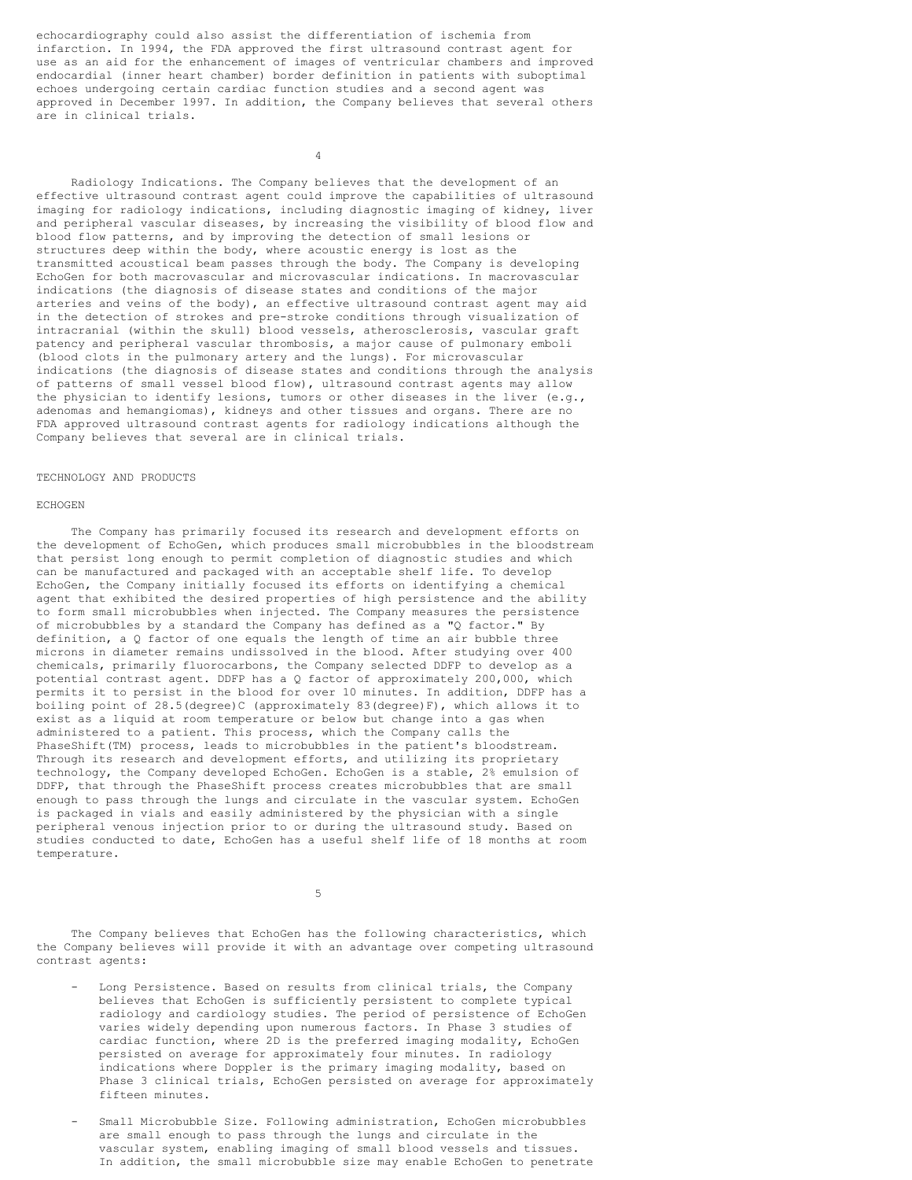echocardiography could also assist the differentiation of ischemia from infarction. In 1994, the FDA approved the first ultrasound contrast agent for use as an aid for the enhancement of images of ventricular chambers and improved endocardial (inner heart chamber) border definition in patients with suboptimal echoes undergoing certain cardiac function studies and a second agent was approved in December 1997. In addition, the Company believes that several others are in clinical trials.

4

Radiology Indications. The Company believes that the development of an effective ultrasound contrast agent could improve the capabilities of ultrasound imaging for radiology indications, including diagnostic imaging of kidney, liver and peripheral vascular diseases, by increasing the visibility of blood flow and blood flow patterns, and by improving the detection of small lesions or structures deep within the body, where acoustic energy is lost as the transmitted acoustical beam passes through the body. The Company is developing EchoGen for both macrovascular and microvascular indications. In macrovascular indications (the diagnosis of disease states and conditions of the major arteries and veins of the body), an effective ultrasound contrast agent may aid in the detection of strokes and pre-stroke conditions through visualization of intracranial (within the skull) blood vessels, atherosclerosis, vascular graft patency and peripheral vascular thrombosis, a major cause of pulmonary emboli (blood clots in the pulmonary artery and the lungs). For microvascular indications (the diagnosis of disease states and conditions through the analysis of patterns of small vessel blood flow), ultrasound contrast agents may allow the physician to identify lesions, tumors or other diseases in the liver (e.g., adenomas and hemangiomas), kidneys and other tissues and organs. There are no FDA approved ultrasound contrast agents for radiology indications although the Company believes that several are in clinical trials.

#### TECHNOLOGY AND PRODUCTS

#### **ECHOGEN**

The Company has primarily focused its research and development efforts on the development of EchoGen, which produces small microbubbles in the bloodstream that persist long enough to permit completion of diagnostic studies and which can be manufactured and packaged with an acceptable shelf life. To develop EchoGen, the Company initially focused its efforts on identifying a chemical agent that exhibited the desired properties of high persistence and the ability to form small microbubbles when injected. The Company measures the persistence of microbubbles by a standard the Company has defined as a "Q factor." By definition, a Q factor of one equals the length of time an air bubble three microns in diameter remains undissolved in the blood. After studying over 400 chemicals, primarily fluorocarbons, the Company selected DDFP to develop as a potential contrast agent. DDFP has a Q factor of approximately 200,000, which permits it to persist in the blood for over 10 minutes. In addition, DDFP has a boiling point of 28.5(degree)C (approximately 83(degree)F), which allows it to exist as a liquid at room temperature or below but change into a gas when administered to a patient. This process, which the Company calls the PhaseShift(TM) process, leads to microbubbles in the patient's bloodstream. Through its research and development efforts, and utilizing its proprietary technology, the Company developed EchoGen. EchoGen is a stable, 2% emulsion of DDFP, that through the PhaseShift process creates microbubbles that are small enough to pass through the lungs and circulate in the vascular system. EchoGen is packaged in vials and easily administered by the physician with a single peripheral venous injection prior to or during the ultrasound study. Based on studies conducted to date, EchoGen has a useful shelf life of 18 months at room temperature.

5

The Company believes that EchoGen has the following characteristics, which the Company believes will provide it with an advantage over competing ultrasound contrast agents:

- Long Persistence. Based on results from clinical trials, the Company believes that EchoGen is sufficiently persistent to complete typical radiology and cardiology studies. The period of persistence of EchoGen varies widely depending upon numerous factors. In Phase 3 studies of cardiac function, where 2D is the preferred imaging modality, EchoGen persisted on average for approximately four minutes. In radiology indications where Doppler is the primary imaging modality, based on Phase 3 clinical trials, EchoGen persisted on average for approximately fifteen minutes.
- Small Microbubble Size. Following administration, EchoGen microbubbles are small enough to pass through the lungs and circulate in the vascular system, enabling imaging of small blood vessels and tissues. In addition, the small microbubble size may enable EchoGen to penetrate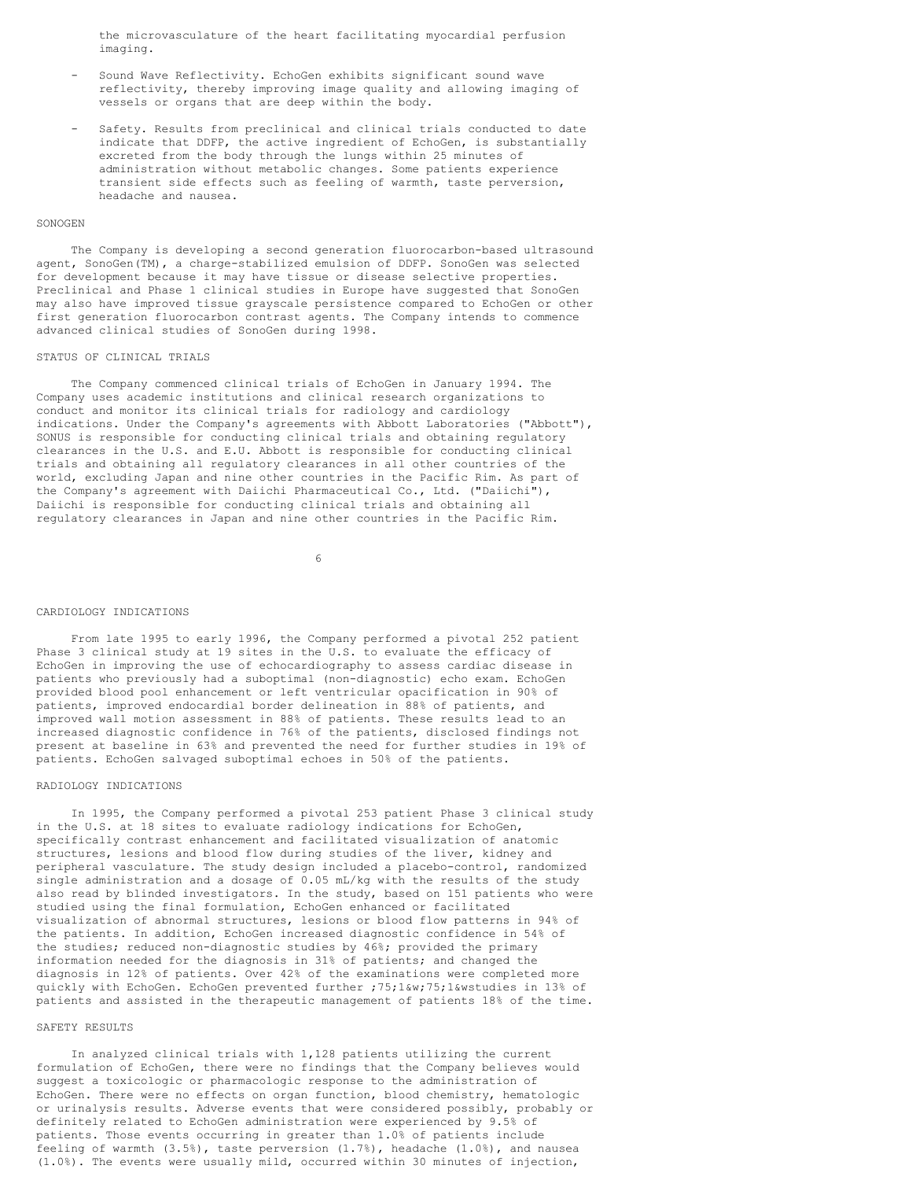the microvasculature of the heart facilitating myocardial perfusion imaging.

- Sound Wave Reflectivity. EchoGen exhibits significant sound wave reflectivity, thereby improving image quality and allowing imaging of vessels or organs that are deep within the body.
- Safety. Results from preclinical and clinical trials conducted to date indicate that DDFP, the active ingredient of EchoGen, is substantially excreted from the body through the lungs within 25 minutes of administration without metabolic changes. Some patients experience transient side effects such as feeling of warmth, taste perversion, headache and nausea.

#### SONOGEN

The Company is developing a second generation fluorocarbon-based ultrasound agent, SonoGen(TM), a charge-stabilized emulsion of DDFP. SonoGen was selected for development because it may have tissue or disease selective properties. Preclinical and Phase 1 clinical studies in Europe have suggested that SonoGen may also have improved tissue grayscale persistence compared to EchoGen or other first generation fluorocarbon contrast agents. The Company intends to commence advanced clinical studies of SonoGen during 1998.

#### STATUS OF CLINICAL TRIALS

The Company commenced clinical trials of EchoGen in January 1994. The Company uses academic institutions and clinical research organizations to conduct and monitor its clinical trials for radiology and cardiology indications. Under the Company's agreements with Abbott Laboratories ("Abbott"), SONUS is responsible for conducting clinical trials and obtaining regulatory clearances in the U.S. and E.U. Abbott is responsible for conducting clinical trials and obtaining all regulatory clearances in all other countries of the world, excluding Japan and nine other countries in the Pacific Rim. As part of the Company's agreement with Daiichi Pharmaceutical Co., Ltd. ("Daiichi"), Daiichi is responsible for conducting clinical trials and obtaining all regulatory clearances in Japan and nine other countries in the Pacific Rim.

6

#### CARDIOLOGY INDICATIONS

From late 1995 to early 1996, the Company performed a pivotal 252 patient Phase 3 clinical study at 19 sites in the U.S. to evaluate the efficacy of EchoGen in improving the use of echocardiography to assess cardiac disease in patients who previously had a suboptimal (non-diagnostic) echo exam. EchoGen provided blood pool enhancement or left ventricular opacification in 90% of patients, improved endocardial border delineation in 88% of patients, and improved wall motion assessment in 88% of patients. These results lead to an increased diagnostic confidence in 76% of the patients, disclosed findings not present at baseline in 63% and prevented the need for further studies in 19% of patients. EchoGen salvaged suboptimal echoes in 50% of the patients.

### RADIOLOGY INDICATIONS

In 1995, the Company performed a pivotal 253 patient Phase 3 clinical study in the U.S. at 18 sites to evaluate radiology indications for EchoGen, specifically contrast enhancement and facilitated visualization of anatomic structures, lesions and blood flow during studies of the liver, kidney and peripheral vasculature. The study design included a placebo-control, randomized single administration and a dosage of 0.05 mL/kg with the results of the study also read by blinded investigators. In the study, based on 151 patients who were studied using the final formulation, EchoGen enhanced or facilitated visualization of abnormal structures, lesions or blood flow patterns in 94% of the patients. In addition, EchoGen increased diagnostic confidence in 54% of the studies; reduced non-diagnostic studies by 46%; provided the primary information needed for the diagnosis in 31% of patients; and changed the diagnosis in 12% of patients. Over 42% of the examinations were completed more quickly with EchoGen. EchoGen prevented further ;75;1&w;75;1&wstudies in 13% of patients and assisted in the therapeutic management of patients 18% of the time.

## SAFETY RESULTS

In analyzed clinical trials with 1,128 patients utilizing the current formulation of EchoGen, there were no findings that the Company believes would suggest a toxicologic or pharmacologic response to the administration of EchoGen. There were no effects on organ function, blood chemistry, hematologic or urinalysis results. Adverse events that were considered possibly, probably or definitely related to EchoGen administration were experienced by 9.5% of patients. Those events occurring in greater than 1.0% of patients include feeling of warmth (3.5%), taste perversion (1.7%), headache (1.0%), and nausea (1.0%). The events were usually mild, occurred within 30 minutes of injection,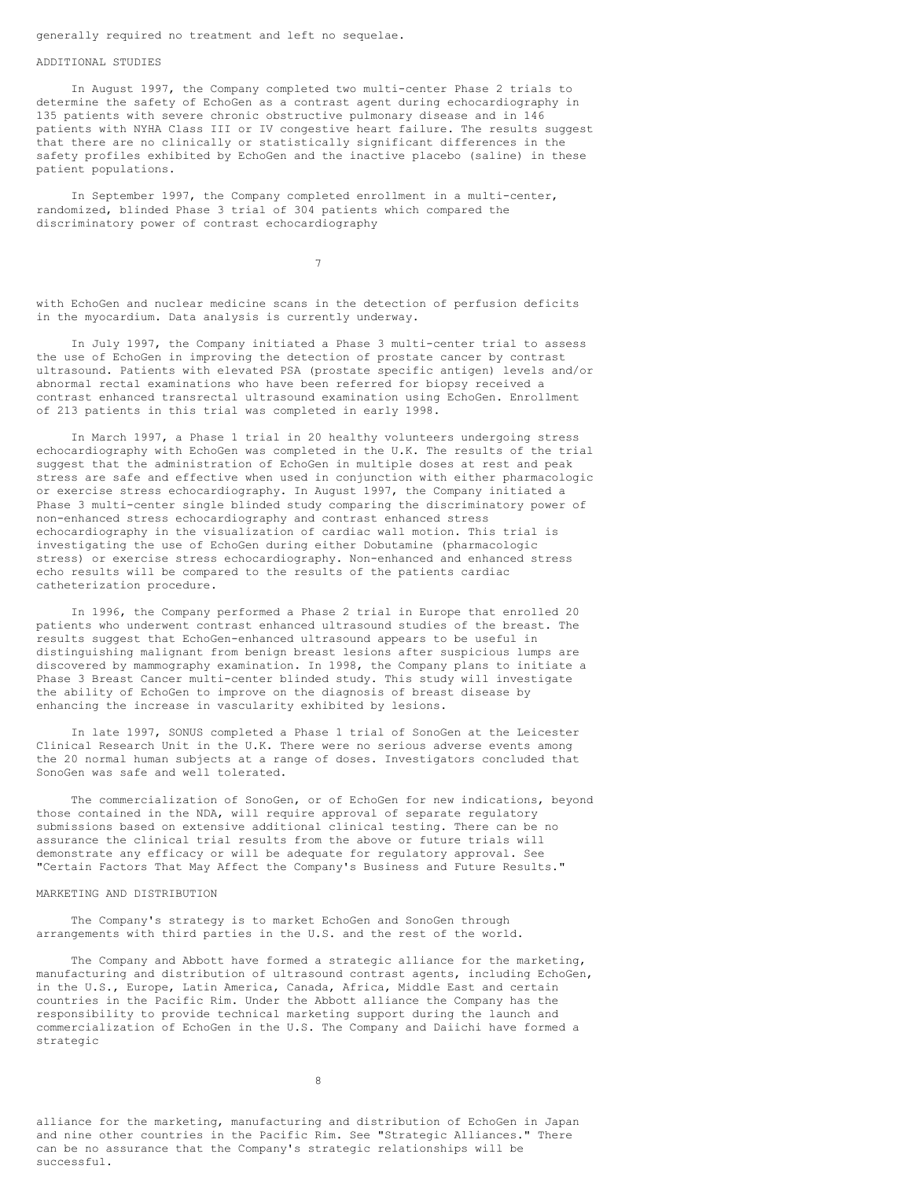generally required no treatment and left no sequelae.

#### ADDITIONAL STUDIES

In August 1997, the Company completed two multi-center Phase 2 trials to determine the safety of EchoGen as a contrast agent during echocardiography in 135 patients with severe chronic obstructive pulmonary disease and in 146 patients with NYHA Class III or IV congestive heart failure. The results suggest that there are no clinically or statistically significant differences in the safety profiles exhibited by EchoGen and the inactive placebo (saline) in these patient populations.

In September 1997, the Company completed enrollment in a multi-center, randomized, blinded Phase 3 trial of 304 patients which compared the discriminatory power of contrast echocardiography

7

with EchoGen and nuclear medicine scans in the detection of perfusion deficits in the myocardium. Data analysis is currently underway.

In July 1997, the Company initiated a Phase 3 multi-center trial to assess the use of EchoGen in improving the detection of prostate cancer by contrast ultrasound. Patients with elevated PSA (prostate specific antigen) levels and/or abnormal rectal examinations who have been referred for biopsy received a contrast enhanced transrectal ultrasound examination using EchoGen. Enrollment of 213 patients in this trial was completed in early 1998.

In March 1997, a Phase 1 trial in 20 healthy volunteers undergoing stress echocardiography with EchoGen was completed in the U.K. The results of the trial suggest that the administration of EchoGen in multiple doses at rest and peak stress are safe and effective when used in conjunction with either pharmacologic or exercise stress echocardiography. In August 1997, the Company initiated a Phase 3 multi-center single blinded study comparing the discriminatory power of non-enhanced stress echocardiography and contrast enhanced stress echocardiography in the visualization of cardiac wall motion. This trial is investigating the use of EchoGen during either Dobutamine (pharmacologic stress) or exercise stress echocardiography. Non-enhanced and enhanced stress echo results will be compared to the results of the patients cardiac catheterization procedure.

In 1996, the Company performed a Phase 2 trial in Europe that enrolled 20 patients who underwent contrast enhanced ultrasound studies of the breast. The results suggest that EchoGen-enhanced ultrasound appears to be useful in distinguishing malignant from benign breast lesions after suspicious lumps are discovered by mammography examination. In 1998, the Company plans to initiate a Phase 3 Breast Cancer multi-center blinded study. This study will investigate the ability of EchoGen to improve on the diagnosis of breast disease by enhancing the increase in vascularity exhibited by lesions.

In late 1997, SONUS completed a Phase 1 trial of SonoGen at the Leicester Clinical Research Unit in the U.K. There were no serious adverse events among the 20 normal human subjects at a range of doses. Investigators concluded that SonoGen was safe and well tolerated.

The commercialization of SonoGen, or of EchoGen for new indications, beyond those contained in the NDA, will require approval of separate regulatory submissions based on extensive additional clinical testing. There can be no assurance the clinical trial results from the above or future trials will demonstrate any efficacy or will be adequate for regulatory approval. See "Certain Factors That May Affect the Company's Business and Future Results."

## MARKETING AND DISTRIBUTION

The Company's strategy is to market EchoGen and SonoGen through arrangements with third parties in the U.S. and the rest of the world.

The Company and Abbott have formed a strategic alliance for the marketing, manufacturing and distribution of ultrasound contrast agents, including EchoGen, in the U.S., Europe, Latin America, Canada, Africa, Middle East and certain countries in the Pacific Rim. Under the Abbott alliance the Company has the responsibility to provide technical marketing support during the launch and commercialization of EchoGen in the U.S. The Company and Daiichi have formed a strategic

8

alliance for the marketing, manufacturing and distribution of EchoGen in Japan and nine other countries in the Pacific Rim. See "Strategic Alliances." There can be no assurance that the Company's strategic relationships will be successful.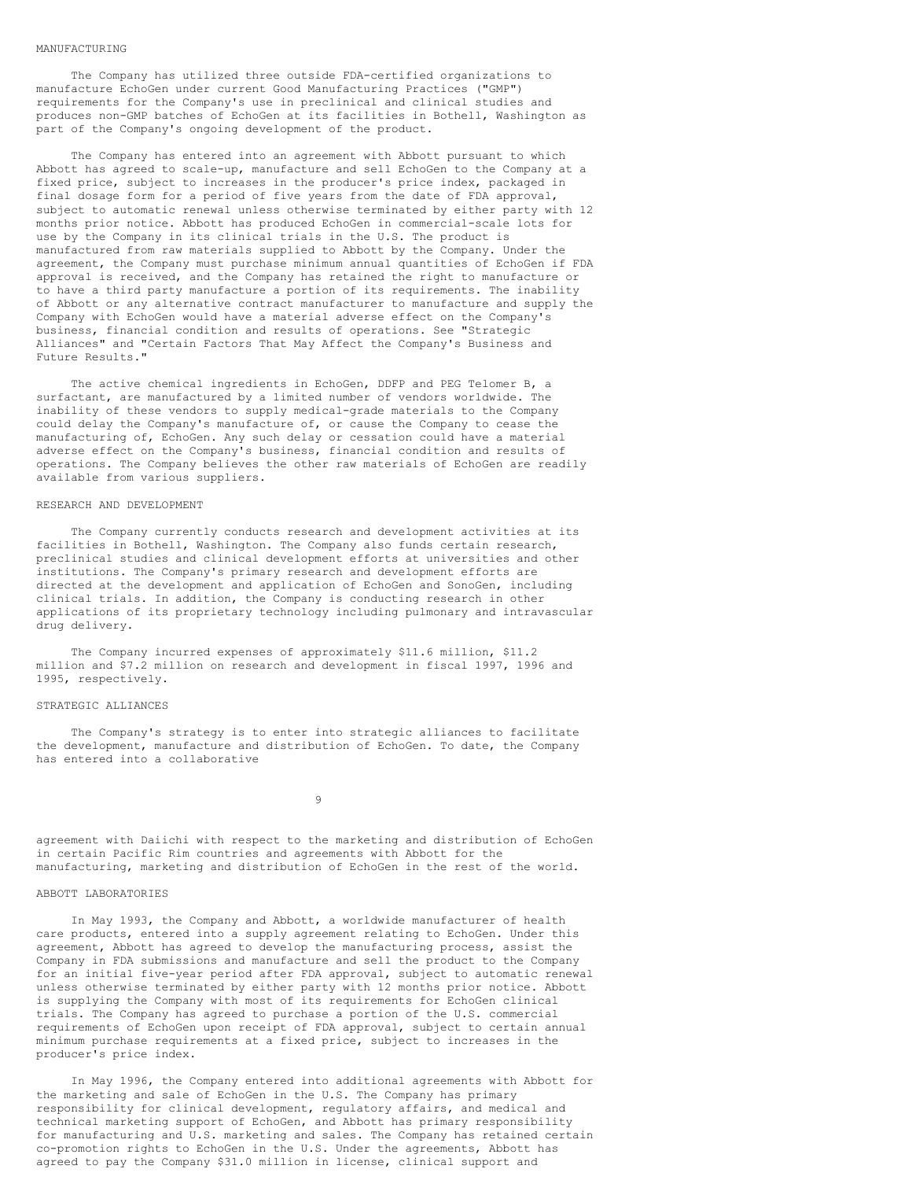#### MANUFACTURING

The Company has utilized three outside FDA-certified organizations to manufacture EchoGen under current Good Manufacturing Practices ("GMP") requirements for the Company's use in preclinical and clinical studies and produces non-GMP batches of EchoGen at its facilities in Bothell, Washington as part of the Company's ongoing development of the product.

The Company has entered into an agreement with Abbott pursuant to which Abbott has agreed to scale-up, manufacture and sell EchoGen to the Company at a fixed price, subject to increases in the producer's price index, packaged in final dosage form for a period of five years from the date of FDA approval, subject to automatic renewal unless otherwise terminated by either party with 12 months prior notice. Abbott has produced EchoGen in commercial-scale lots for use by the Company in its clinical trials in the U.S. The product is manufactured from raw materials supplied to Abbott by the Company. Under the agreement, the Company must purchase minimum annual quantities of EchoGen if FDA approval is received, and the Company has retained the right to manufacture or to have a third party manufacture a portion of its requirements. The inability of Abbott or any alternative contract manufacturer to manufacture and supply the Company with EchoGen would have a material adverse effect on the Company's business, financial condition and results of operations. See "Strategic Alliances" and "Certain Factors That May Affect the Company's Business and Future Results."

The active chemical ingredients in EchoGen, DDFP and PEG Telomer B, a surfactant, are manufactured by a limited number of vendors worldwide. The inability of these vendors to supply medical-grade materials to the Company could delay the Company's manufacture of, or cause the Company to cease the manufacturing of, EchoGen. Any such delay or cessation could have a material adverse effect on the Company's business, financial condition and results of operations. The Company believes the other raw materials of EchoGen are readily available from various suppliers.

#### RESEARCH AND DEVELOPMENT

The Company currently conducts research and development activities at its facilities in Bothell, Washington. The Company also funds certain research, preclinical studies and clinical development efforts at universities and other institutions. The Company's primary research and development efforts are directed at the development and application of EchoGen and SonoGen, including clinical trials. In addition, the Company is conducting research in other applications of its proprietary technology including pulmonary and intravascular drug delivery.

The Company incurred expenses of approximately \$11.6 million, \$11.2 million and \$7.2 million on research and development in fiscal 1997, 1996 and 1995, respectively.

## STRATEGIC ALLIANCES

The Company's strategy is to enter into strategic alliances to facilitate the development, manufacture and distribution of EchoGen. To date, the Company has entered into a collaborative

9

agreement with Daiichi with respect to the marketing and distribution of EchoGen in certain Pacific Rim countries and agreements with Abbott for the manufacturing, marketing and distribution of EchoGen in the rest of the world.

#### ABBOTT LABORATORIES

In May 1993, the Company and Abbott, a worldwide manufacturer of health care products, entered into a supply agreement relating to EchoGen. Under this agreement, Abbott has agreed to develop the manufacturing process, assist the Company in FDA submissions and manufacture and sell the product to the Company for an initial five-year period after FDA approval, subject to automatic renewal unless otherwise terminated by either party with 12 months prior notice. Abbott is supplying the Company with most of its requirements for EchoGen clinical trials. The Company has agreed to purchase a portion of the U.S. commercial requirements of EchoGen upon receipt of FDA approval, subject to certain annual minimum purchase requirements at a fixed price, subject to increases in the producer's price index.

In May 1996, the Company entered into additional agreements with Abbott for the marketing and sale of EchoGen in the U.S. The Company has primary responsibility for clinical development, regulatory affairs, and medical and technical marketing support of EchoGen, and Abbott has primary responsibility for manufacturing and U.S. marketing and sales. The Company has retained certain co-promotion rights to EchoGen in the U.S. Under the agreements, Abbott has agreed to pay the Company \$31.0 million in license, clinical support and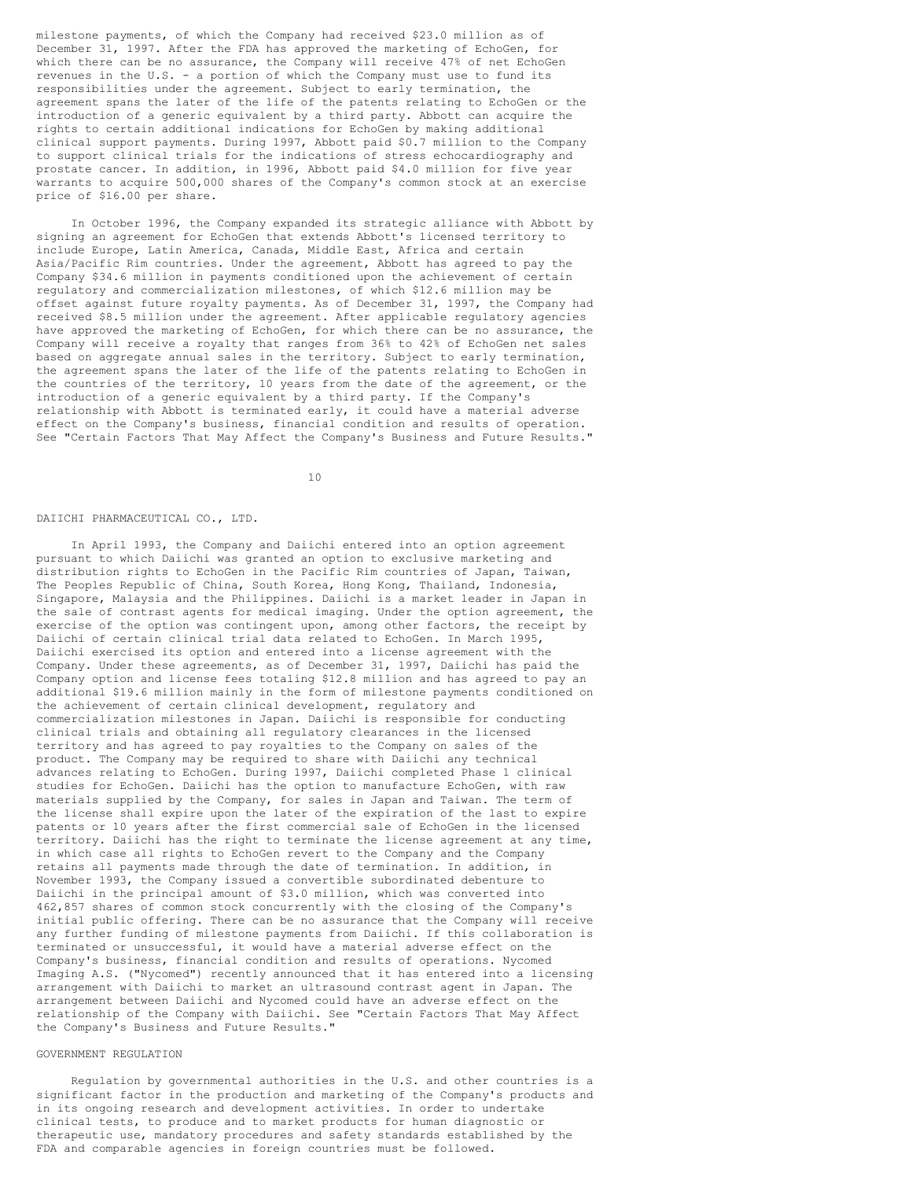milestone payments, of which the Company had received \$23.0 million as of December 31, 1997. After the FDA has approved the marketing of EchoGen, for which there can be no assurance, the Company will receive 47% of net EchoGen revenues in the U.S. - a portion of which the Company must use to fund its responsibilities under the agreement. Subject to early termination, the agreement spans the later of the life of the patents relating to EchoGen or the introduction of a generic equivalent by a third party. Abbott can acquire the rights to certain additional indications for EchoGen by making additional clinical support payments. During 1997, Abbott paid \$0.7 million to the Company to support clinical trials for the indications of stress echocardiography and prostate cancer. In addition, in 1996, Abbott paid \$4.0 million for five year warrants to acquire 500,000 shares of the Company's common stock at an exercise price of \$16.00 per share.

In October 1996, the Company expanded its strategic alliance with Abbott by signing an agreement for EchoGen that extends Abbott's licensed territory to include Europe, Latin America, Canada, Middle East, Africa and certain Asia/Pacific Rim countries. Under the agreement, Abbott has agreed to pay the Company \$34.6 million in payments conditioned upon the achievement of certain regulatory and commercialization milestones, of which \$12.6 million may be offset against future royalty payments. As of December 31, 1997, the Company had received \$8.5 million under the agreement. After applicable regulatory agencies have approved the marketing of EchoGen, for which there can be no assurance, the Company will receive a royalty that ranges from 36% to 42% of EchoGen net sales based on aggregate annual sales in the territory. Subject to early termination, the agreement spans the later of the life of the patents relating to EchoGen in the countries of the territory, 10 years from the date of the agreement, or the introduction of a generic equivalent by a third party. If the Company's relationship with Abbott is terminated early, it could have a material adverse effect on the Company's business, financial condition and results of operation. See "Certain Factors That May Affect the Company's Business and Future Results."

10

#### DAIICHI PHARMACEUTICAL CO., LTD.

In April 1993, the Company and Daiichi entered into an option agreement pursuant to which Daiichi was granted an option to exclusive marketing and distribution rights to EchoGen in the Pacific Rim countries of Japan, Taiwan, The Peoples Republic of China, South Korea, Hong Kong, Thailand, Indonesia, Singapore, Malaysia and the Philippines. Daiichi is a market leader in Japan in the sale of contrast agents for medical imaging. Under the option agreement, the exercise of the option was contingent upon, among other factors, the receipt by Daiichi of certain clinical trial data related to EchoGen. In March 1995, Daiichi exercised its option and entered into a license agreement with the Company. Under these agreements, as of December 31, 1997, Daiichi has paid the Company option and license fees totaling \$12.8 million and has agreed to pay an additional \$19.6 million mainly in the form of milestone payments conditioned on the achievement of certain clinical development, regulatory and commercialization milestones in Japan. Daiichi is responsible for conducting clinical trials and obtaining all regulatory clearances in the licensed territory and has agreed to pay royalties to the Company on sales of the product. The Company may be required to share with Daiichi any technical advances relating to EchoGen. During 1997, Daiichi completed Phase 1 clinical studies for EchoGen. Daiichi has the option to manufacture EchoGen, with raw materials supplied by the Company, for sales in Japan and Taiwan. The term of the license shall expire upon the later of the expiration of the last to expire patents or 10 years after the first commercial sale of EchoGen in the licensed territory. Daiichi has the right to terminate the license agreement at any time, in which case all rights to EchoGen revert to the Company and the Company retains all payments made through the date of termination. In addition, in November 1993, the Company issued a convertible subordinated debenture to Daiichi in the principal amount of \$3.0 million, which was converted into 462,857 shares of common stock concurrently with the closing of the Company's initial public offering. There can be no assurance that the Company will receive any further funding of milestone payments from Daiichi. If this collaboration is terminated or unsuccessful, it would have a material adverse effect on the Company's business, financial condition and results of operations. Nycomed Imaging A.S. ("Nycomed") recently announced that it has entered into a licensing arrangement with Daiichi to market an ultrasound contrast agent in Japan. The arrangement between Daiichi and Nycomed could have an adverse effect on the relationship of the Company with Daiichi. See "Certain Factors That May Affect the Company's Business and Future Results."

## GOVERNMENT REGULATION

Regulation by governmental authorities in the U.S. and other countries is a significant factor in the production and marketing of the Company's products and in its ongoing research and development activities. In order to undertake clinical tests, to produce and to market products for human diagnostic or therapeutic use, mandatory procedures and safety standards established by the FDA and comparable agencies in foreign countries must be followed.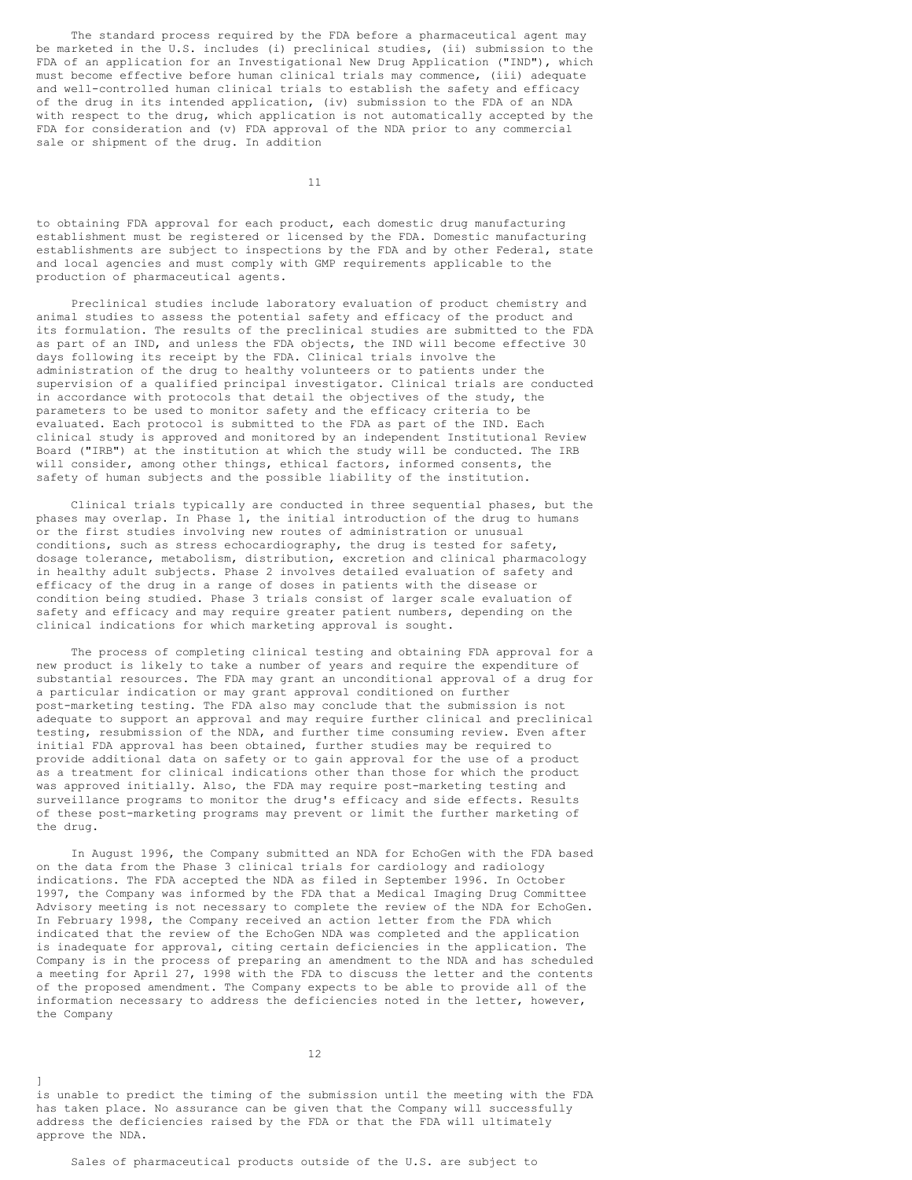The standard process required by the FDA before a pharmaceutical agent may be marketed in the U.S. includes (i) preclinical studies, (ii) submission to the FDA of an application for an Investigational New Drug Application ("IND"), which must become effective before human clinical trials may commence, (iii) adequate and well-controlled human clinical trials to establish the safety and efficacy of the drug in its intended application, (iv) submission to the FDA of an NDA with respect to the drug, which application is not automatically accepted by the FDA for consideration and (v) FDA approval of the NDA prior to any commercial sale or shipment of the drug. In addition

11

to obtaining FDA approval for each product, each domestic drug manufacturing establishment must be registered or licensed by the FDA. Domestic manufacturing establishments are subject to inspections by the FDA and by other Federal, state and local agencies and must comply with GMP requirements applicable to the production of pharmaceutical agents.

Preclinical studies include laboratory evaluation of product chemistry and animal studies to assess the potential safety and efficacy of the product and its formulation. The results of the preclinical studies are submitted to the FDA as part of an IND, and unless the FDA objects, the IND will become effective 30 days following its receipt by the FDA. Clinical trials involve the administration of the drug to healthy volunteers or to patients under the supervision of a qualified principal investigator. Clinical trials are conducted in accordance with protocols that detail the objectives of the study, the parameters to be used to monitor safety and the efficacy criteria to be evaluated. Each protocol is submitted to the FDA as part of the IND. Each clinical study is approved and monitored by an independent Institutional Review Board ("IRB") at the institution at which the study will be conducted. The IRB will consider, among other things, ethical factors, informed consents, the safety of human subjects and the possible liability of the institution.

Clinical trials typically are conducted in three sequential phases, but the phases may overlap. In Phase 1, the initial introduction of the drug to humans or the first studies involving new routes of administration or unusual conditions, such as stress echocardiography, the drug is tested for safety, dosage tolerance, metabolism, distribution, excretion and clinical pharmacology in healthy adult subjects. Phase 2 involves detailed evaluation of safety and efficacy of the drug in a range of doses in patients with the disease or condition being studied. Phase 3 trials consist of larger scale evaluation of safety and efficacy and may require greater patient numbers, depending on the clinical indications for which marketing approval is sought.

The process of completing clinical testing and obtaining FDA approval for a new product is likely to take a number of years and require the expenditure of substantial resources. The FDA may grant an unconditional approval of a drug for a particular indication or may grant approval conditioned on further post-marketing testing. The FDA also may conclude that the submission is not adequate to support an approval and may require further clinical and preclinical testing, resubmission of the NDA, and further time consuming review. Even after initial FDA approval has been obtained, further studies may be required to provide additional data on safety or to gain approval for the use of a product as a treatment for clinical indications other than those for which the product was approved initially. Also, the FDA may require post-marketing testing and surveillance programs to monitor the drug's efficacy and side effects. Results of these post-marketing programs may prevent or limit the further marketing of the drug.

In August 1996, the Company submitted an NDA for EchoGen with the FDA based on the data from the Phase 3 clinical trials for cardiology and radiology indications. The FDA accepted the NDA as filed in September 1996. In October 1997, the Company was informed by the FDA that a Medical Imaging Drug Committee Advisory meeting is not necessary to complete the review of the NDA for EchoGen. In February 1998, the Company received an action letter from the FDA which indicated that the review of the EchoGen NDA was completed and the application is inadequate for approval, citing certain deficiencies in the application. The Company is in the process of preparing an amendment to the NDA and has scheduled a meeting for April 27, 1998 with the FDA to discuss the letter and the contents of the proposed amendment. The Company expects to be able to provide all of the information necessary to address the deficiencies noted in the letter, however, the Company

12

is unable to predict the timing of the submission until the meeting with the FDA has taken place. No assurance can be given that the Company will successfully address the deficiencies raised by the FDA or that the FDA will ultimately approve the NDA.

]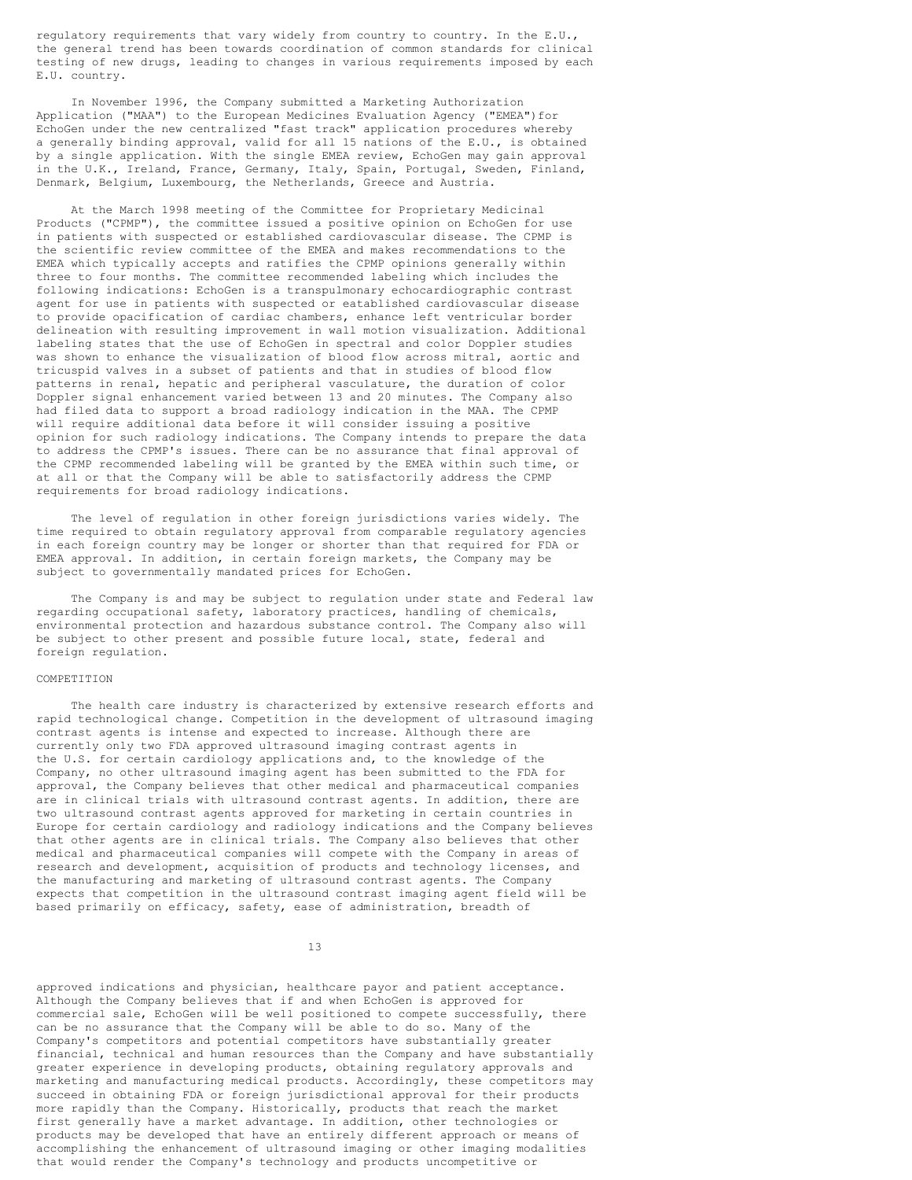regulatory requirements that vary widely from country to country. In the E.U., the general trend has been towards coordination of common standards for clinical testing of new drugs, leading to changes in various requirements imposed by each E.U. country.

In November 1996, the Company submitted a Marketing Authorization Application ("MAA") to the European Medicines Evaluation Agency ("EMEA")for EchoGen under the new centralized "fast track" application procedures whereby a generally binding approval, valid for all 15 nations of the E.U., is obtained by a single application. With the single EMEA review, EchoGen may gain approval in the U.K., Ireland, France, Germany, Italy, Spain, Portugal, Sweden, Finland, Denmark, Belgium, Luxembourg, the Netherlands, Greece and Austria.

At the March 1998 meeting of the Committee for Proprietary Medicinal Products ("CPMP"), the committee issued a positive opinion on EchoGen for use in patients with suspected or established cardiovascular disease. The CPMP is the scientific review committee of the EMEA and makes recommendations to the EMEA which typically accepts and ratifies the CPMP opinions generally within three to four months. The committee recommended labeling which includes the following indications: EchoGen is a transpulmonary echocardiographic contrast agent for use in patients with suspected or eatablished cardiovascular disease to provide opacification of cardiac chambers, enhance left ventricular border delineation with resulting improvement in wall motion visualization. Additional labeling states that the use of EchoGen in spectral and color Doppler studies was shown to enhance the visualization of blood flow across mitral, aortic and tricuspid valves in a subset of patients and that in studies of blood flow patterns in renal, hepatic and peripheral vasculature, the duration of color Doppler signal enhancement varied between 13 and 20 minutes. The Company also had filed data to support a broad radiology indication in the MAA. The CPMP will require additional data before it will consider issuing a positive opinion for such radiology indications. The Company intends to prepare the data to address the CPMP's issues. There can be no assurance that final approval of the CPMP recommended labeling will be granted by the EMEA within such time, or at all or that the Company will be able to satisfactorily address the CPMP requirements for broad radiology indications.

The level of regulation in other foreign jurisdictions varies widely. The time required to obtain regulatory approval from comparable regulatory agencies in each foreign country may be longer or shorter than that required for FDA or EMEA approval. In addition, in certain foreign markets, the Company may be subject to governmentally mandated prices for EchoGen.

The Company is and may be subject to regulation under state and Federal law regarding occupational safety, laboratory practices, handling of chemicals, environmental protection and hazardous substance control. The Company also will be subject to other present and possible future local, state, federal and foreign regulation.

#### **COMPETITION**

The health care industry is characterized by extensive research efforts and rapid technological change. Competition in the development of ultrasound imaging contrast agents is intense and expected to increase. Although there are currently only two FDA approved ultrasound imaging contrast agents in the U.S. for certain cardiology applications and, to the knowledge of the Company, no other ultrasound imaging agent has been submitted to the FDA for approval, the Company believes that other medical and pharmaceutical companies are in clinical trials with ultrasound contrast agents. In addition, there are two ultrasound contrast agents approved for marketing in certain countries in Europe for certain cardiology and radiology indications and the Company believes that other agents are in clinical trials. The Company also believes that other medical and pharmaceutical companies will compete with the Company in areas of research and development, acquisition of products and technology licenses, and the manufacturing and marketing of ultrasound contrast agents. The Company expects that competition in the ultrasound contrast imaging agent field will be based primarily on efficacy, safety, ease of administration, breadth of

13

approved indications and physician, healthcare payor and patient acceptance. Although the Company believes that if and when EchoGen is approved for commercial sale, EchoGen will be well positioned to compete successfully, there can be no assurance that the Company will be able to do so. Many of the Company's competitors and potential competitors have substantially greater financial, technical and human resources than the Company and have substantially greater experience in developing products, obtaining regulatory approvals and marketing and manufacturing medical products. Accordingly, these competitors may succeed in obtaining FDA or foreign jurisdictional approval for their products more rapidly than the Company. Historically, products that reach the market first generally have a market advantage. In addition, other technologies or products may be developed that have an entirely different approach or means of accomplishing the enhancement of ultrasound imaging or other imaging modalities that would render the Company's technology and products uncompetitive or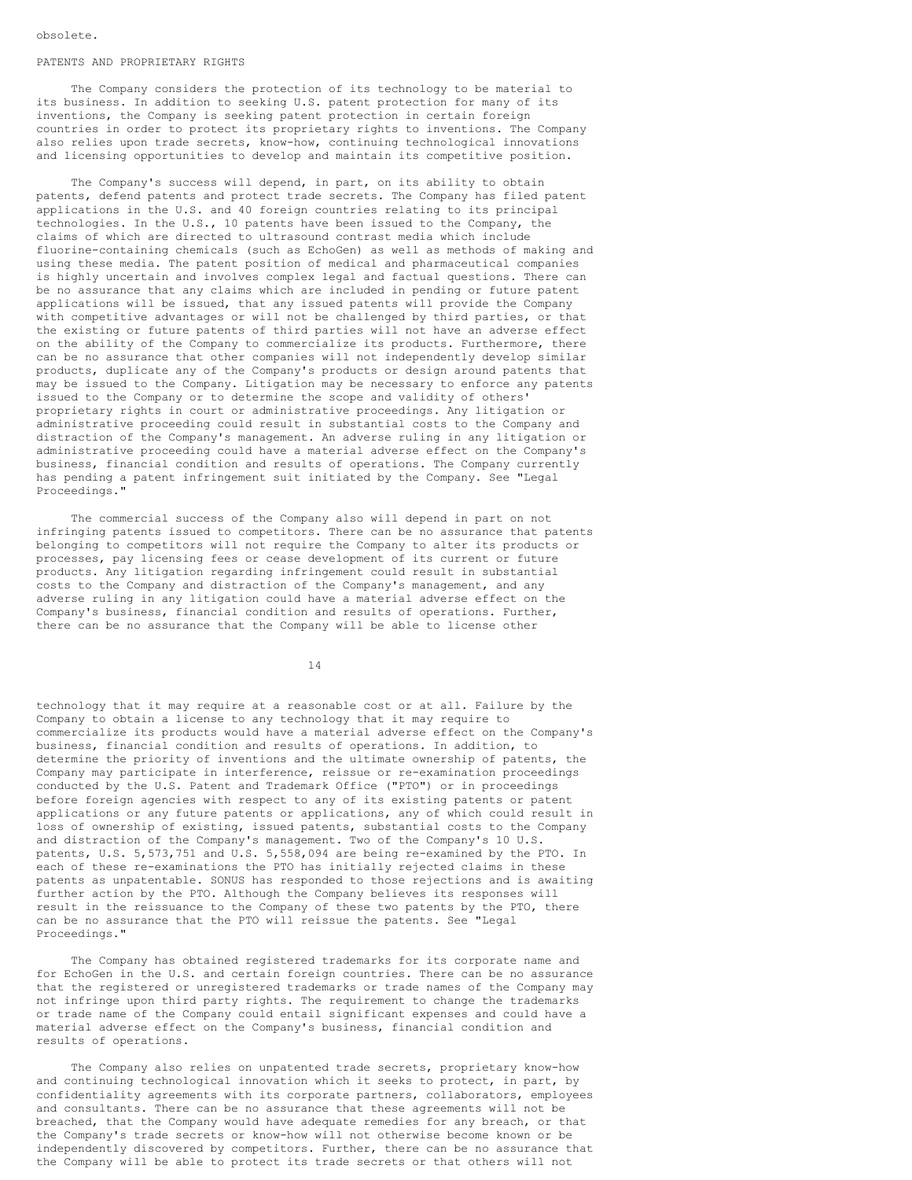## PATENTS AND PROPRIETARY RIGHTS

The Company considers the protection of its technology to be material to its business. In addition to seeking U.S. patent protection for many of its inventions, the Company is seeking patent protection in certain foreign countries in order to protect its proprietary rights to inventions. The Company also relies upon trade secrets, know-how, continuing technological innovations and licensing opportunities to develop and maintain its competitive position.

The Company's success will depend, in part, on its ability to obtain patents, defend patents and protect trade secrets. The Company has filed patent applications in the U.S. and 40 foreign countries relating to its principal technologies. In the U.S., 10 patents have been issued to the Company, the claims of which are directed to ultrasound contrast media which include fluorine-containing chemicals (such as EchoGen) as well as methods of making and using these media. The patent position of medical and pharmaceutical companies is highly uncertain and involves complex legal and factual questions. There can be no assurance that any claims which are included in pending or future patent applications will be issued, that any issued patents will provide the Company with competitive advantages or will not be challenged by third parties, or that the existing or future patents of third parties will not have an adverse effect on the ability of the Company to commercialize its products. Furthermore, there can be no assurance that other companies will not independently develop similar products, duplicate any of the Company's products or design around patents that may be issued to the Company. Litigation may be necessary to enforce any patents issued to the Company or to determine the scope and validity of others' proprietary rights in court or administrative proceedings. Any litigation or administrative proceeding could result in substantial costs to the Company and distraction of the Company's management. An adverse ruling in any litigation or administrative proceeding could have a material adverse effect on the Company's business, financial condition and results of operations. The Company currently has pending a patent infringement suit initiated by the Company. See "Legal Proceedings."

The commercial success of the Company also will depend in part on not infringing patents issued to competitors. There can be no assurance that patents belonging to competitors will not require the Company to alter its products or processes, pay licensing fees or cease development of its current or future products. Any litigation regarding infringement could result in substantial costs to the Company and distraction of the Company's management, and any adverse ruling in any litigation could have a material adverse effect on the Company's business, financial condition and results of operations. Further, there can be no assurance that the Company will be able to license other

14

technology that it may require at a reasonable cost or at all. Failure by the Company to obtain a license to any technology that it may require to commercialize its products would have a material adverse effect on the Company's business, financial condition and results of operations. In addition, to determine the priority of inventions and the ultimate ownership of patents, the Company may participate in interference, reissue or re-examination proceedings conducted by the U.S. Patent and Trademark Office ("PTO") or in proceedings before foreign agencies with respect to any of its existing patents or patent applications or any future patents or applications, any of which could result in loss of ownership of existing, issued patents, substantial costs to the Company and distraction of the Company's management. Two of the Company's 10 U.S. patents, U.S. 5,573,751 and U.S. 5,558,094 are being re-examined by the PTO. In each of these re-examinations the PTO has initially rejected claims in these patents as unpatentable. SONUS has responded to those rejections and is awaiting further action by the PTO. Although the Company believes its responses will result in the reissuance to the Company of these two patents by the PTO, there can be no assurance that the PTO will reissue the patents. See "Legal Proceedings."

The Company has obtained registered trademarks for its corporate name and for EchoGen in the U.S. and certain foreign countries. There can be no assurance that the registered or unregistered trademarks or trade names of the Company may not infringe upon third party rights. The requirement to change the trademarks or trade name of the Company could entail significant expenses and could have a material adverse effect on the Company's business, financial condition and results of operations.

The Company also relies on unpatented trade secrets, proprietary know-how and continuing technological innovation which it seeks to protect, in part, by confidentiality agreements with its corporate partners, collaborators, employees and consultants. There can be no assurance that these agreements will not be breached, that the Company would have adequate remedies for any breach, or that the Company's trade secrets or know-how will not otherwise become known or be independently discovered by competitors. Further, there can be no assurance that the Company will be able to protect its trade secrets or that others will not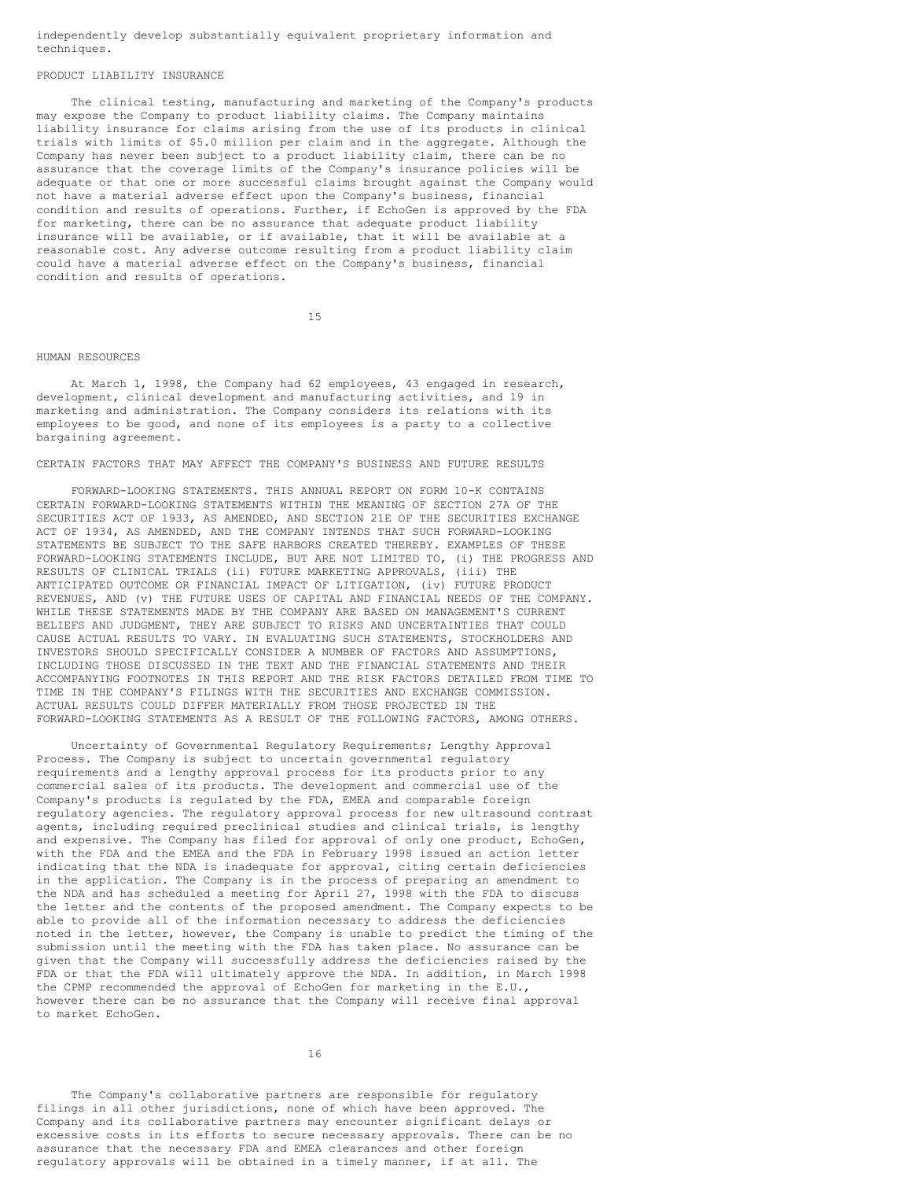independently develop substantially equivalent proprietary information and techniques.

## PRODUCT LIABILITY INSURANCE

The clinical testing, manufacturing and marketing of the Company's products may expose the Company to product liability claims. The Company maintains liability insurance for claims arising from the use of its products in clinical trials with limits of \$5.0 million per claim and in the aggregate. Although the Company has never been subject to a product liability claim, there can be no assurance that the coverage limits of the Company's insurance policies will be adequate or that one or more successful claims brought against the Company would not have a material adverse effect upon the Company's business, financial condition and results of operations. Further, if EchoGen is approved by the FDA for marketing, there can be no assurance that adequate product liability insurance will be available, or if available, that it will be available at a reasonable cost. Any adverse outcome resulting from a product liability claim could have a material adverse effect on the Company's business, financial condition and results of operations.

15

#### HUMAN RESOURCES

At March 1, 1998, the Company had 62 employees, 43 engaged in research, development, clinical development and manufacturing activities, and 19 in marketing and administration. The Company considers its relations with its employees to be good, and none of its employees is a party to a collective bargaining agreement.

## CERTAIN FACTORS THAT MAY AFFECT THE COMPANY'S BUSINESS AND FUTURE RESULTS

FORWARD-LOOKING STATEMENTS. THIS ANNUAL REPORT ON FORM 10-K CONTAINS CERTAIN FORWARD-LOOKING STATEMENTS WITHIN THE MEANING OF SECTION 27A OF THE SECURITIES ACT OF 1933, AS AMENDED, AND SECTION 21E OF THE SECURITIES EXCHANGE ACT OF 1934, AS AMENDED, AND THE COMPANY INTENDS THAT SUCH FORWARD-LOOKING STATEMENTS BE SUBJECT TO THE SAFE HARBORS CREATED THEREBY. EXAMPLES OF THESE FORWARD-LOOKING STATEMENTS INCLUDE, BUT ARE NOT LIMITED TO, (i) THE PROGRESS AND RESULTS OF CLINICAL TRIALS (ii) FUTURE MARKETING APPROVALS, (iii) THE ANTICIPATED OUTCOME OR FINANCIAL IMPACT OF LITIGATION, (iv) FUTURE PRODUCT REVENUES, AND (v) THE FUTURE USES OF CAPITAL AND FINANCIAL NEEDS OF THE COMPANY. WHILE THESE STATEMENTS MADE BY THE COMPANY ARE BASED ON MANAGEMENT'S CURRENT BELIEFS AND JUDGMENT, THEY ARE SUBJECT TO RISKS AND UNCERTAINTIES THAT COULD CAUSE ACTUAL RESULTS TO VARY. IN EVALUATING SUCH STATEMENTS, STOCKHOLDERS AND INVESTORS SHOULD SPECIFICALLY CONSIDER A NUMBER OF FACTORS AND ASSUMPTIONS, INCLUDING THOSE DISCUSSED IN THE TEXT AND THE FINANCIAL STATEMENTS AND THEIR ACCOMPANYING FOOTNOTES IN THIS REPORT AND THE RISK FACTORS DETAILED FROM TIME TO TIME IN THE COMPANY'S FILINGS WITH THE SECURITIES AND EXCHANGE COMMISSION. ACTUAL RESULTS COULD DIFFER MATERIALLY FROM THOSE PROJECTED IN THE FORWARD-LOOKING STATEMENTS AS A RESULT OF THE FOLLOWING FACTORS, AMONG OTHERS.

Uncertainty of Governmental Regulatory Requirements; Lengthy Approval Process. The Company is subject to uncertain governmental regulatory requirements and a lengthy approval process for its products prior to any commercial sales of its products. The development and commercial use of the Company's products is regulated by the FDA, EMEA and comparable foreign regulatory agencies. The regulatory approval process for new ultrasound contrast agents, including required preclinical studies and clinical trials, is lengthy and expensive. The Company has filed for approval of only one product, EchoGen, with the FDA and the EMEA and the FDA in February 1998 issued an action letter indicating that the NDA is inadequate for approval, citing certain deficiencies in the application. The Company is in the process of preparing an amendment to the NDA and has scheduled a meeting for April 27, 1998 with the FDA to discuss the letter and the contents of the proposed amendment. The Company expects to be able to provide all of the information necessary to address the deficiencies noted in the letter, however, the Company is unable to predict the timing of the submission until the meeting with the FDA has taken place. No assurance can be given that the Company will successfully address the deficiencies raised by the FDA or that the FDA will ultimately approve the NDA. In addition, in March 1998 the CPMP recommended the approval of EchoGen for marketing in the E.U., however there can be no assurance that the Company will receive final approval to market EchoGen.

16

The Company's collaborative partners are responsible for regulatory filings in all other jurisdictions, none of which have been approved. The Company and its collaborative partners may encounter significant delays or excessive costs in its efforts to secure necessary approvals. There can be no assurance that the necessary FDA and EMEA clearances and other foreign regulatory approvals will be obtained in a timely manner, if at all. The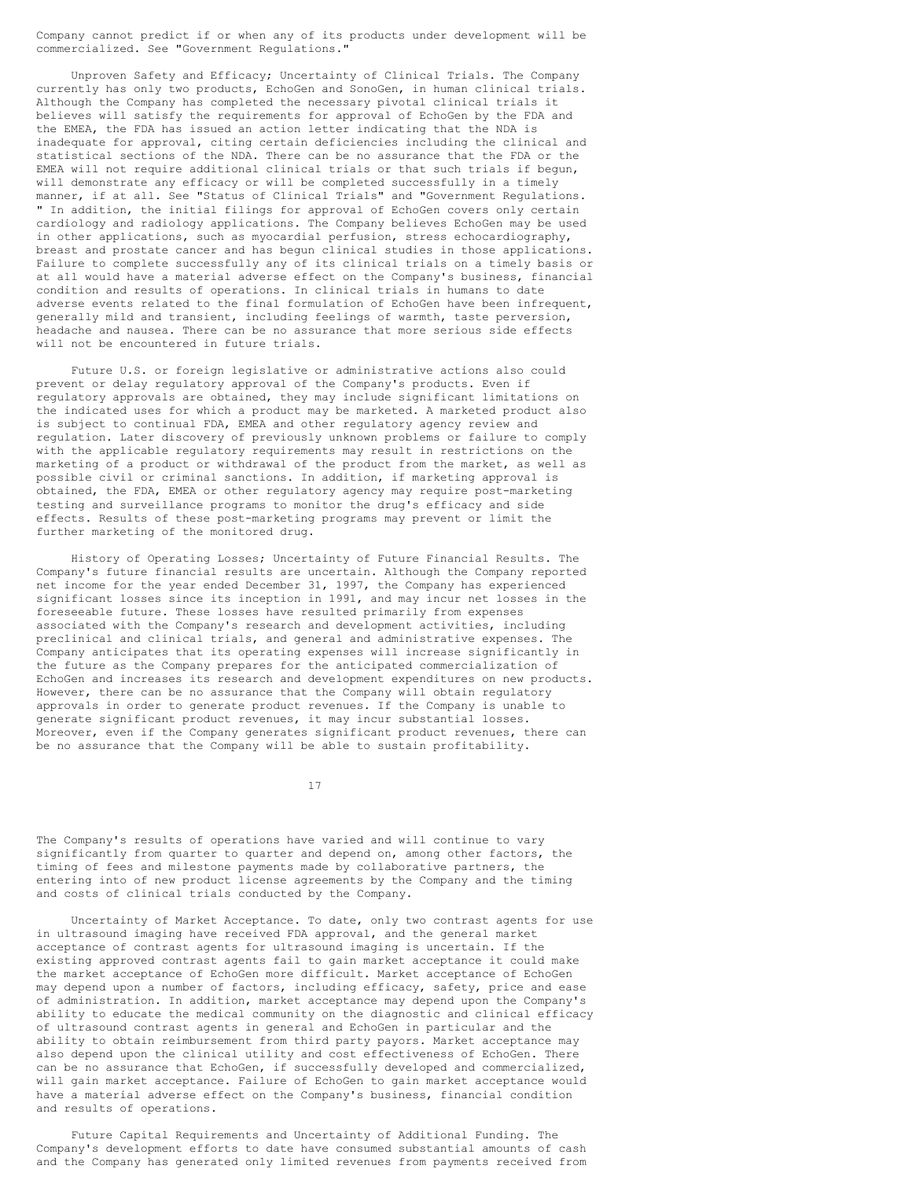Company cannot predict if or when any of its products under development will be commercialized. See "Government Regulations."

Unproven Safety and Efficacy; Uncertainty of Clinical Trials. The Company currently has only two products, EchoGen and SonoGen, in human clinical trials. Although the Company has completed the necessary pivotal clinical trials it believes will satisfy the requirements for approval of EchoGen by the FDA and the EMEA, the FDA has issued an action letter indicating that the NDA is inadequate for approval, citing certain deficiencies including the clinical and statistical sections of the NDA. There can be no assurance that the FDA or the EMEA will not require additional clinical trials or that such trials if begun, will demonstrate any efficacy or will be completed successfully in a timely manner, if at all. See "Status of Clinical Trials" and "Government Regulations. " In addition, the initial filings for approval of EchoGen covers only certain cardiology and radiology applications. The Company believes EchoGen may be used in other applications, such as myocardial perfusion, stress echocardiography, breast and prostate cancer and has begun clinical studies in those applications. Failure to complete successfully any of its clinical trials on a timely basis or at all would have a material adverse effect on the Company's business, financial condition and results of operations. In clinical trials in humans to date adverse events related to the final formulation of EchoGen have been infrequent, generally mild and transient, including feelings of warmth, taste perversion, headache and nausea. There can be no assurance that more serious side effects will not be encountered in future trials.

Future U.S. or foreign legislative or administrative actions also could prevent or delay regulatory approval of the Company's products. Even if regulatory approvals are obtained, they may include significant limitations on the indicated uses for which a product may be marketed. A marketed product also is subject to continual FDA, EMEA and other regulatory agency review and regulation. Later discovery of previously unknown problems or failure to comply with the applicable regulatory requirements may result in restrictions on the marketing of a product or withdrawal of the product from the market, as well as possible civil or criminal sanctions. In addition, if marketing approval is obtained, the FDA, EMEA or other regulatory agency may require post-marketing testing and surveillance programs to monitor the drug's efficacy and side effects. Results of these post-marketing programs may prevent or limit the further marketing of the monitored drug.

History of Operating Losses; Uncertainty of Future Financial Results. The Company's future financial results are uncertain. Although the Company reported net income for the year ended December 31, 1997, the Company has experienced significant losses since its inception in 1991, and may incur net losses in the foreseeable future. These losses have resulted primarily from expenses associated with the Company's research and development activities, including preclinical and clinical trials, and general and administrative expenses. The Company anticipates that its operating expenses will increase significantly in the future as the Company prepares for the anticipated commercialization of EchoGen and increases its research and development expenditures on new products. However, there can be no assurance that the Company will obtain regulatory approvals in order to generate product revenues. If the Company is unable to generate significant product revenues, it may incur substantial losses. Moreover, even if the Company generates significant product revenues, there can be no assurance that the Company will be able to sustain profitability.

17

The Company's results of operations have varied and will continue to vary significantly from quarter to quarter and depend on, among other factors, the timing of fees and milestone payments made by collaborative partners, the entering into of new product license agreements by the Company and the timing and costs of clinical trials conducted by the Company.

Uncertainty of Market Acceptance. To date, only two contrast agents for use in ultrasound imaging have received FDA approval, and the general market acceptance of contrast agents for ultrasound imaging is uncertain. If the existing approved contrast agents fail to gain market acceptance it could make the market acceptance of EchoGen more difficult. Market acceptance of EchoGen may depend upon a number of factors, including efficacy, safety, price and ease of administration. In addition, market acceptance may depend upon the Company's ability to educate the medical community on the diagnostic and clinical efficacy of ultrasound contrast agents in general and EchoGen in particular and the ability to obtain reimbursement from third party payors. Market acceptance may also depend upon the clinical utility and cost effectiveness of EchoGen. There can be no assurance that EchoGen, if successfully developed and commercialized, will gain market acceptance. Failure of EchoGen to gain market acceptance would have a material adverse effect on the Company's business, financial condition and results of operations.

Future Capital Requirements and Uncertainty of Additional Funding. The Company's development efforts to date have consumed substantial amounts of cash and the Company has generated only limited revenues from payments received from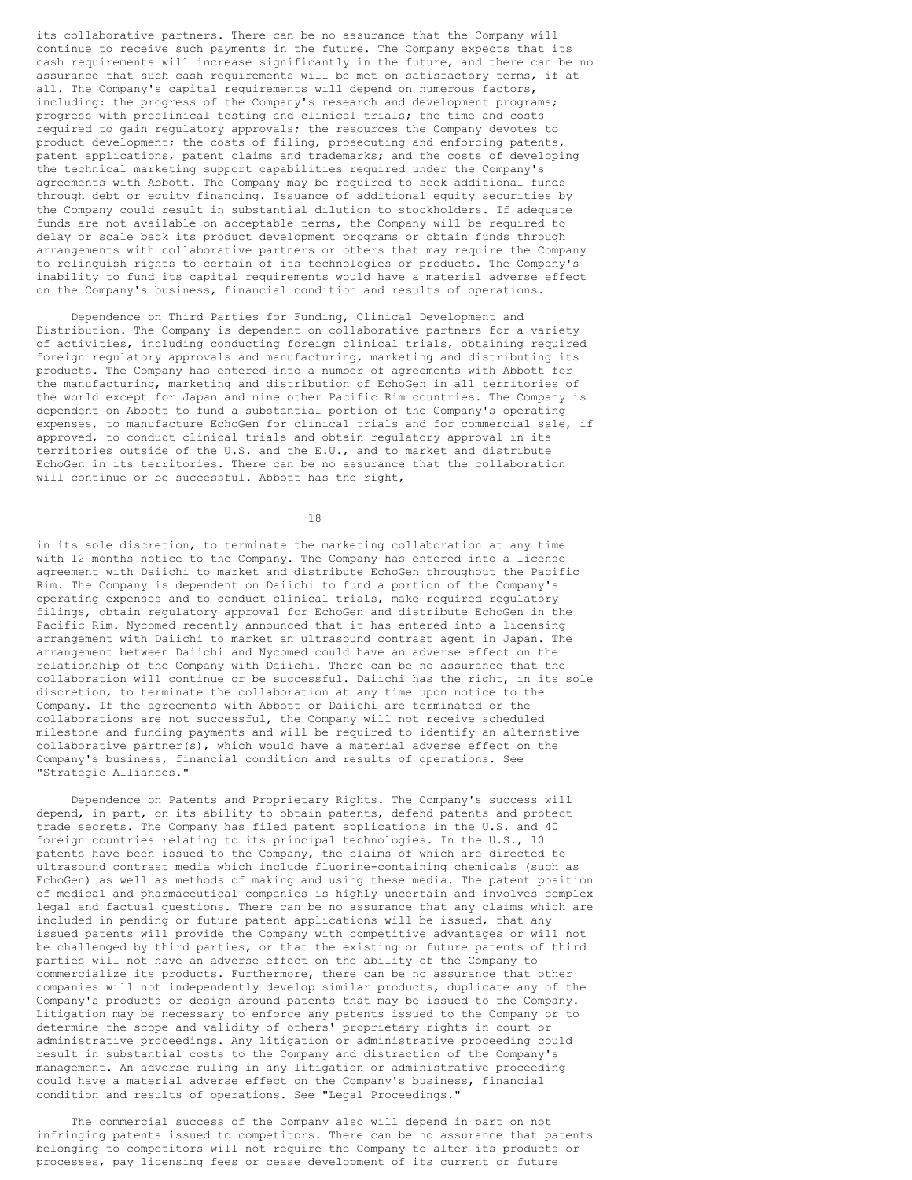its collaborative partners. There can be no assurance that the Company will continue to receive such payments in the future. The Company expects that its cash requirements will increase significantly in the future, and there can be no assurance that such cash requirements will be met on satisfactory terms, if at all. The Company's capital requirements will depend on numerous factors, including: the progress of the Company's research and development programs; progress with preclinical testing and clinical trials; the time and costs required to gain regulatory approvals; the resources the Company devotes to product development; the costs of filing, prosecuting and enforcing patents, patent applications, patent claims and trademarks; and the costs of developing the technical marketing support capabilities required under the Company's agreements with Abbott. The Company may be required to seek additional funds through debt or equity financing. Issuance of additional equity securities by the Company could result in substantial dilution to stockholders. If adequate funds are not available on acceptable terms, the Company will be required to delay or scale back its product development programs or obtain funds through arrangements with collaborative partners or others that may require the Company to relinquish rights to certain of its technologies or products. The Company's inability to fund its capital requirements would have a material adverse effect on the Company's business, financial condition and results of operations.

Dependence on Third Parties for Funding, Clinical Development and Distribution. The Company is dependent on collaborative partners for a variety of activities, including conducting foreign clinical trials, obtaining required foreign regulatory approvals and manufacturing, marketing and distributing its products. The Company has entered into a number of agreements with Abbott for the manufacturing, marketing and distribution of EchoGen in all territories of the world except for Japan and nine other Pacific Rim countries. The Company is dependent on Abbott to fund a substantial portion of the Company's operating expenses, to manufacture EchoGen for clinical trials and for commercial sale, if approved, to conduct clinical trials and obtain regulatory approval in its territories outside of the U.S. and the E.U., and to market and distribute EchoGen in its territories. There can be no assurance that the collaboration will continue or be successful. Abbott has the right,

18

in its sole discretion, to terminate the marketing collaboration at any time with 12 months notice to the Company. The Company has entered into a license agreement with Daiichi to market and distribute EchoGen throughout the Pacific Rim. The Company is dependent on Daiichi to fund a portion of the Company's operating expenses and to conduct clinical trials, make required regulatory filings, obtain regulatory approval for EchoGen and distribute EchoGen in the Pacific Rim. Nycomed recently announced that it has entered into a licensing arrangement with Daiichi to market an ultrasound contrast agent in Japan. The arrangement between Daiichi and Nycomed could have an adverse effect on the relationship of the Company with Daiichi. There can be no assurance that the collaboration will continue or be successful. Daiichi has the right, in its sole discretion, to terminate the collaboration at any time upon notice to the Company. If the agreements with Abbott or Daiichi are terminated or the collaborations are not successful, the Company will not receive scheduled milestone and funding payments and will be required to identify an alternative collaborative partner(s), which would have a material adverse effect on the Company's business, financial condition and results of operations. See "Strategic Alliances."

Dependence on Patents and Proprietary Rights. The Company's success will depend, in part, on its ability to obtain patents, defend patents and protect trade secrets. The Company has filed patent applications in the U.S. and 40 foreign countries relating to its principal technologies. In the U.S., 10 patents have been issued to the Company, the claims of which are directed to ultrasound contrast media which include fluorine-containing chemicals (such as EchoGen) as well as methods of making and using these media. The patent position of medical and pharmaceutical companies is highly uncertain and involves complex legal and factual questions. There can be no assurance that any claims which are included in pending or future patent applications will be issued, that any issued patents will provide the Company with competitive advantages or will not be challenged by third parties, or that the existing or future patents of third parties will not have an adverse effect on the ability of the Company to commercialize its products. Furthermore, there can be no assurance that other companies will not independently develop similar products, duplicate any of the Company's products or design around patents that may be issued to the Company. Litigation may be necessary to enforce any patents issued to the Company or to determine the scope and validity of others' proprietary rights in court or administrative proceedings. Any litigation or administrative proceeding could result in substantial costs to the Company and distraction of the Company's management. An adverse ruling in any litigation or administrative proceeding could have a material adverse effect on the Company's business, financial condition and results of operations. See "Legal Proceedings."

The commercial success of the Company also will depend in part on not infringing patents issued to competitors. There can be no assurance that patents belonging to competitors will not require the Company to alter its products or processes, pay licensing fees or cease development of its current or future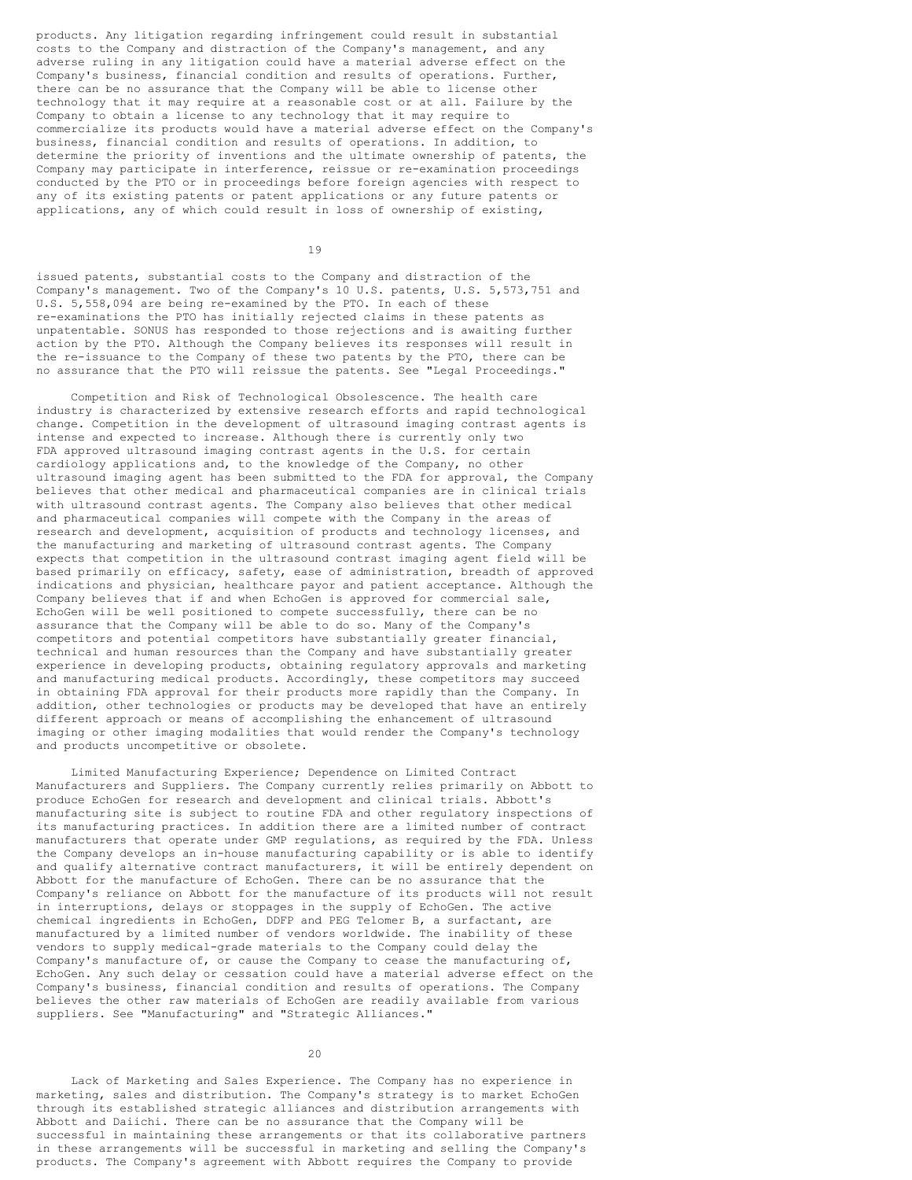products. Any litigation regarding infringement could result in substantial costs to the Company and distraction of the Company's management, and any adverse ruling in any litigation could have a material adverse effect on the Company's business, financial condition and results of operations. Further, there can be no assurance that the Company will be able to license other technology that it may require at a reasonable cost or at all. Failure by the Company to obtain a license to any technology that it may require to commercialize its products would have a material adverse effect on the Company's business, financial condition and results of operations. In addition, to determine the priority of inventions and the ultimate ownership of patents, the Company may participate in interference, reissue or re-examination proceedings conducted by the PTO or in proceedings before foreign agencies with respect to any of its existing patents or patent applications or any future patents or applications, any of which could result in loss of ownership of existing,

19

issued patents, substantial costs to the Company and distraction of the Company's management. Two of the Company's 10 U.S. patents, U.S. 5,573,751 and U.S. 5,558,094 are being re-examined by the PTO. In each of these re-examinations the PTO has initially rejected claims in these patents as unpatentable. SONUS has responded to those rejections and is awaiting further action by the PTO. Although the Company believes its responses will result in the re-issuance to the Company of these two patents by the PTO, there can be no assurance that the PTO will reissue the patents. See "Legal Proceedings."

Competition and Risk of Technological Obsolescence. The health care industry is characterized by extensive research efforts and rapid technological change. Competition in the development of ultrasound imaging contrast agents is intense and expected to increase. Although there is currently only two FDA approved ultrasound imaging contrast agents in the U.S. for certain cardiology applications and, to the knowledge of the Company, no other ultrasound imaging agent has been submitted to the FDA for approval, the Company believes that other medical and pharmaceutical companies are in clinical trials with ultrasound contrast agents. The Company also believes that other medical and pharmaceutical companies will compete with the Company in the areas of research and development, acquisition of products and technology licenses, and the manufacturing and marketing of ultrasound contrast agents. The Company expects that competition in the ultrasound contrast imaging agent field will be based primarily on efficacy, safety, ease of administration, breadth of approved indications and physician, healthcare payor and patient acceptance. Although the Company believes that if and when EchoGen is approved for commercial sale, EchoGen will be well positioned to compete successfully, there can be no assurance that the Company will be able to do so. Many of the Company's competitors and potential competitors have substantially greater financial, technical and human resources than the Company and have substantially greater experience in developing products, obtaining regulatory approvals and marketing and manufacturing medical products. Accordingly, these competitors may succeed in obtaining FDA approval for their products more rapidly than the Company. In addition, other technologies or products may be developed that have an entirely different approach or means of accomplishing the enhancement of ultrasound imaging or other imaging modalities that would render the Company's technology and products uncompetitive or obsolete.

Limited Manufacturing Experience; Dependence on Limited Contract Manufacturers and Suppliers. The Company currently relies primarily on Abbott to produce EchoGen for research and development and clinical trials. Abbott's manufacturing site is subject to routine FDA and other regulatory inspections of its manufacturing practices. In addition there are a limited number of contract manufacturers that operate under GMP regulations, as required by the FDA. Unless the Company develops an in-house manufacturing capability or is able to identify and qualify alternative contract manufacturers, it will be entirely dependent on Abbott for the manufacture of EchoGen. There can be no assurance that the Company's reliance on Abbott for the manufacture of its products will not result in interruptions, delays or stoppages in the supply of EchoGen. The active chemical ingredients in EchoGen, DDFP and PEG Telomer B, a surfactant, are manufactured by a limited number of vendors worldwide. The inability of these vendors to supply medical-grade materials to the Company could delay the Company's manufacture of, or cause the Company to cease the manufacturing of, EchoGen. Any such delay or cessation could have a material adverse effect on the Company's business, financial condition and results of operations. The Company believes the other raw materials of EchoGen are readily available from various suppliers. See "Manufacturing" and "Strategic Alliances."

 $20$ 

Lack of Marketing and Sales Experience. The Company has no experience in marketing, sales and distribution. The Company's strategy is to market EchoGen through its established strategic alliances and distribution arrangements with Abbott and Daiichi. There can be no assurance that the Company will be successful in maintaining these arrangements or that its collaborative partners in these arrangements will be successful in marketing and selling the Company's products. The Company's agreement with Abbott requires the Company to provide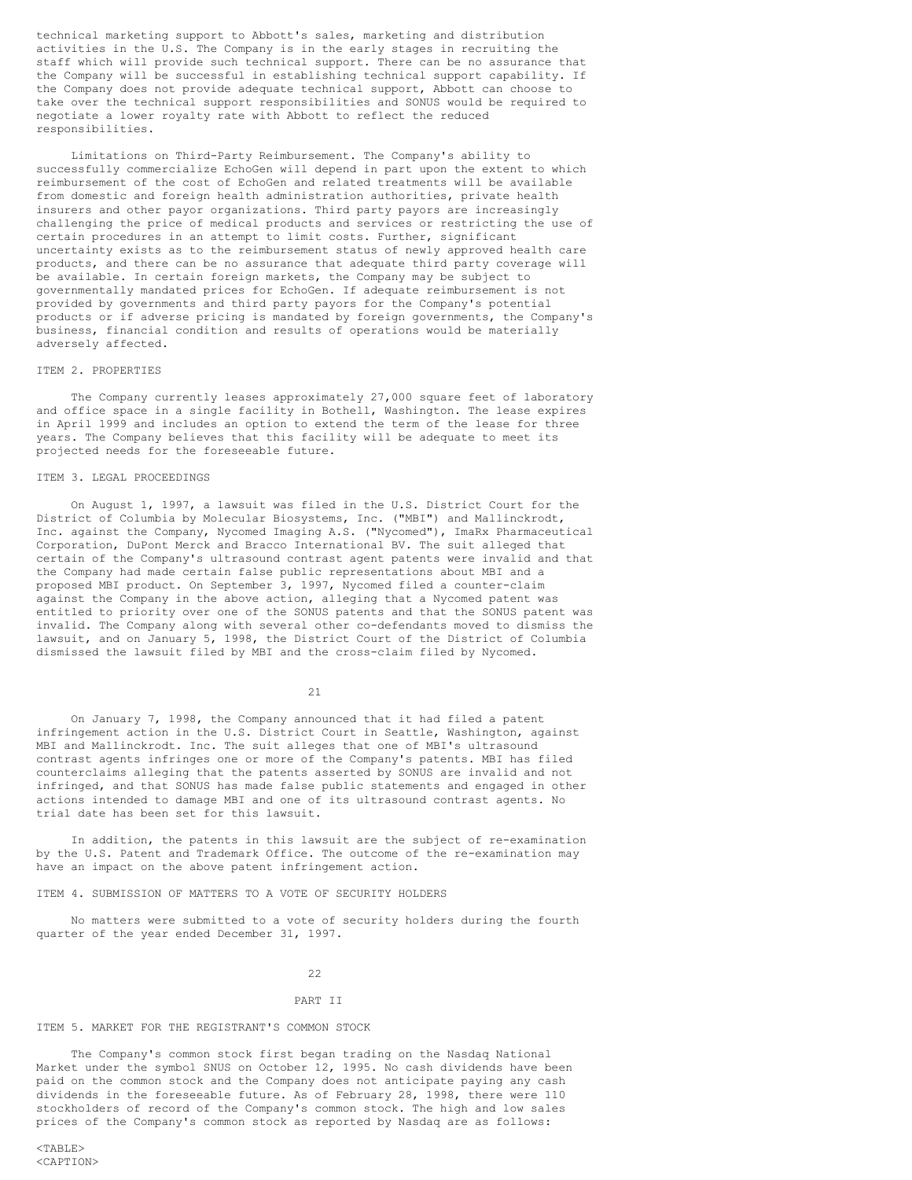technical marketing support to Abbott's sales, marketing and distribution activities in the U.S. The Company is in the early stages in recruiting the staff which will provide such technical support. There can be no assurance that the Company will be successful in establishing technical support capability. If the Company does not provide adequate technical support, Abbott can choose to take over the technical support responsibilities and SONUS would be required to negotiate a lower royalty rate with Abbott to reflect the reduced responsibilities.

Limitations on Third-Party Reimbursement. The Company's ability to successfully commercialize EchoGen will depend in part upon the extent to which reimbursement of the cost of EchoGen and related treatments will be available from domestic and foreign health administration authorities, private health insurers and other payor organizations. Third party payors are increasingly challenging the price of medical products and services or restricting the use of certain procedures in an attempt to limit costs. Further, significant uncertainty exists as to the reimbursement status of newly approved health care products, and there can be no assurance that adequate third party coverage will be available. In certain foreign markets, the Company may be subject to governmentally mandated prices for EchoGen. If adequate reimbursement is not provided by governments and third party payors for the Company's potential products or if adverse pricing is mandated by foreign governments, the Company's business, financial condition and results of operations would be materially adversely affected.

### ITEM 2. PROPERTIES

The Company currently leases approximately 27,000 square feet of laboratory and office space in a single facility in Bothell, Washington. The lease expires in April 1999 and includes an option to extend the term of the lease for three years. The Company believes that this facility will be adequate to meet its projected needs for the foreseeable future.

#### ITEM 3. LEGAL PROCEEDINGS

On August 1, 1997, a lawsuit was filed in the U.S. District Court for the District of Columbia by Molecular Biosystems, Inc. ("MBI") and Mallinckrodt, Inc. against the Company, Nycomed Imaging A.S. ("Nycomed"), ImaRx Pharmaceutical Corporation, DuPont Merck and Bracco International BV. The suit alleged that certain of the Company's ultrasound contrast agent patents were invalid and that the Company had made certain false public representations about MBI and a proposed MBI product. On September 3, 1997, Nycomed filed a counter-claim against the Company in the above action, alleging that a Nycomed patent was entitled to priority over one of the SONUS patents and that the SONUS patent was invalid. The Company along with several other co-defendants moved to dismiss the lawsuit, and on January 5, 1998, the District Court of the District of Columbia dismissed the lawsuit filed by MBI and the cross-claim filed by Nycomed.

21

On January 7, 1998, the Company announced that it had filed a patent infringement action in the U.S. District Court in Seattle, Washington, against MBI and Mallinckrodt. Inc. The suit alleges that one of MBI's ultrasound contrast agents infringes one or more of the Company's patents. MBI has filed counterclaims alleging that the patents asserted by SONUS are invalid and not infringed, and that SONUS has made false public statements and engaged in other actions intended to damage MBI and one of its ultrasound contrast agents. No trial date has been set for this lawsuit.

In addition, the patents in this lawsuit are the subject of re-examination by the U.S. Patent and Trademark Office. The outcome of the re-examination may have an impact on the above patent infringement action.

## ITEM 4. SUBMISSION OF MATTERS TO A VOTE OF SECURITY HOLDERS

No matters were submitted to a vote of security holders during the fourth quarter of the year ended December 31, 1997.

 $22$ 

#### PART II

## ITEM 5. MARKET FOR THE REGISTRANT'S COMMON STOCK

The Company's common stock first began trading on the Nasdaq National Market under the symbol SNUS on October 12, 1995. No cash dividends have been paid on the common stock and the Company does not anticipate paying any cash dividends in the foreseeable future. As of February 28, 1998, there were 110 stockholders of record of the Company's common stock. The high and low sales prices of the Company's common stock as reported by Nasdaq are as follows: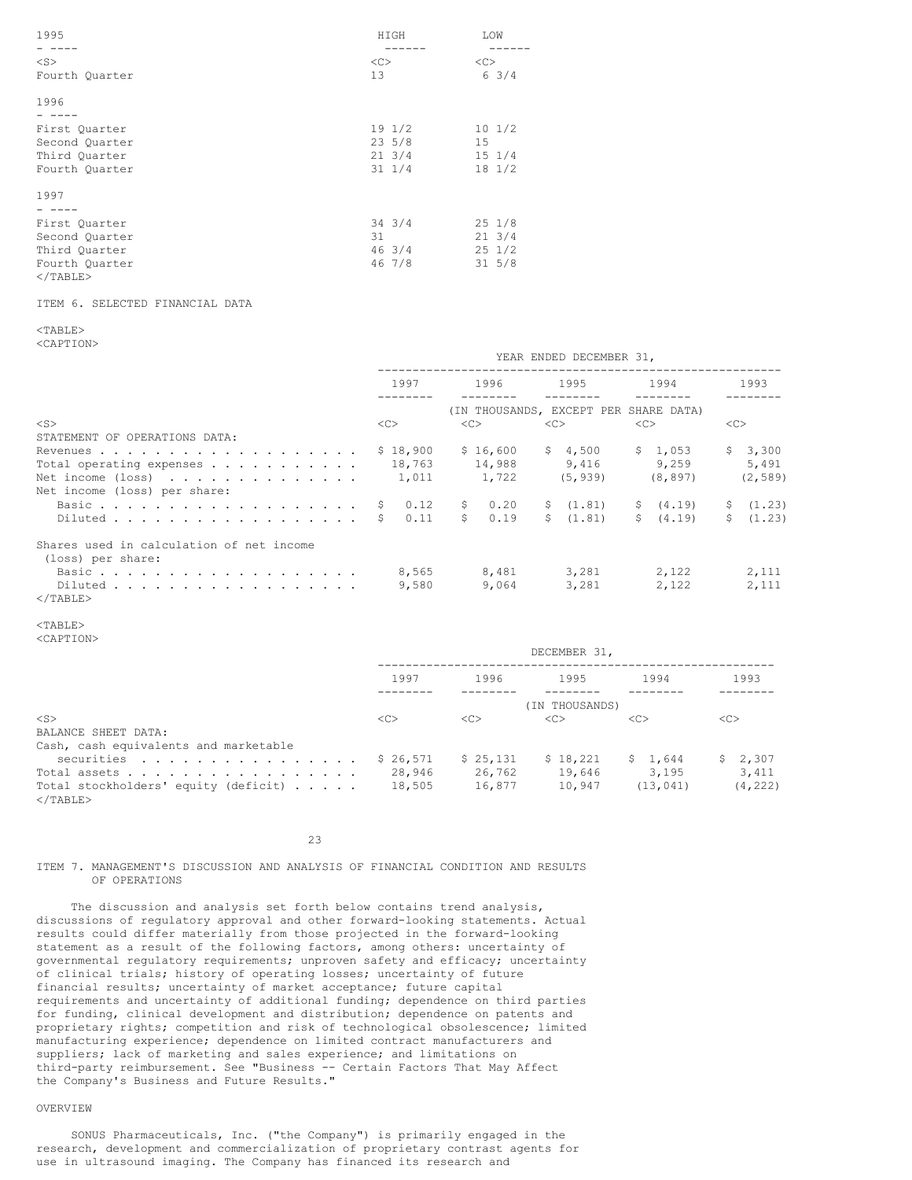| 1995           | HIGH             | LOW              |
|----------------|------------------|------------------|
|                | -----            |                  |
| $<$ S $>$      | <<               | <<               |
| Fourth Quarter | 13               | $6 \frac{3}{4}$  |
| 1996           |                  |                  |
|                |                  |                  |
| First Quarter  | 191/2            | $10 \frac{1}{2}$ |
| Second Quarter | $23 \frac{5}{8}$ | 15               |
| Third Quarter  | $21 \t3/4$       | $15 \t1/4$       |
| Fourth Quarter | $31 \frac{1}{4}$ | $18 \frac{1}{2}$ |
| 1997           |                  |                  |
|                |                  |                  |
| First Quarter  | $34 \frac{3}{4}$ | $25 \t1/8$       |
| Second Quarter | 31               | $21 \t3/4$       |
| Third Quarter  | 463/4            | $25 \frac{1}{2}$ |
| Fourth Quarter | 46 7/8           | $31 \t5/8$       |
| $<$ /TABLE>    |                  |                  |

## ITEM 6. SELECTED FINANCIAL DATA

# <TABLE>

<CAPTION>

|                                                              | 1997       | 1996                 | 1995                                  | 1994      | 1993      |  |
|--------------------------------------------------------------|------------|----------------------|---------------------------------------|-----------|-----------|--|
|                                                              |            |                      | (IN THOUSANDS, EXCEPT PER SHARE DATA) |           |           |  |
| $<$ S $>$                                                    | <<         | <<                   | <<                                    | <<        | <<>       |  |
| STATEMENT OF OPERATIONS DATA:                                |            |                      |                                       |           |           |  |
|                                                              | \$18,900   | \$16,600             | \$4,500                               | \$1,053   | \$3,300   |  |
| Total operating expenses $\cdots$ $\cdots$ $\cdots$ $\cdots$ | 18,763     | 14,988               | 9,416                                 | 9.259     | 5,491     |  |
| Net income $(\text{loss})$                                   | 1,011      | 1,722                | (5, 939)                              | (8, 897)  | (2, 589)  |  |
| Net income (loss) per share:                                 |            |                      |                                       |           |           |  |
|                                                              | 0.12       | \$0.20               | \$(1.81)                              | \$ (4.19) | \$(1,23)  |  |
| Diluted                                                      | 0.11<br>S. | $\mathsf{S}$<br>0.19 | \$(1.81)                              | \$ (4.19) | \$ (1.23) |  |
| Shares used in calculation of net income                     |            |                      |                                       |           |           |  |
| (loss) per share:                                            |            |                      |                                       |           |           |  |
| Basic                                                        | 8,565      | 8,481                | 3,281                                 | 2,122     | 2,111     |  |
| Diluted                                                      | 9,580      | 9,064                | 3,281                                 | 2,122     | 2,111     |  |
| $\langle$ /TABLE>                                            |            |                      |                                       |           |           |  |

YEAR ENDED DECEMBER 31,

## <TABLE>

<CAPTION>

|                                                     | DECEMBER 31,  |               |                |               |               |  |
|-----------------------------------------------------|---------------|---------------|----------------|---------------|---------------|--|
|                                                     | 1997          | 1996          | 1995           | 1994          | 1993          |  |
|                                                     |               |               | (IN THOUSANDS) |               |               |  |
| $<$ S $>$                                           | < <sub></sub> | < <sub></sub> | <<             | < <sub></sub> | < <sub></sub> |  |
| BALANCE SHEET DATA:                                 |               |               |                |               |               |  |
| Cash, cash equivalents and marketable               |               |               |                |               |               |  |
| securities                                          | \$26,571      | \$25,131      | \$18,221       | \$1.644       | \$2,307       |  |
| Total assets                                        | 28,946        | 26,762        | 19,646         | 3,195         | 3,411         |  |
| Total stockholders' equity (deficit)<br>$<$ /TABLE> | 18,505        | 16,877        | 10,947         | (13, 041)     | (4, 222)      |  |

23

## ITEM 7. MANAGEMENT'S DISCUSSION AND ANALYSIS OF FINANCIAL CONDITION AND RESULTS OF OPERATIONS

The discussion and analysis set forth below contains trend analysis, discussions of regulatory approval and other forward-looking statements. Actual results could differ materially from those projected in the forward-looking statement as a result of the following factors, among others: uncertainty of governmental regulatory requirements; unproven safety and efficacy; uncertainty of clinical trials; history of operating losses; uncertainty of future financial results; uncertainty of market acceptance; future capital requirements and uncertainty of additional funding; dependence on third parties for funding, clinical development and distribution; dependence on patents and proprietary rights; competition and risk of technological obsolescence; limited manufacturing experience; dependence on limited contract manufacturers and suppliers; lack of marketing and sales experience; and limitations on third-party reimbursement. See "Business -- Certain Factors That May Affect the Company's Business and Future Results."

# OVERVIEW

SONUS Pharmaceuticals, Inc. ("the Company") is primarily engaged in the research, development and commercialization of proprietary contrast agents for use in ultrasound imaging. The Company has financed its research and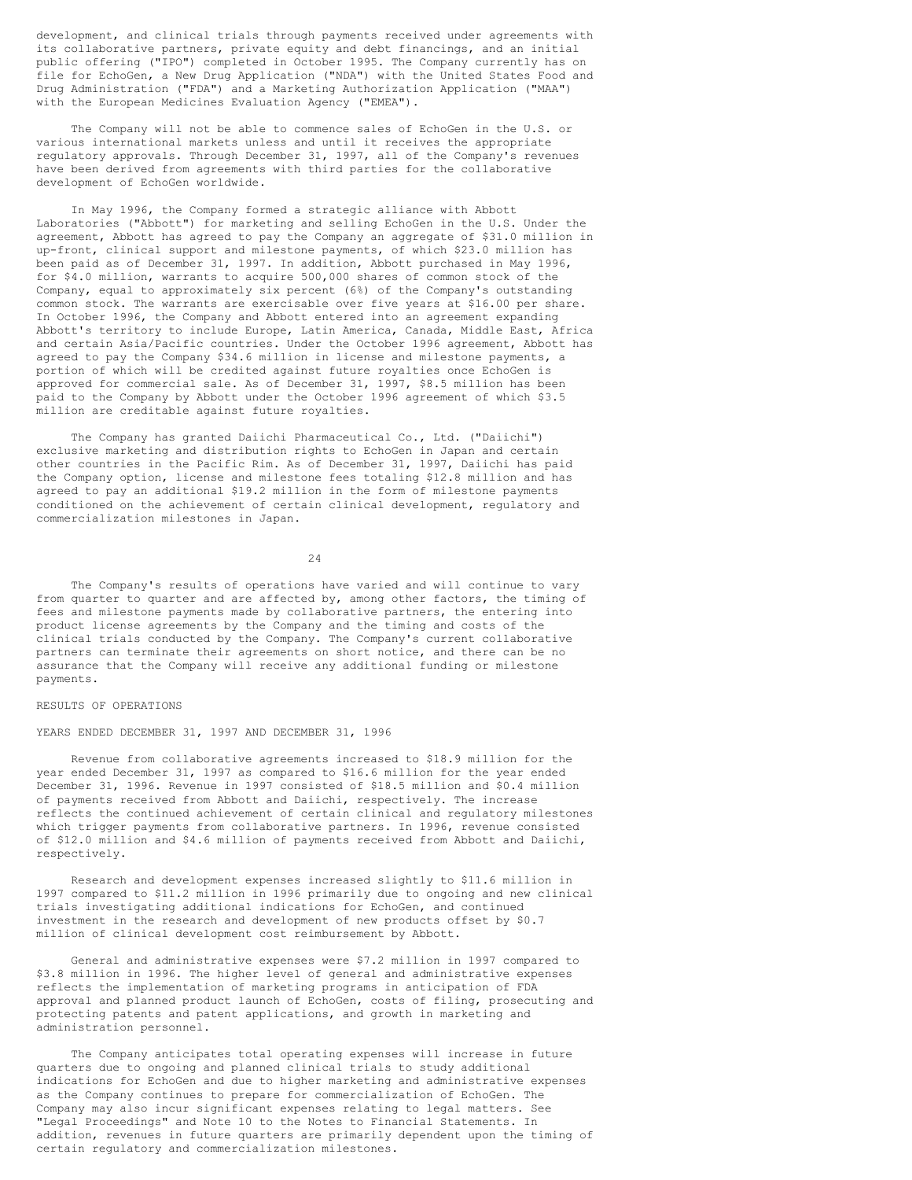development, and clinical trials through payments received under agreements with its collaborative partners, private equity and debt financings, and an initial public offering ("IPO") completed in October 1995. The Company currently has on file for EchoGen, a New Drug Application ("NDA") with the United States Food and Drug Administration ("FDA") and a Marketing Authorization Application ("MAA") with the European Medicines Evaluation Agency ("EMEA").

The Company will not be able to commence sales of EchoGen in the U.S. or various international markets unless and until it receives the appropriate regulatory approvals. Through December 31, 1997, all of the Company's revenues have been derived from agreements with third parties for the collaborative development of EchoGen worldwide.

In May 1996, the Company formed a strategic alliance with Abbott Laboratories ("Abbott") for marketing and selling EchoGen in the U.S. Under the agreement, Abbott has agreed to pay the Company an aggregate of \$31.0 million in up-front, clinical support and milestone payments, of which \$23.0 million has been paid as of December 31, 1997. In addition, Abbott purchased in May 1996, for \$4.0 million, warrants to acquire 500,000 shares of common stock of the Company, equal to approximately six percent (6%) of the Company's outstanding common stock. The warrants are exercisable over five years at \$16.00 per share. In October 1996, the Company and Abbott entered into an agreement expanding Abbott's territory to include Europe, Latin America, Canada, Middle East, Africa and certain Asia/Pacific countries. Under the October 1996 agreement, Abbott has agreed to pay the Company \$34.6 million in license and milestone payments, a portion of which will be credited against future royalties once EchoGen is approved for commercial sale. As of December 31, 1997, \$8.5 million has been paid to the Company by Abbott under the October 1996 agreement of which \$3.5 million are creditable against future royalties.

The Company has granted Daiichi Pharmaceutical Co., Ltd. ("Daiichi") exclusive marketing and distribution rights to EchoGen in Japan and certain other countries in the Pacific Rim. As of December 31, 1997, Daiichi has paid the Company option, license and milestone fees totaling \$12.8 million and has agreed to pay an additional \$19.2 million in the form of milestone payments conditioned on the achievement of certain clinical development, regulatory and commercialization milestones in Japan.

24

The Company's results of operations have varied and will continue to vary from quarter to quarter and are affected by, among other factors, the timing of fees and milestone payments made by collaborative partners, the entering into product license agreements by the Company and the timing and costs of the clinical trials conducted by the Company. The Company's current collaborative partners can terminate their agreements on short notice, and there can be no assurance that the Company will receive any additional funding or milestone payments.

## RESULTS OF OPERATIONS

YEARS ENDED DECEMBER 31, 1997 AND DECEMBER 31, 1996

Revenue from collaborative agreements increased to \$18.9 million for the year ended December 31, 1997 as compared to \$16.6 million for the year ended December 31, 1996. Revenue in 1997 consisted of \$18.5 million and \$0.4 million of payments received from Abbott and Daiichi, respectively. The increase reflects the continued achievement of certain clinical and regulatory milestones which trigger payments from collaborative partners. In 1996, revenue consisted of \$12.0 million and \$4.6 million of payments received from Abbott and Daiichi, respectively.

Research and development expenses increased slightly to \$11.6 million in 1997 compared to \$11.2 million in 1996 primarily due to ongoing and new clinical trials investigating additional indications for EchoGen, and continued investment in the research and development of new products offset by \$0.7 million of clinical development cost reimbursement by Abbott.

General and administrative expenses were \$7.2 million in 1997 compared to \$3.8 million in 1996. The higher level of general and administrative expenses reflects the implementation of marketing programs in anticipation of FDA approval and planned product launch of EchoGen, costs of filing, prosecuting and protecting patents and patent applications, and growth in marketing and administration personnel.

The Company anticipates total operating expenses will increase in future quarters due to ongoing and planned clinical trials to study additional indications for EchoGen and due to higher marketing and administrative expenses as the Company continues to prepare for commercialization of EchoGen. The Company may also incur significant expenses relating to legal matters. See "Legal Proceedings" and Note 10 to the Notes to Financial Statements. In addition, revenues in future quarters are primarily dependent upon the timing of certain regulatory and commercialization milestones.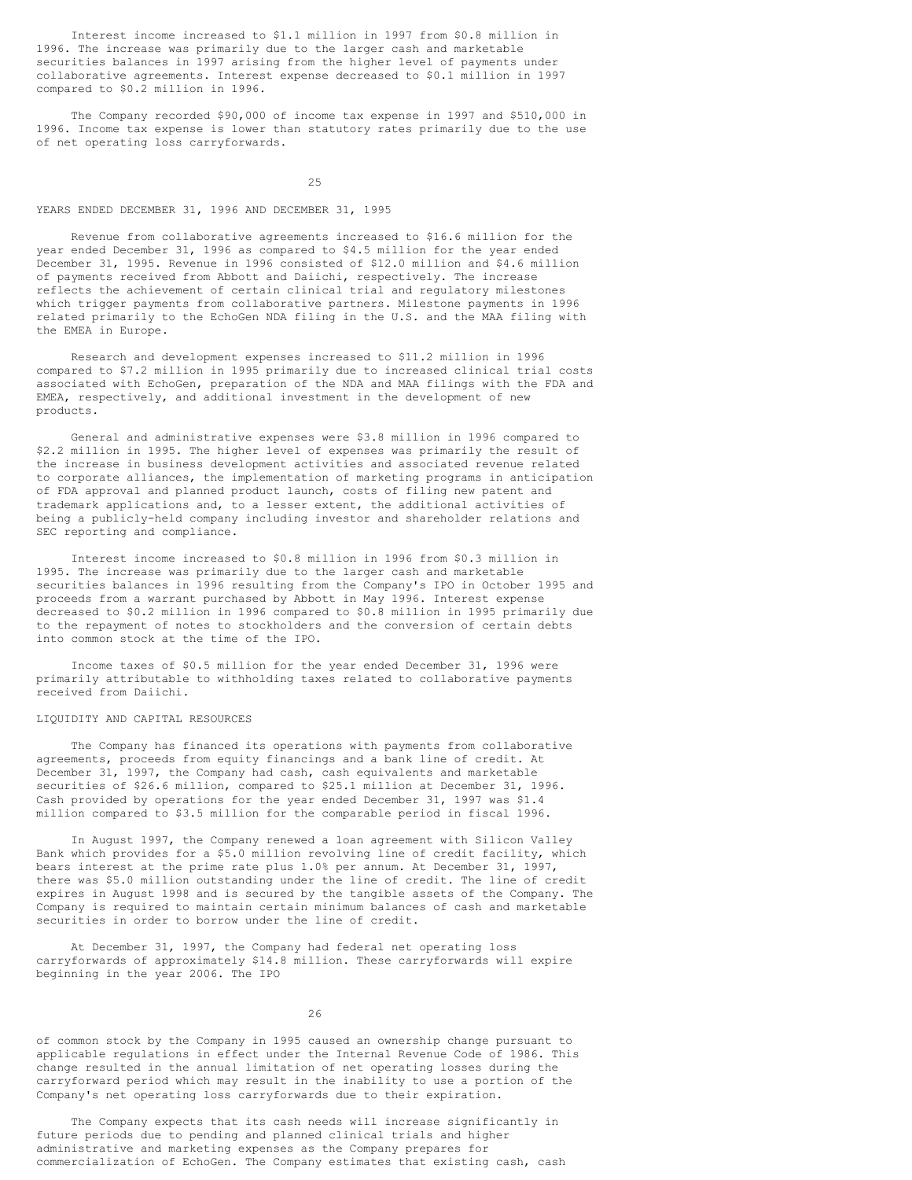Interest income increased to \$1.1 million in 1997 from \$0.8 million in 1996. The increase was primarily due to the larger cash and marketable securities balances in 1997 arising from the higher level of payments under collaborative agreements. Interest expense decreased to \$0.1 million in 1997 compared to \$0.2 million in 1996.

The Company recorded \$90,000 of income tax expense in 1997 and \$510,000 in 1996. Income tax expense is lower than statutory rates primarily due to the use of net operating loss carryforwards.

25

## YEARS ENDED DECEMBER 31, 1996 AND DECEMBER 31, 1995

Revenue from collaborative agreements increased to \$16.6 million for the year ended December 31, 1996 as compared to \$4.5 million for the year ended December 31, 1995. Revenue in 1996 consisted of \$12.0 million and \$4.6 million of payments received from Abbott and Daiichi, respectively. The increase reflects the achievement of certain clinical trial and regulatory milestones which trigger payments from collaborative partners. Milestone payments in 1996 related primarily to the EchoGen NDA filing in the U.S. and the MAA filing with the EMEA in Europe.

Research and development expenses increased to \$11.2 million in 1996 compared to \$7.2 million in 1995 primarily due to increased clinical trial costs associated with EchoGen, preparation of the NDA and MAA filings with the FDA and EMEA, respectively, and additional investment in the development of new products.

General and administrative expenses were \$3.8 million in 1996 compared to \$2.2 million in 1995. The higher level of expenses was primarily the result of the increase in business development activities and associated revenue related to corporate alliances, the implementation of marketing programs in anticipation of FDA approval and planned product launch, costs of filing new patent and trademark applications and, to a lesser extent, the additional activities of being a publicly-held company including investor and shareholder relations and SEC reporting and compliance.

Interest income increased to \$0.8 million in 1996 from \$0.3 million in 1995. The increase was primarily due to the larger cash and marketable securities balances in 1996 resulting from the Company's IPO in October 1995 and proceeds from a warrant purchased by Abbott in May 1996. Interest expense decreased to \$0.2 million in 1996 compared to \$0.8 million in 1995 primarily due to the repayment of notes to stockholders and the conversion of certain debts into common stock at the time of the IPO.

Income taxes of \$0.5 million for the year ended December 31, 1996 were primarily attributable to withholding taxes related to collaborative payments received from Daiichi.

## LIQUIDITY AND CAPITAL RESOURCES

The Company has financed its operations with payments from collaborative agreements, proceeds from equity financings and a bank line of credit. At December 31, 1997, the Company had cash, cash equivalents and marketable securities of \$26.6 million, compared to \$25.1 million at December 31, 1996. Cash provided by operations for the year ended December 31, 1997 was \$1.4 million compared to \$3.5 million for the comparable period in fiscal 1996.

In August 1997, the Company renewed a loan agreement with Silicon Valley Bank which provides for a \$5.0 million revolving line of credit facility, which bears interest at the prime rate plus 1.0% per annum. At December 31, 1997, there was \$5.0 million outstanding under the line of credit. The line of credit expires in August 1998 and is secured by the tangible assets of the Company. The Company is required to maintain certain minimum balances of cash and marketable securities in order to borrow under the line of credit.

At December 31, 1997, the Company had federal net operating loss carryforwards of approximately \$14.8 million. These carryforwards will expire beginning in the year 2006. The IPO

26

of common stock by the Company in 1995 caused an ownership change pursuant to applicable regulations in effect under the Internal Revenue Code of 1986. This change resulted in the annual limitation of net operating losses during the carryforward period which may result in the inability to use a portion of the Company's net operating loss carryforwards due to their expiration.

The Company expects that its cash needs will increase significantly in future periods due to pending and planned clinical trials and higher administrative and marketing expenses as the Company prepares for commercialization of EchoGen. The Company estimates that existing cash, cash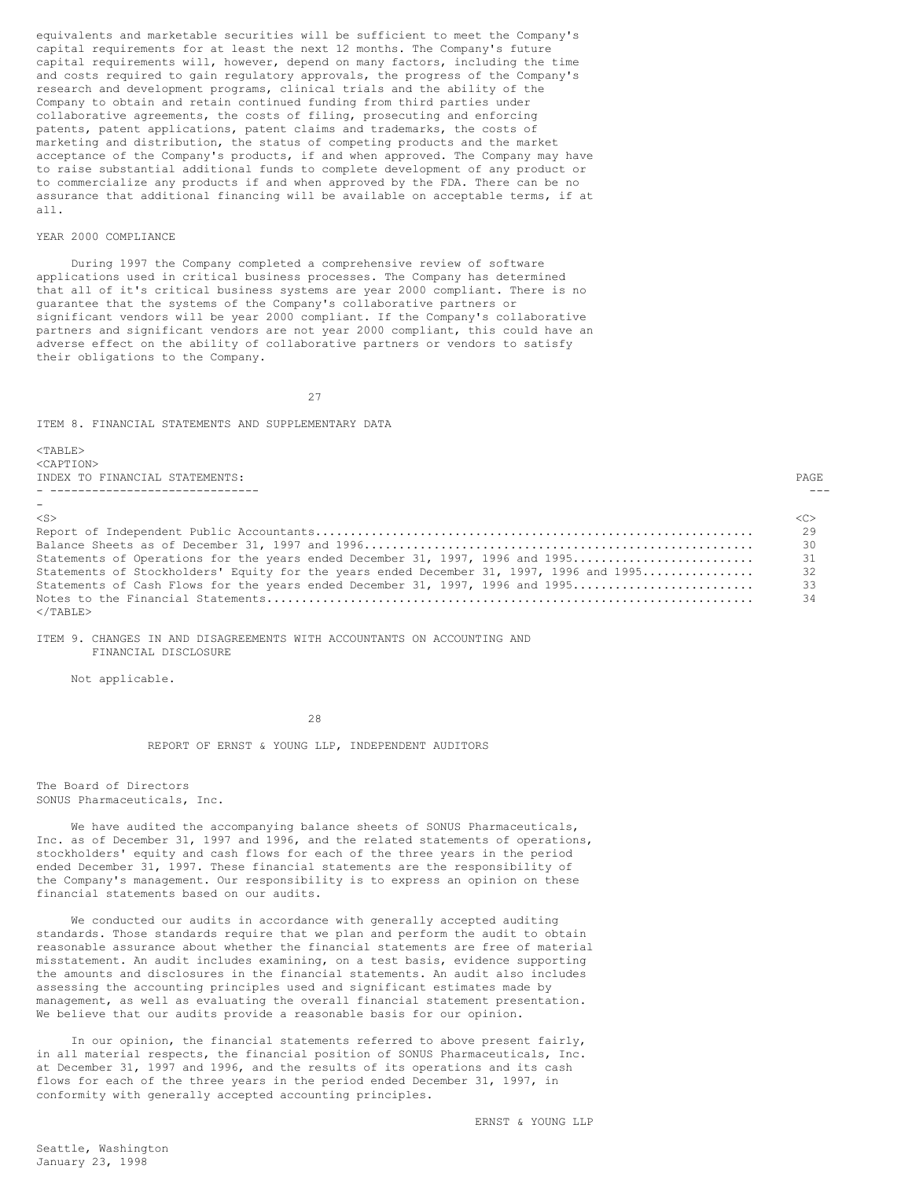equivalents and marketable securities will be sufficient to meet the Company's capital requirements for at least the next 12 months. The Company's future capital requirements will, however, depend on many factors, including the time and costs required to gain regulatory approvals, the progress of the Company's research and development programs, clinical trials and the ability of the Company to obtain and retain continued funding from third parties under collaborative agreements, the costs of filing, prosecuting and enforcing patents, patent applications, patent claims and trademarks, the costs of marketing and distribution, the status of competing products and the market acceptance of the Company's products, if and when approved. The Company may have to raise substantial additional funds to complete development of any product or to commercialize any products if and when approved by the FDA. There can be no assurance that additional financing will be available on acceptable terms, if at all.

## YEAR 2000 COMPLIANCE

During 1997 the Company completed a comprehensive review of software applications used in critical business processes. The Company has determined that all of it's critical business systems are year 2000 compliant. There is no guarantee that the systems of the Company's collaborative partners or significant vendors will be year 2000 compliant. If the Company's collaborative partners and significant vendors are not year 2000 compliant, this could have an adverse effect on the ability of collaborative partners or vendors to satisfy their obligations to the Company.

27

## ITEM 8. FINANCIAL STATEMENTS AND SUPPLEMENTARY DATA

<TABLE> <CAPTION> INDEX TO FINANCIAL STATEMENTS: PAGE - ------------------------------ ---

| $-$                                                                                        |               |
|--------------------------------------------------------------------------------------------|---------------|
| $<$ S $>$                                                                                  | < <sub></sub> |
|                                                                                            | 29            |
|                                                                                            | 30            |
|                                                                                            |               |
| Statements of Stockholders' Equity for the years ended December 31, 1997, 1996 and 1995 32 |               |
|                                                                                            |               |
|                                                                                            | 34            |
| $\langle$ /TABLE>                                                                          |               |

ITEM 9. CHANGES IN AND DISAGREEMENTS WITH ACCOUNTANTS ON ACCOUNTING AND FINANCIAL DISCLOSURE

Not applicable.

28

REPORT OF ERNST & YOUNG LLP, INDEPENDENT AUDITORS

The Board of Directors SONUS Pharmaceuticals, Inc.

We have audited the accompanying balance sheets of SONUS Pharmaceuticals, Inc. as of December 31, 1997 and 1996, and the related statements of operations, stockholders' equity and cash flows for each of the three years in the period ended December 31, 1997. These financial statements are the responsibility of the Company's management. Our responsibility is to express an opinion on these financial statements based on our audits.

We conducted our audits in accordance with generally accepted auditing standards. Those standards require that we plan and perform the audit to obtain reasonable assurance about whether the financial statements are free of material misstatement. An audit includes examining, on a test basis, evidence supporting the amounts and disclosures in the financial statements. An audit also includes assessing the accounting principles used and significant estimates made by management, as well as evaluating the overall financial statement presentation. We believe that our audits provide a reasonable basis for our opinion.

In our opinion, the financial statements referred to above present fairly, in all material respects, the financial position of SONUS Pharmaceuticals, Inc. at December 31, 1997 and 1996, and the results of its operations and its cash flows for each of the three years in the period ended December 31, 1997, in conformity with generally accepted accounting principles.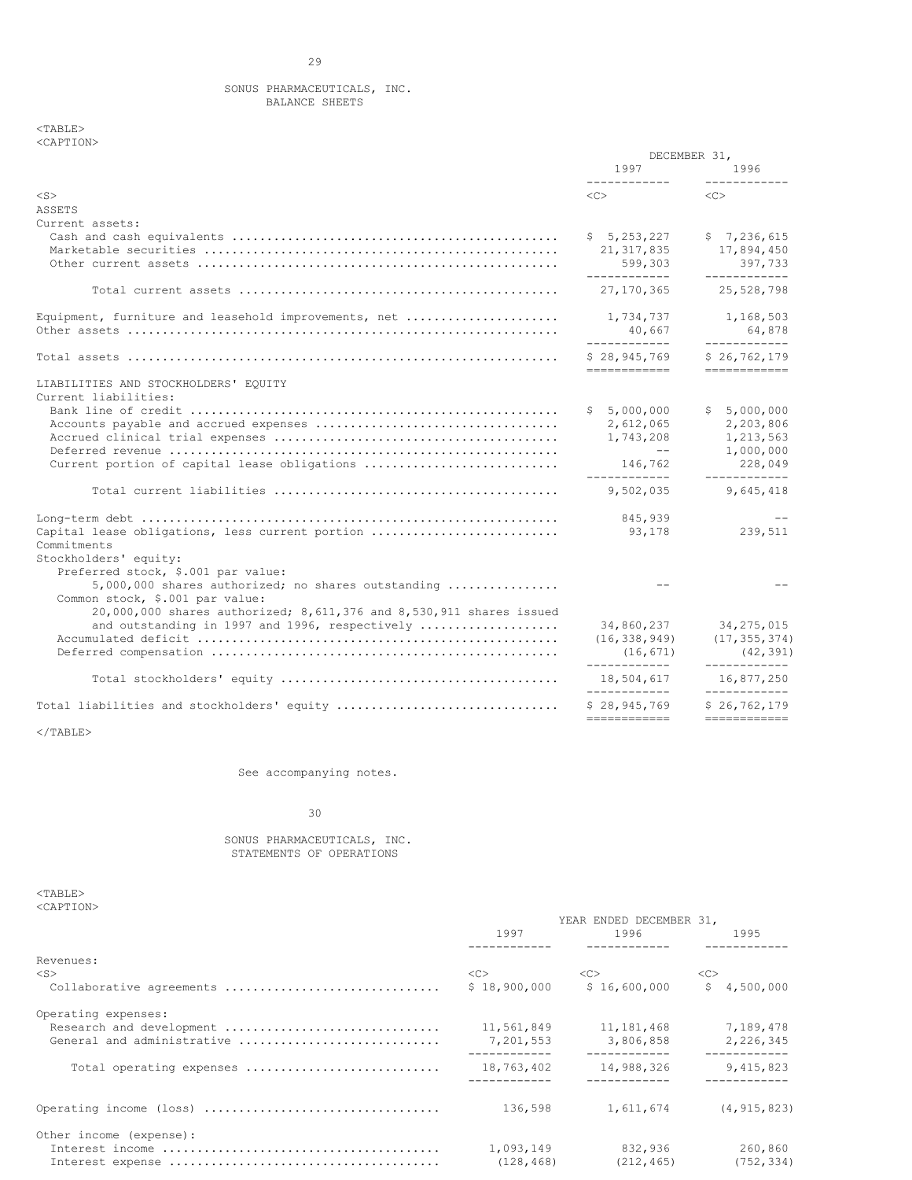## SONUS PHARMACEUTICALS, INC. BALANCE SHEETS

 $<$ TABLE> <CAPTION>

|                                                                     | DECEMBER 31,                                                                                                                                                                                                                    |                              |  |
|---------------------------------------------------------------------|---------------------------------------------------------------------------------------------------------------------------------------------------------------------------------------------------------------------------------|------------------------------|--|
|                                                                     | 1997 — 2007 — 2008 — 2010 — 2020 — 2020 — 2020 — 2020 — 2020 — 2020 — 2020 — 2020 — 2020 — 2020 — 2020 — 2020 — 2020 — 2020 — 2020 — 2020 — 2020 — 2020 — 2020 — 2020 — 2020 — 2020 — 2020 — 2020 — 2020 — 2020 — 2020 — 2020 — | 1996<br>____________         |  |
| $<$ S $>$                                                           | $\langle$ C> $\sim$                                                                                                                                                                                                             | $<\infty$                    |  |
| ASSETS                                                              |                                                                                                                                                                                                                                 |                              |  |
| Current assets:                                                     |                                                                                                                                                                                                                                 |                              |  |
|                                                                     | \$5, 253, 227                                                                                                                                                                                                                   | \$7,236,615                  |  |
|                                                                     | 21, 317, 835                                                                                                                                                                                                                    | 17,894,450                   |  |
|                                                                     | 599,303                                                                                                                                                                                                                         | 397,733                      |  |
|                                                                     | -------------                                                                                                                                                                                                                   | ____________                 |  |
|                                                                     | 27, 170, 365                                                                                                                                                                                                                    | 25,528,798                   |  |
| Equipment, furniture and leasehold improvements, net                | 1,734,737                                                                                                                                                                                                                       | 1,168,503                    |  |
|                                                                     | 40,667<br>____________                                                                                                                                                                                                          | 64,878<br>____________       |  |
|                                                                     | \$28.945.769<br>============                                                                                                                                                                                                    | \$26.762.179<br>============ |  |
| LIABILITIES AND STOCKHOLDERS' EQUITY                                |                                                                                                                                                                                                                                 |                              |  |
| Current liabilities:                                                |                                                                                                                                                                                                                                 |                              |  |
|                                                                     | \$5,000,000                                                                                                                                                                                                                     | \$5,000,000                  |  |
|                                                                     | 2,612,065                                                                                                                                                                                                                       | 2,203,806                    |  |
|                                                                     | 1,743,208                                                                                                                                                                                                                       | 1,213,563                    |  |
|                                                                     | $\sim$ $-$                                                                                                                                                                                                                      | 1,000,000                    |  |
| Current portion of capital lease obligations                        | 146,762                                                                                                                                                                                                                         | 228,049                      |  |
|                                                                     | ____________                                                                                                                                                                                                                    | ____________                 |  |
|                                                                     | 9,502,035                                                                                                                                                                                                                       | 9,645,418                    |  |
|                                                                     | 845,939                                                                                                                                                                                                                         |                              |  |
| Capital lease obligations, less current portion                     | 93,178                                                                                                                                                                                                                          | 239,511                      |  |
| Commitments                                                         |                                                                                                                                                                                                                                 |                              |  |
| Stockholders' equity:                                               |                                                                                                                                                                                                                                 |                              |  |
| Preferred stock, \$.001 par value:                                  |                                                                                                                                                                                                                                 |                              |  |
| $5,000,000$ shares authorized; no shares outstanding                |                                                                                                                                                                                                                                 |                              |  |
| Common stock, \$.001 par value:                                     |                                                                                                                                                                                                                                 |                              |  |
| 20,000,000 shares authorized; 8,611,376 and 8,530,911 shares issued |                                                                                                                                                                                                                                 |                              |  |
| and outstanding in 1997 and 1996, respectively                      |                                                                                                                                                                                                                                 | 34,860,237 34,275,015        |  |
|                                                                     | (16, 338, 949)                                                                                                                                                                                                                  | (17, 355, 374)               |  |
|                                                                     | (16, 671)<br>____________                                                                                                                                                                                                       | (42, 391)<br>____________    |  |
|                                                                     | 18,504,617                                                                                                                                                                                                                      | 16,877,250                   |  |
| Total liabilities and stockholders' equity                          | ------------<br>\$28,945,769                                                                                                                                                                                                    | ------------<br>\$26.762.179 |  |
|                                                                     | ============                                                                                                                                                                                                                    | ============                 |  |

 $<$ /TABLE>

See accompanying notes.

# 30

## SONUS PHARMACEUTICALS, INC. STATEMENTS OF OPERATIONS

 $<$ TABLE $>$ <CAPTION>

|                            | YEAR ENDED DECEMBER 31, |                             |                           |  |  |  |
|----------------------------|-------------------------|-----------------------------|---------------------------|--|--|--|
|                            | 1997                    | 1996                        | 1995                      |  |  |  |
| Revenues:                  |                         |                             |                           |  |  |  |
| $<$ S $>$                  | $<<$ $>>$               | < <c></c>                   | < <sub></sub>             |  |  |  |
| Collaborative agreements   |                         | $$18,900,000$ $$16,600,000$ | \$4,500,000               |  |  |  |
| Operating expenses:        |                         |                             |                           |  |  |  |
| Research and development   | 11,561,849              | 11, 181, 468 7, 189, 478    |                           |  |  |  |
| General and administrative | 7,201,553               | 3,806,858<br>------------   | 2,226,345<br>------------ |  |  |  |
| Total operating expenses   | 18,763,402              | 14,988,326                  | 9,415,823                 |  |  |  |
|                            | 136,598                 |                             | 1,611,674 (4,915,823)     |  |  |  |
| Other income (expense):    |                         |                             |                           |  |  |  |
|                            | 1,093,149               | 832,936                     | 260,860                   |  |  |  |
|                            | (128, 468)              | (212, 465)                  | (752, 334)                |  |  |  |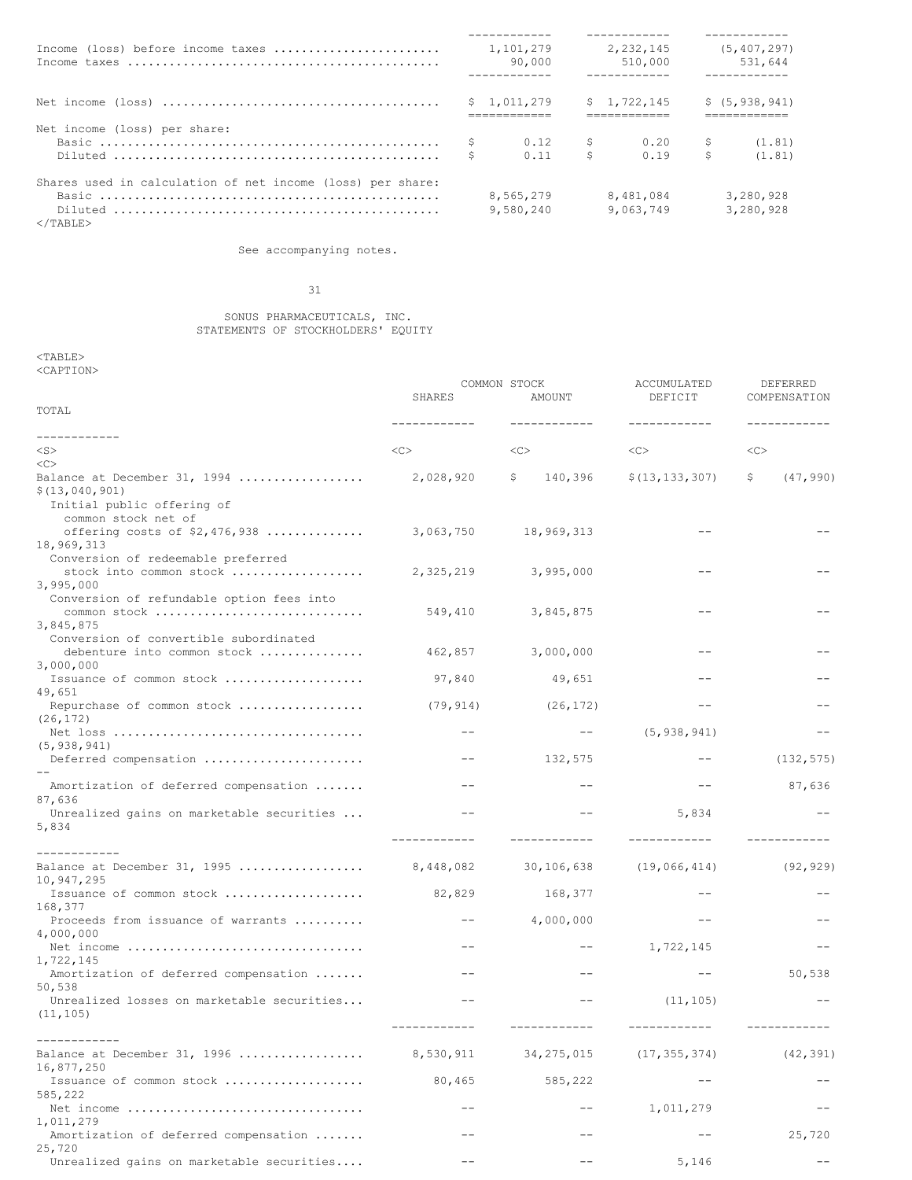| Income (loss) before income taxes                          |  | 1,101,279   |               | 2,232,145   |             | (5, 407, 297)   |
|------------------------------------------------------------|--|-------------|---------------|-------------|-------------|-----------------|
|                                                            |  | 90,000      |               | 510,000     |             | 531,644         |
|                                                            |  |             |               |             |             |                 |
|                                                            |  | \$1.011.279 |               | \$1.722.145 |             | \$(5, 938, 941) |
|                                                            |  |             | ------------  |             |             |                 |
| Net income (loss) per share:                               |  |             |               |             |             |                 |
|                                                            |  | 0.12        | $\mathcal{S}$ | $0.20$ \$   |             | (1.81)          |
|                                                            |  | 0.11        | Ŝ.            | 0.19        | $S$ and $S$ | (1, 81)         |
| Shares used in calculation of net income (loss) per share: |  |             |               |             |             |                 |
|                                                            |  | 8,565,279   |               | 8,481,084   |             | 3.280.928       |
| $<$ /TABLE>                                                |  | 9,580,240   |               | 9,063,749   |             | 3.280.928       |

See accompanying notes.

## 31

#### SONUS PHARMACEUTICALS, INC. STATEMENTS OF STOCKHOLDERS' EQUITY

## $<$ TABLE $>$ <CAPTION>

|                                                               | COMMON STOCK<br><b>SHARES</b><br>AMOUNT |                | ACCUMULATED<br>DEFICIT | DEFERRED<br>COMPENSATION |  |
|---------------------------------------------------------------|-----------------------------------------|----------------|------------------------|--------------------------|--|
| TOTAL                                                         | ------------                            | ------------   | ------------           |                          |  |
| ------------                                                  |                                         |                |                        |                          |  |
| $<$ S $>$                                                     | <<                                      | <<             | <<                     | <<                       |  |
| <<<br>Balance at December 31, 1994                            | 2,028,920                               | 140,396<br>\$. | \$(13, 133, 307)       | (47, 990)<br>\$          |  |
| \$(13, 040, 901)                                              |                                         |                |                        |                          |  |
| Initial public offering of<br>common stock net of             |                                         |                |                        |                          |  |
| offering costs of $$2,476,938$                                | 3,063,750                               | 18,969,313     |                        |                          |  |
| 18,969,313                                                    |                                         |                |                        |                          |  |
| Conversion of redeemable preferred<br>stock into common stock | 2,325,219                               | 3,995,000      |                        |                          |  |
| 3,995,000                                                     |                                         |                |                        |                          |  |
| Conversion of refundable option fees into                     |                                         |                |                        |                          |  |
| common stock                                                  | 549,410                                 | 3,845,875      |                        |                          |  |
| 3,845,875                                                     |                                         |                |                        |                          |  |
| Conversion of convertible subordinated                        |                                         |                |                        |                          |  |
| debenture into common stock                                   | 462,857                                 | 3,000,000      |                        |                          |  |
| 3,000,000                                                     |                                         |                |                        |                          |  |
| Issuance of common stock                                      | 97,840                                  | 49,651         |                        |                          |  |
| 49.651                                                        |                                         |                |                        |                          |  |
| Repurchase of common stock                                    | (79, 914)                               | (26, 172)      | $ -$                   |                          |  |
| (26, 172)                                                     |                                         |                |                        |                          |  |
|                                                               | $- -$                                   | $--$           | (5, 938, 941)          |                          |  |
| (5, 938, 941)                                                 |                                         |                |                        |                          |  |
| Deferred compensation                                         | $- -$                                   | 132,575        |                        | (132, 575)               |  |
| Amortization of deferred compensation                         |                                         | $- -$          | $- -$                  | 87,636                   |  |
| 87,636                                                        |                                         |                |                        |                          |  |
| Unrealized gains on marketable securities                     |                                         |                | 5,834                  |                          |  |
| 5,834                                                         |                                         |                |                        |                          |  |
|                                                               |                                         |                | ------------           |                          |  |
| -----------                                                   |                                         |                |                        |                          |  |
| Balance at December 31, 1995                                  | 8,448,082                               | 30,106,638     | (19,066,414)           | (92, 929)                |  |
| 10,947,295                                                    |                                         |                |                        |                          |  |
| Issuance of common stock                                      | 82,829                                  | 168,377        |                        |                          |  |
| 168,377<br>Proceeds from issuance of warrants                 | $- -$                                   | 4,000,000      | $- -$                  |                          |  |
| 4,000,000                                                     |                                         |                |                        |                          |  |
| Net income                                                    | $- -$                                   | $- -$          | 1,722,145              |                          |  |
| 1,722,145                                                     |                                         |                |                        |                          |  |
| Amortization of deferred compensation                         | $ -$                                    | $- -$          | $- -$                  | 50,538                   |  |
| 50,538                                                        |                                         |                |                        |                          |  |
| Unrealized losses on marketable securities                    |                                         |                | (11, 105)              |                          |  |
| (11, 105)                                                     |                                         |                |                        |                          |  |
|                                                               |                                         |                |                        |                          |  |
|                                                               |                                         |                |                        |                          |  |
| Balance at December 31, 1996                                  | 8,530,911                               | 34, 275, 015   | (17, 355, 374)         | (42, 391)                |  |
| 16,877,250<br>Issuance of common stock                        |                                         |                |                        |                          |  |
| 585,222                                                       | 80,465                                  | 585,222        |                        |                          |  |
| Net income                                                    | $- -$                                   | --             | 1,011,279              |                          |  |
| 1,011,279                                                     |                                         |                |                        |                          |  |
| Amortization of deferred compensation                         | $- -$                                   | --             |                        | 25,720                   |  |
| 25,720                                                        |                                         |                |                        |                          |  |
| Unrealized gains on marketable securities                     | $- -$                                   | --             | 5,146                  | --                       |  |
|                                                               |                                         |                |                        |                          |  |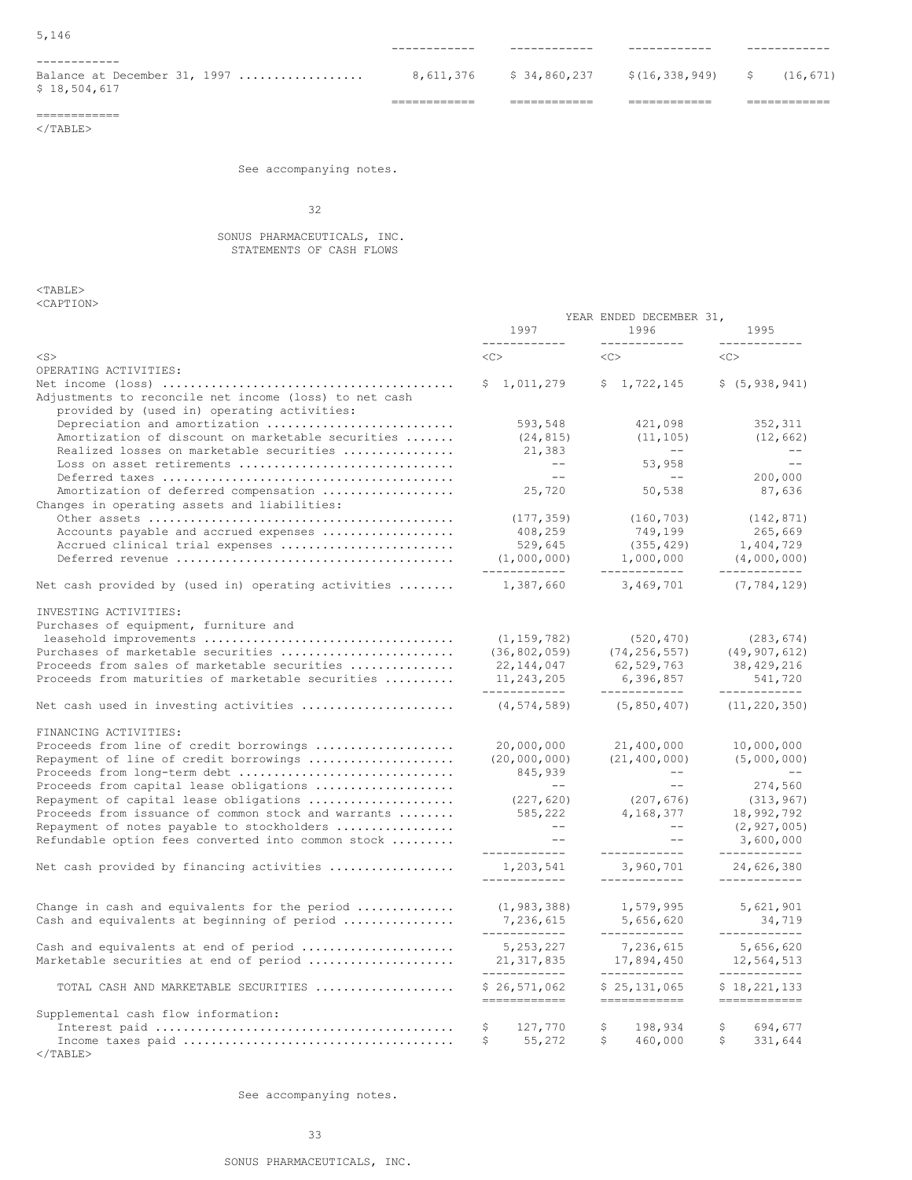|                                                              | ------------ |                                              |          |  |
|--------------------------------------------------------------|--------------|----------------------------------------------|----------|--|
| ------------<br>Balance at December 31, 1997<br>\$18,504,617 |              | $8,611,376$ $$34,860,237$ $$(16,338,949)$ \$ | (16.671) |  |
|                                                              |              |                                              |          |  |

============  $<$ /TABLE>

See accompanying notes.

32

## SONUS PHARMACEUTICALS, INC. STATEMENTS OF CASH FLOWS

 $<$ TABLE> <CAPTION>

|                                                                                                       |                                           | YEAR ENDED DECEMBER 31,                   |                                            |
|-------------------------------------------------------------------------------------------------------|-------------------------------------------|-------------------------------------------|--------------------------------------------|
|                                                                                                       | 1997<br>------------                      | 1996<br>------------                      | 1995                                       |
| $<$ S $>$                                                                                             | <<>                                       | $<\infty$                                 | $<\infty$                                  |
| OPERATING ACTIVITIES:                                                                                 |                                           |                                           |                                            |
|                                                                                                       | \$1,011,279                               | \$1,722,145                               | \$(5, 938, 941)                            |
| Adjustments to reconcile net income (loss) to net cash<br>provided by (used in) operating activities: |                                           |                                           |                                            |
| Depreciation and amortization                                                                         | 593,548                                   | 421,098                                   | 352,311                                    |
| Amortization of discount on marketable securities                                                     | (24, 815)                                 | (11, 105)                                 | (12, 662)                                  |
| Realized losses on marketable securities                                                              | 21,383                                    | $--$                                      | $--$                                       |
| Loss on asset retirements                                                                             | $--$                                      | 53,958                                    | $\sim$ $-$                                 |
|                                                                                                       | $--$                                      | $--$                                      | 200,000                                    |
| Amortization of deferred compensation                                                                 | 25,720                                    | 50,538                                    | 87,636                                     |
| Changes in operating assets and liabilities:                                                          |                                           |                                           |                                            |
|                                                                                                       | (177, 359)                                | (160, 703)                                | (142, 871)                                 |
| Accounts payable and accrued expenses                                                                 | 408,259                                   | 749,199                                   | 265,669                                    |
| Accrued clinical trial expenses                                                                       | 529,645                                   | (355, 429)                                | 1,404,729                                  |
|                                                                                                       | (1,000,000)<br>-------------              | 1,000,000<br>------------                 | (4,000,000)<br>------------                |
| Net cash provided by (used in) operating activities                                                   | 1,387,660                                 | 3,469,701                                 | (7, 784, 129)                              |
| INVESTING ACTIVITIES:                                                                                 |                                           |                                           |                                            |
| Purchases of equipment, furniture and                                                                 |                                           |                                           |                                            |
|                                                                                                       | (1, 159, 782)                             | (520, 470)                                | (283, 674)                                 |
| Purchases of marketable securities                                                                    | (36, 802, 059)                            | (74, 256, 557)                            | (49, 907, 612)                             |
| Proceeds from sales of marketable securities                                                          | 22, 144, 047                              | 62,529,763                                | 38, 429, 216                               |
| Proceeds from maturities of marketable securities                                                     | 11, 243, 205                              | 6,396,857                                 | 541,720<br>____________                    |
| Net cash used in investing activities                                                                 | ------------<br>(4, 574, 589)             | ------------<br>(5, 850, 407)             | (11, 220, 350)                             |
| FINANCING ACTIVITIES:                                                                                 |                                           |                                           |                                            |
| Proceeds from line of credit borrowings                                                               | 20,000,000                                | 21,400,000                                | 10,000,000                                 |
| Repayment of line of credit borrowings                                                                | (20, 000, 000)                            | (21, 400, 000)                            | (5,000,000)                                |
| Proceeds from long-term debt                                                                          | 845,939                                   | $--$                                      |                                            |
| Proceeds from capital lease obligations                                                               | <b>Service Contracts</b>                  | $  \,$                                    | 274,560                                    |
| Repayment of capital lease obligations                                                                | (227, 620)                                | (207, 676)                                | (313, 967)                                 |
| Proceeds from issuance of common stock and warrants                                                   | 585,222                                   | 4,168,377                                 | 18,992,792                                 |
| Repayment of notes payable to stockholders                                                            | $--$                                      | $- -$                                     | (2, 927, 005)                              |
| Refundable option fees converted into common stock                                                    | $ -$                                      |                                           | 3,600,000                                  |
| Net cash provided by financing activities                                                             | ------------<br>1,203,541<br>____________ | ------------<br>3,960,701<br>____________ | ____________<br>24,626,380<br>____________ |
|                                                                                                       |                                           |                                           |                                            |
| Change in cash and equivalents for the period $\ldots \ldots \ldots$                                  | (1, 983, 388)                             | 1,579,995                                 | 5,621,901                                  |
| Cash and equivalents at beginning of period                                                           | 7,236,615<br>------------                 | 5,656,620<br>------------                 | 34,719<br>------------                     |
| Cash and equivalents at end of period                                                                 | 5, 253, 227                               | 7,236,615                                 | 5,656,620                                  |
| Marketable securities at end of period                                                                | 21, 317, 835                              | 17,894,450                                | 12,564,513                                 |
| TOTAL CASH AND MARKETABLE SECURITIES                                                                  | ------------<br>\$26,571,062              | ------------<br>\$25,131,065              | ------------<br>\$18,221,133               |
|                                                                                                       | ============                              | ============                              | ============                               |
| Supplemental cash flow information:                                                                   | 127,770<br>\$.                            | \$<br>198,934                             | \$<br>694,677                              |
|                                                                                                       | 55,272<br>\$                              | 460,000<br>\$                             | 331,644<br>Ŝ.                              |
|                                                                                                       |                                           |                                           |                                            |

 $<$ /TABLE>

See accompanying notes.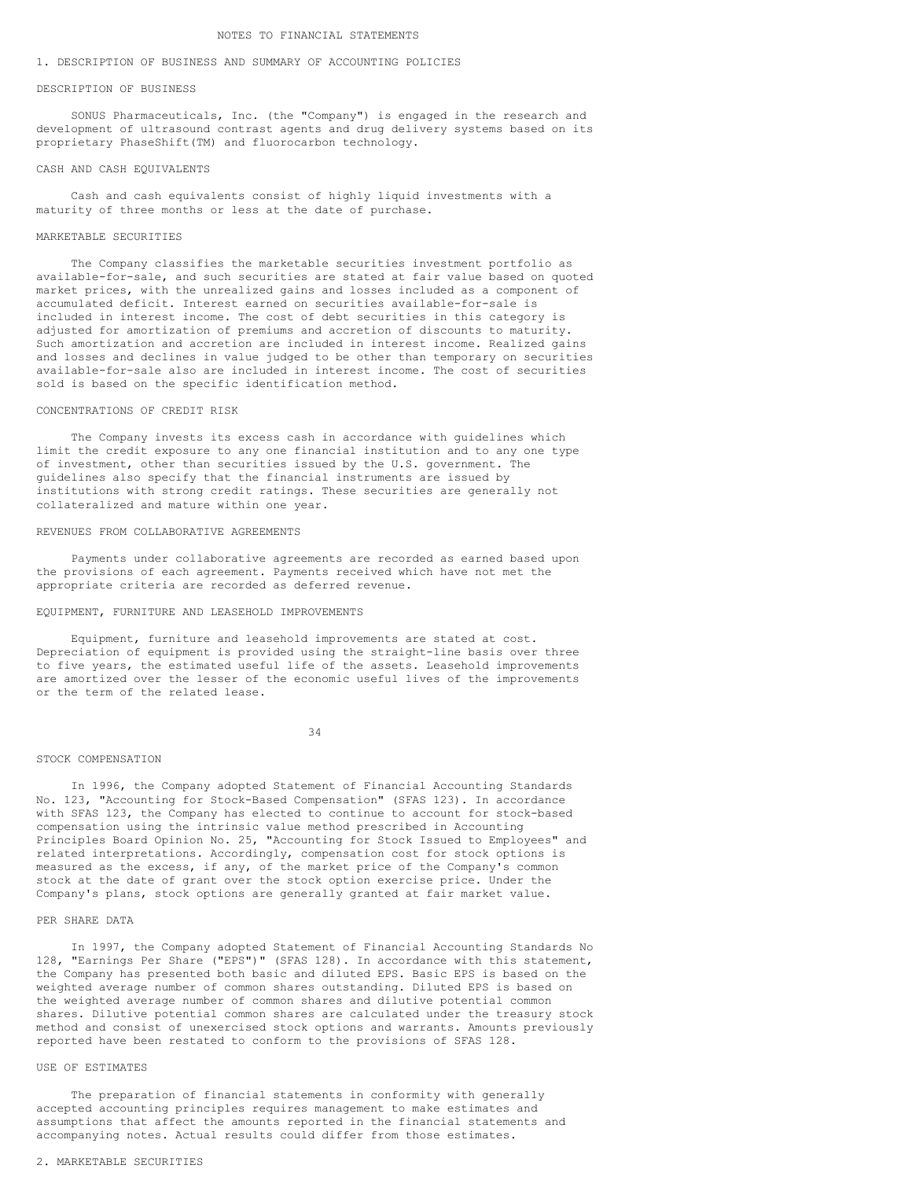#### 1. DESCRIPTION OF BUSINESS AND SUMMARY OF ACCOUNTING POLICIES

#### DESCRIPTION OF BUSINESS

SONUS Pharmaceuticals, Inc. (the "Company") is engaged in the research and development of ultrasound contrast agents and drug delivery systems based on its proprietary PhaseShift(TM) and fluorocarbon technology.

### CASH AND CASH EQUIVALENTS

Cash and cash equivalents consist of highly liquid investments with a maturity of three months or less at the date of purchase.

## MARKETABLE SECURITIES

The Company classifies the marketable securities investment portfolio as available-for-sale, and such securities are stated at fair value based on quoted market prices, with the unrealized gains and losses included as a component of accumulated deficit. Interest earned on securities available-for-sale is included in interest income. The cost of debt securities in this category is adjusted for amortization of premiums and accretion of discounts to maturity. Such amortization and accretion are included in interest income. Realized gains and losses and declines in value judged to be other than temporary on securities available-for-sale also are included in interest income. The cost of securities sold is based on the specific identification method.

## CONCENTRATIONS OF CREDIT RISK

The Company invests its excess cash in accordance with guidelines which limit the credit exposure to any one financial institution and to any one type of investment, other than securities issued by the U.S. government. The guidelines also specify that the financial instruments are issued by institutions with strong credit ratings. These securities are generally not collateralized and mature within one year.

## REVENUES FROM COLLABORATIVE AGREEMENTS

Payments under collaborative agreements are recorded as earned based upon the provisions of each agreement. Payments received which have not met the appropriate criteria are recorded as deferred revenue.

#### EQUIPMENT, FURNITURE AND LEASEHOLD IMPROVEMENTS

Equipment, furniture and leasehold improvements are stated at cost. Depreciation of equipment is provided using the straight-line basis over three to five years, the estimated useful life of the assets. Leasehold improvements are amortized over the lesser of the economic useful lives of the improvements or the term of the related lease.

34

#### STOCK COMPENSATION

In 1996, the Company adopted Statement of Financial Accounting Standards No. 123, "Accounting for Stock-Based Compensation" (SFAS 123). In accordance with SFAS 123, the Company has elected to continue to account for stock-based compensation using the intrinsic value method prescribed in Accounting Principles Board Opinion No. 25, "Accounting for Stock Issued to Employees" and related interpretations. Accordingly, compensation cost for stock options is measured as the excess, if any, of the market price of the Company's common stock at the date of grant over the stock option exercise price. Under the Company's plans, stock options are generally granted at fair market value.

## PER SHARE DATA

In 1997, the Company adopted Statement of Financial Accounting Standards No 128, "Earnings Per Share ("EPS")" (SFAS 128). In accordance with this statement, the Company has presented both basic and diluted EPS. Basic EPS is based on the weighted average number of common shares outstanding. Diluted EPS is based on the weighted average number of common shares and dilutive potential common shares. Dilutive potential common shares are calculated under the treasury stock method and consist of unexercised stock options and warrants. Amounts previously reported have been restated to conform to the provisions of SFAS 128.

#### USE OF ESTIMATES

The preparation of financial statements in conformity with generally accepted accounting principles requires management to make estimates and assumptions that affect the amounts reported in the financial statements and accompanying notes. Actual results could differ from those estimates.

#### 2. MARKETABLE SECURITIES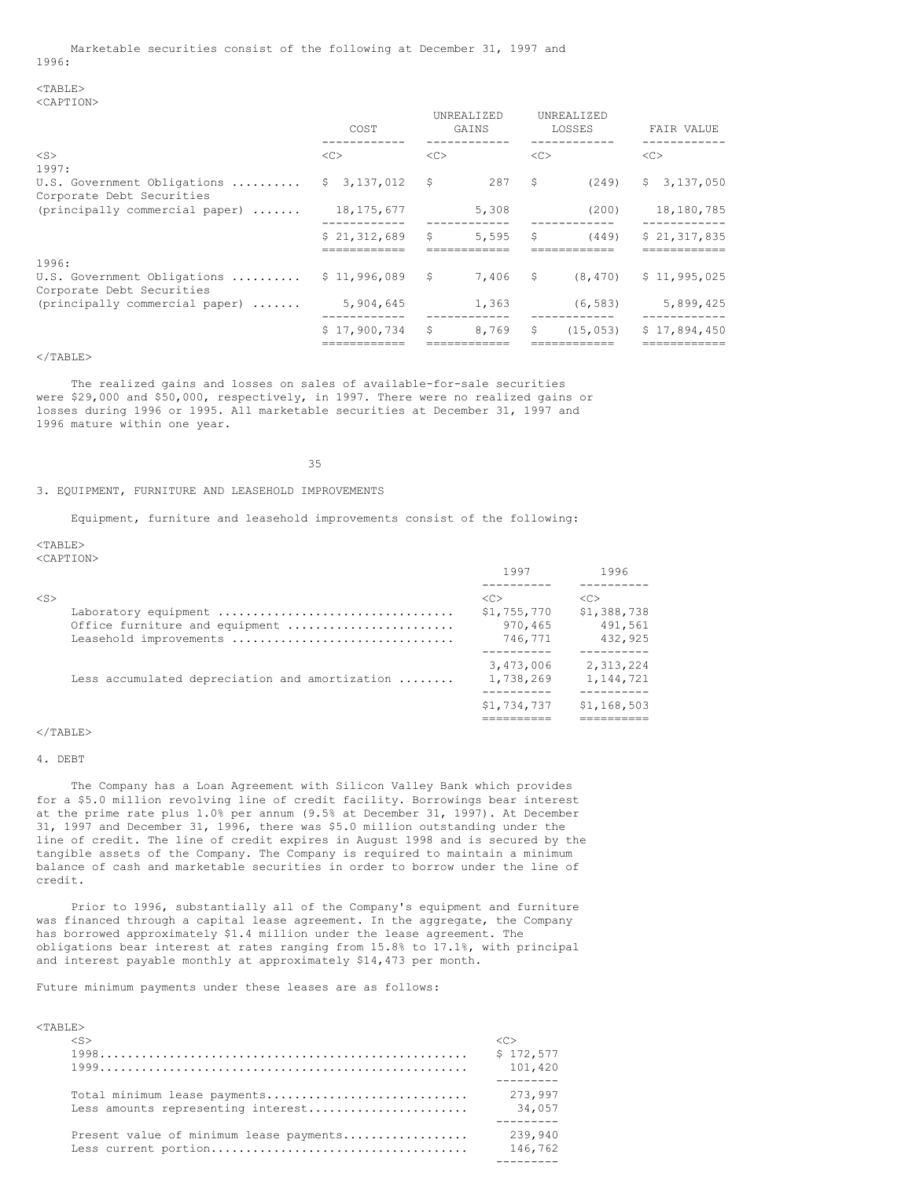#### $<$ TABLE> <CAPTION>

|                                                             | COST                        |    | UNREALIZED<br>GAINS |               | UNREALIZED<br>LOSSES | FAIR VALUE   |
|-------------------------------------------------------------|-----------------------------|----|---------------------|---------------|----------------------|--------------|
| $<$ S><br>1997:                                             | <<                          | << |                     | < <sub></sub> |                      | <<           |
| U.S. Government Obligations<br>Corporate Debt Securities    | 3,137,012<br>S.             | \$ | 287                 | \$            | (249)                | \$3,137,050  |
| $(principally commercial paper)  $                          | 18, 175, 677                |    | 5,308               |               | (200)                | 18,180,785   |
|                                                             | \$21.312.689<br>=========== | \$ | 5,595               | \$            | (449)                | \$21.317.835 |
| 1996:<br>U.S. Government Obligations                        | \$11,996,089                | S. | 7.406               | - \$          | (8, 470)             | \$11,995,025 |
| Corporate Debt Securities<br>(principally commercial paper) | 5,904,645                   |    | 1,363               |               | (6, 583)             | 5,899,425    |
|                                                             | \$17.900.734                | \$ | 8,769               | \$            | (15, 053)            | \$17,894,450 |
|                                                             |                             |    |                     |               |                      |              |

#### $<$ /TABLE>

The realized gains and losses on sales of available-for-sale securities were \$29,000 and \$50,000, respectively, in 1997. There were no realized gains or losses during 1996 or 1995. All marketable securities at December 31, 1997 and 1996 mature within one year.

35

## 3. EQUIPMENT, FURNITURE AND LEASEHOLD IMPROVEMENTS

Equipment, furniture and leasehold improvements consist of the following:

 $<$ TABLE>

<CAPTION>

|                                                          | 1997                               | 1996                   |
|----------------------------------------------------------|------------------------------------|------------------------|
| $<$ S><br>Laboratory equipment                           | $\langle C \rangle$<br>\$1,755,770 | <<<br>\$1,388,738      |
| Office furniture and equipment<br>Leasehold improvements | 970,465<br>746,771                 | 491,561<br>432,925     |
| Less accumulated depreciation and amortization           | 3,473,006<br>1,738,269             | 2,313,224<br>1,144,721 |
|                                                          | \$1,734,737                        | \$1,168,503            |

## $<$ /TABLE>

## 4. DEBT

The Company has a Loan Agreement with Silicon Valley Bank which provides for a \$5.0 million revolving line of credit facility. Borrowings bear interest at the prime rate plus 1.0% per annum (9.5% at December 31, 1997). At December 31, 1997 and December 31, 1996, there was \$5.0 million outstanding under the line of credit. The line of credit expires in August 1998 and is secured by the tangible assets of the Company. The Company is required to maintain a minimum balance of cash and marketable securities in order to borrow under the line of credit.

Prior to 1996, substantially all of the Company's equipment and furniture was financed through a capital lease agreement. In the aggregate, the Company has borrowed approximately \$1.4 million under the lease agreement. The obligations bear interest at rates ranging from 15.8% to 17.1%, with principal and interest payable monthly at approximately \$14,473 per month.

Future minimum payments under these leases are as follows:

## <TABLE>

| $<$ S $>$                               |           |
|-----------------------------------------|-----------|
|                                         | \$172.577 |
|                                         | 101,420   |
|                                         |           |
| Total minimum lease payments            | 273,997   |
| Less amounts representing interest      | 34,057    |
|                                         |           |
| Present value of minimum lease payments | 239,940   |
|                                         | 146,762   |
|                                         |           |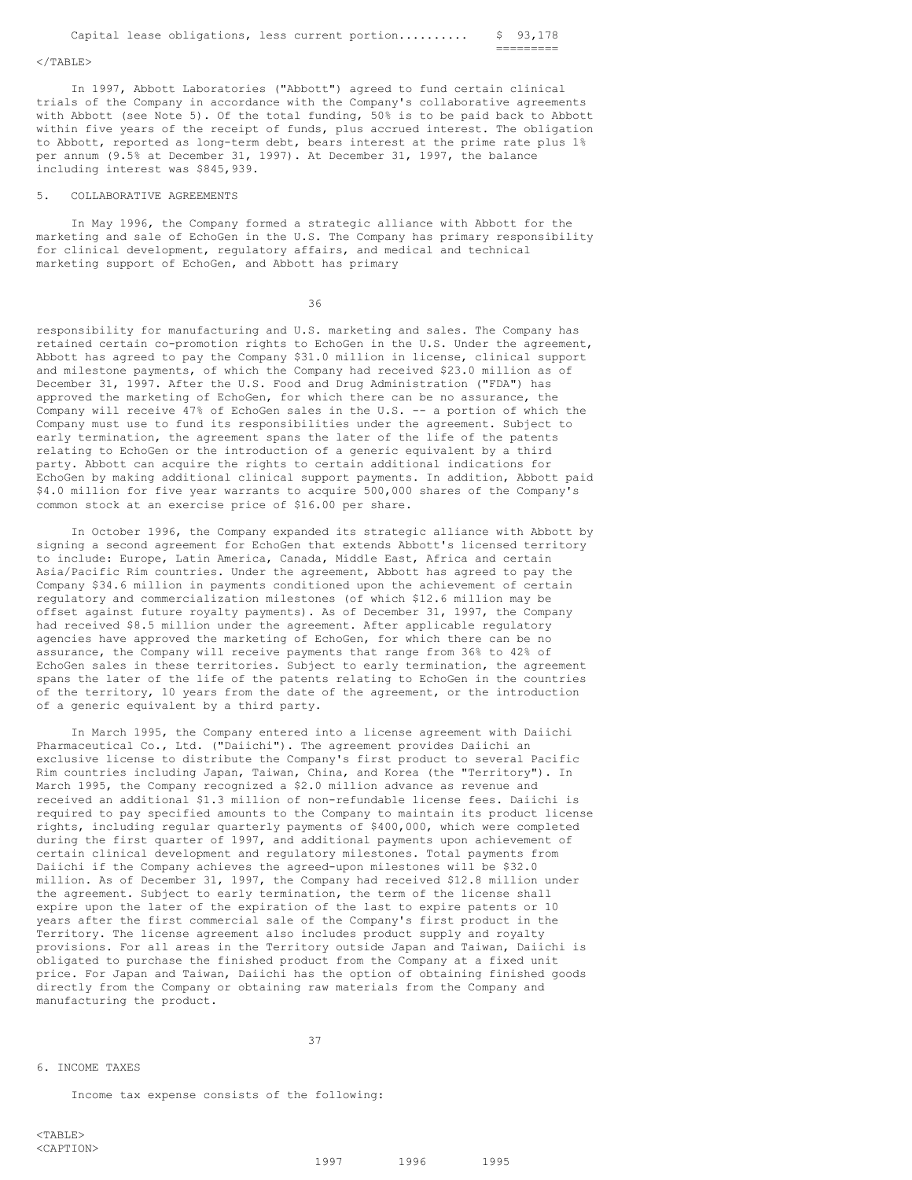=========

#### $\langle$ /TABLE>

In 1997, Abbott Laboratories ("Abbott") agreed to fund certain clinical trials of the Company in accordance with the Company's collaborative agreements with Abbott (see Note 5). Of the total funding, 50% is to be paid back to Abbott within five years of the receipt of funds, plus accrued interest. The obligation to Abbott, reported as long-term debt, bears interest at the prime rate plus 1% per annum (9.5% at December 31, 1997). At December 31, 1997, the balance including interest was \$845,939.

## 5. COLLABORATIVE AGREEMENTS

In May 1996, the Company formed a strategic alliance with Abbott for the marketing and sale of EchoGen in the U.S. The Company has primary responsibility for clinical development, regulatory affairs, and medical and technical marketing support of EchoGen, and Abbott has primary

36

responsibility for manufacturing and U.S. marketing and sales. The Company has retained certain co-promotion rights to EchoGen in the U.S. Under the agreement, Abbott has agreed to pay the Company \$31.0 million in license, clinical support and milestone payments, of which the Company had received \$23.0 million as of December 31, 1997. After the U.S. Food and Drug Administration ("FDA") has approved the marketing of EchoGen, for which there can be no assurance, the Company will receive 47% of EchoGen sales in the U.S. -- a portion of which the Company must use to fund its responsibilities under the agreement. Subject to early termination, the agreement spans the later of the life of the patents relating to EchoGen or the introduction of a generic equivalent by a third party. Abbott can acquire the rights to certain additional indications for EchoGen by making additional clinical support payments. In addition, Abbott paid \$4.0 million for five year warrants to acquire 500,000 shares of the Company's common stock at an exercise price of \$16.00 per share.

In October 1996, the Company expanded its strategic alliance with Abbott by signing a second agreement for EchoGen that extends Abbott's licensed territory to include: Europe, Latin America, Canada, Middle East, Africa and certain Asia/Pacific Rim countries. Under the agreement, Abbott has agreed to pay the Company \$34.6 million in payments conditioned upon the achievement of certain regulatory and commercialization milestones (of which \$12.6 million may be offset against future royalty payments). As of December 31, 1997, the Company had received \$8.5 million under the agreement. After applicable regulatory agencies have approved the marketing of EchoGen, for which there can be no assurance, the Company will receive payments that range from 36% to 42% of EchoGen sales in these territories. Subject to early termination, the agreement spans the later of the life of the patents relating to EchoGen in the countries of the territory, 10 years from the date of the agreement, or the introduction of a generic equivalent by a third party.

In March 1995, the Company entered into a license agreement with Daiichi Pharmaceutical Co., Ltd. ("Daiichi"). The agreement provides Daiichi an exclusive license to distribute the Company's first product to several Pacific Rim countries including Japan, Taiwan, China, and Korea (the "Territory"). In March 1995, the Company recognized a \$2.0 million advance as revenue and received an additional \$1.3 million of non-refundable license fees. Daiichi is required to pay specified amounts to the Company to maintain its product license rights, including regular quarterly payments of \$400,000, which were completed during the first quarter of 1997, and additional payments upon achievement of certain clinical development and regulatory milestones. Total payments from Daiichi if the Company achieves the agreed-upon milestones will be \$32.0 million. As of December 31, 1997, the Company had received \$12.8 million under the agreement. Subject to early termination, the term of the license shall expire upon the later of the expiration of the last to expire patents or 10 years after the first commercial sale of the Company's first product in the Territory. The license agreement also includes product supply and royalty provisions. For all areas in the Territory outside Japan and Taiwan, Daiichi is obligated to purchase the finished product from the Company at a fixed unit price. For Japan and Taiwan, Daiichi has the option of obtaining finished goods directly from the Company or obtaining raw materials from the Company and manufacturing the product.

6. INCOME TAXES

37

Income tax expense consists of the following:

1997 1996 1995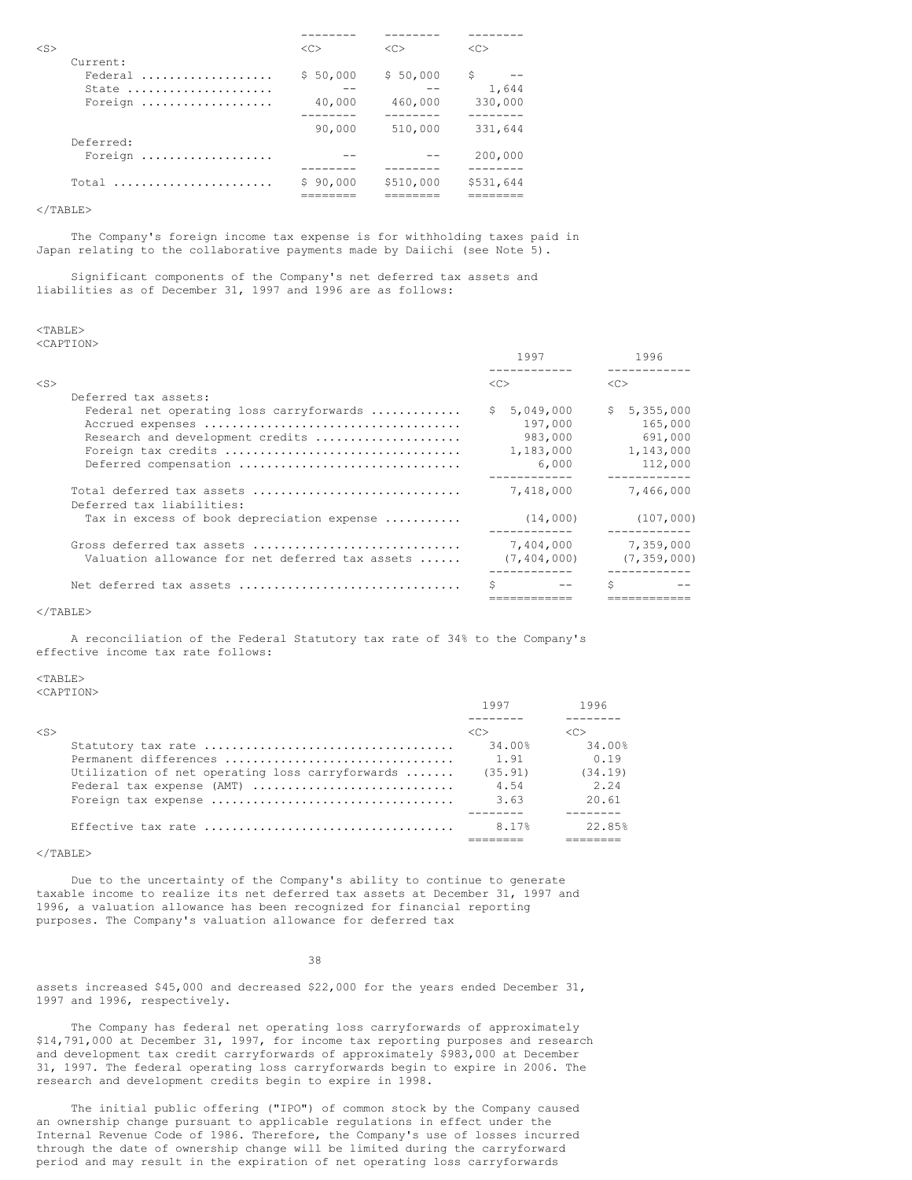| $<$ S>                                  | <<                           | < <sub></sub>                  | < <sub></sub>                    |
|-----------------------------------------|------------------------------|--------------------------------|----------------------------------|
| Current:<br>Federal<br>State<br>Foreign | \$50,000<br>40,000<br>90,000 | \$50,000<br>460,000<br>510,000 | S<br>1,644<br>330,000<br>331,644 |
| Deferred:<br>Foreign                    |                              |                                | 200,000                          |
| $Total$                                 | \$90.000                     | \$510,000                      | \$531,644                        |

</TABLE>

The Company's foreign income tax expense is for withholding taxes paid in Japan relating to the collaborative payments made by Daiichi (see Note 5).

Significant components of the Company's net deferred tax assets and liabilities as of December 31, 1997 and 1996 are as follows:

# <TABLE>

<CAPTION>

|           |                                                                         |    | 1997          |    | 1996          |
|-----------|-------------------------------------------------------------------------|----|---------------|----|---------------|
| $<$ S $>$ |                                                                         |    | < <sub></sub> | << |               |
|           | Deferred tax assets:                                                    |    |               |    |               |
|           | Federal net operating loss carryforwards                                | S. | 5,049,000     |    | \$5,355,000   |
|           |                                                                         |    | 197,000       |    | 165,000       |
|           | Research and development credits                                        |    | 983,000       |    | 691,000       |
|           | Foreign tax credits                                                     |    | 1,183,000     |    | 1,143,000     |
|           | Deferred compensation                                                   |    | 6,000         |    | 112,000       |
|           | Total deferred tax assets                                               |    | 7,418,000     |    | 7,466,000     |
|           | Deferred tax liabilities:<br>Tax in excess of book depreciation expense |    | (14,000)      |    | (107, 000)    |
|           | Gross deferred tax assets                                               |    | 7,404,000     |    | 7,359,000     |
|           | Valuation allowance for net deferred tax assets                         |    | (7, 404, 000) |    | (7, 359, 000) |
|           | Net deferred tax assets                                                 |    |               | Ŝ  |               |
|           |                                                                         |    |               |    |               |

#### $\langle$ /TABLE>

A reconciliation of the Federal Statutory tax rate of 34% to the Company's effective income tax rate follows:

## $<sub>TAPER></sub>$ </sub>

<CAPTION>

|                                                 | 1997                | 1996                |
|-------------------------------------------------|---------------------|---------------------|
|                                                 |                     |                     |
| <s></s>                                         | $\langle C \rangle$ | $\langle C \rangle$ |
|                                                 | 34.00%              | 34.00%              |
| Permanent differences                           | 1.91                | 0.19                |
| Utilization of net operating loss carryforwards | (35.91)             | (34.19)             |
| Federal tax expense (AMT)                       | 4.54                | 2.24                |
|                                                 | 3.63                | 20.61               |
|                                                 |                     |                     |
|                                                 | 8.17%               | 22.85%              |
|                                                 |                     |                     |

 $<$ /TABLE>

Due to the uncertainty of the Company's ability to continue to generate taxable income to realize its net deferred tax assets at December 31, 1997 and 1996, a valuation allowance has been recognized for financial reporting purposes. The Company's valuation allowance for deferred tax

38

assets increased \$45,000 and decreased \$22,000 for the years ended December 31, 1997 and 1996, respectively.

The Company has federal net operating loss carryforwards of approximately \$14,791,000 at December 31, 1997, for income tax reporting purposes and research and development tax credit carryforwards of approximately \$983,000 at December 31, 1997. The federal operating loss carryforwards begin to expire in 2006. The research and development credits begin to expire in 1998.

The initial public offering ("IPO") of common stock by the Company caused an ownership change pursuant to applicable regulations in effect under the Internal Revenue Code of 1986. Therefore, the Company's use of losses incurred through the date of ownership change will be limited during the carryforward period and may result in the expiration of net operating loss carryforwards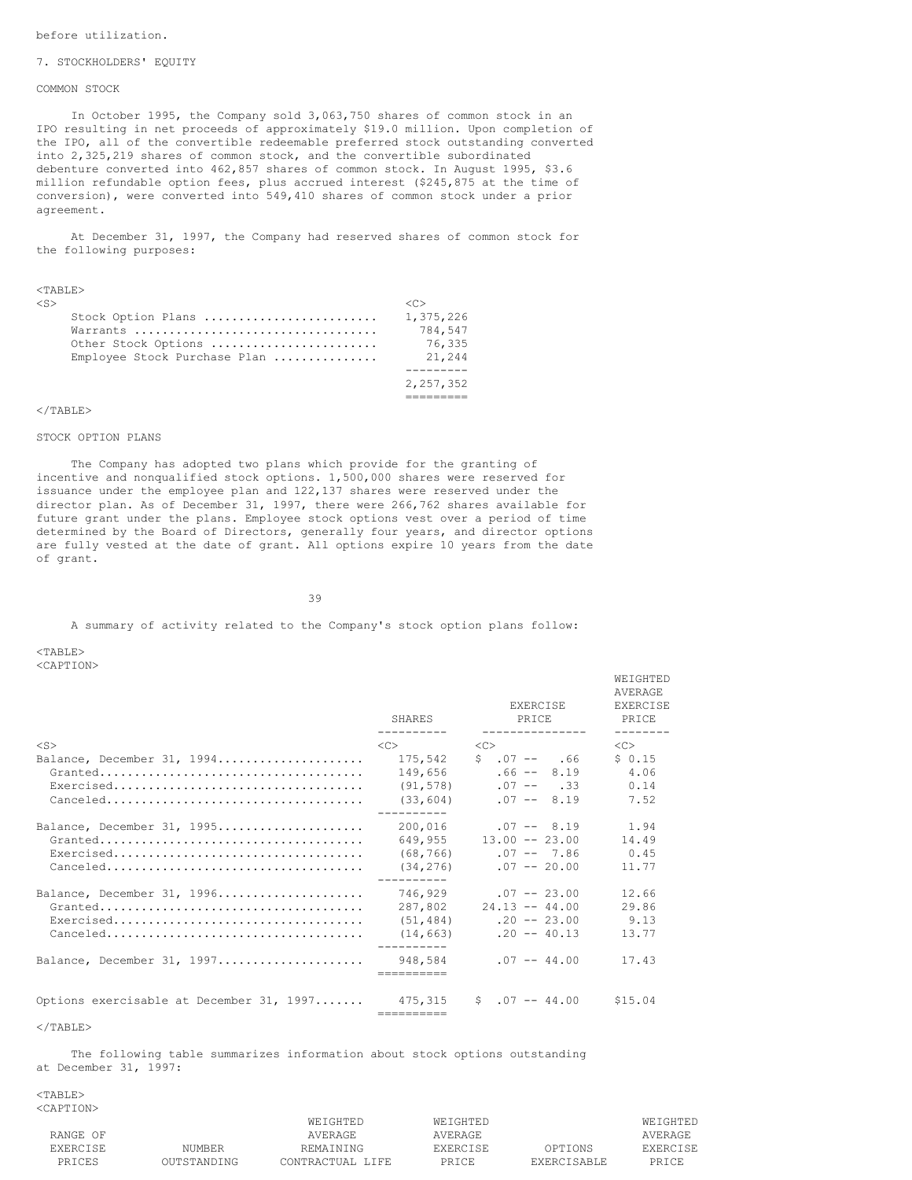#### 7. STOCKHOLDERS' EQUITY

## COMMON STOCK

In October 1995, the Company sold 3,063,750 shares of common stock in an IPO resulting in net proceeds of approximately \$19.0 million. Upon completion of the IPO, all of the convertible redeemable preferred stock outstanding converted into 2,325,219 shares of common stock, and the convertible subordinated debenture converted into 462,857 shares of common stock. In August 1995, \$3.6 million refundable option fees, plus accrued interest (\$245,875 at the time of conversion), were converted into 549,410 shares of common stock under a prior agreement.

At December 31, 1997, the Company had reserved shares of common stock for the following purposes:

#### <TABLE>

| Stock Option Plans           | 1,375,226 |
|------------------------------|-----------|
|                              | 784.547   |
|                              |           |
| Other Stock Options          | 76.335    |
| Employee Stock Purchase Plan | 21,244    |
|                              |           |
|                              | 2,257,352 |
|                              |           |

#### $\langle$ /TABLE>

#### STOCK OPTION PLANS

The Company has adopted two plans which provide for the granting of incentive and nonqualified stock options. 1,500,000 shares were reserved for issuance under the employee plan and 122,137 shares were reserved under the director plan. As of December 31, 1997, there were 266,762 shares available for future grant under the plans. Employee stock options vest over a period of time determined by the Board of Directors, generally four years, and director options are fully vested at the date of grant. All options expire 10 years from the date of grant.

39

A summary of activity related to the Company's stock option plans follow:

 $<$ TABLE> <CAPTION>

|                                          | SHARES<br>----------  | <b>EXERCISE</b><br>PRICE<br>--------------- | AVERAGE<br><b>EXERCISE</b><br><b>PRTCE</b><br>-------- |
|------------------------------------------|-----------------------|---------------------------------------------|--------------------------------------------------------|
| $<$ S $>$                                | < <sub></sub>         | <<                                          | $<<$ $>>$                                              |
| Balance, December 31, 1994               | 175,542               | $$.07 -- .66$                               | \$0.15                                                 |
|                                          | 149,656               | $.66 - - 8.19$                              | 4.06                                                   |
|                                          | (91, 578)             | $.07 - - .33$                               | 0.14                                                   |
|                                          | (33, 604)             | $.07 - - 8.19$                              | 7.52                                                   |
|                                          |                       |                                             |                                                        |
| Balance, December 31, 1995               | 200,016               | $.07 - - 8.19$                              | 1.94                                                   |
|                                          | 649,955               | $13.00 - 23.00$                             | 14.49                                                  |
|                                          | (68, 766)             | $.07 - -7.86$                               | 0.45                                                   |
|                                          | (34, 276)             | $.07 - 20.00$                               | 11.77                                                  |
| Balance, December 31, 1996               | 746,929               | $.07 - 23.00$                               | 12.66                                                  |
|                                          | 287,802               | $24.13 - 44.00$                             | 29.86                                                  |
|                                          | (51, 484)             | $.20 - 23.00$                               | 9.13                                                   |
|                                          | (14, 663)             | $.20 - 40.13$                               | 13.77                                                  |
| Balance, December 31, 1997               | 948,584               | $.07 - 44.00$                               | 17.43                                                  |
| Options exercisable at December 31, 1997 | 475.315<br>========== | $$07 - 44.00$                               | \$15.04                                                |

**WEIGHTED** 

 $<$ /TABLE>

The following table summarizes information about stock options outstanding at December 31, 1997:

 $<$ TABLE> <CAPTION>

|                 |             | WEIGHTED         | WEIGHTED        |                    | <b>WEIGHTED</b> |
|-----------------|-------------|------------------|-----------------|--------------------|-----------------|
| RANGE OF        |             | AVERAGE          | AVERAGE         |                    | AVERAGE         |
| <b>EXERCISE</b> | NUMBER      | REMAINING        | <b>EXERCISE</b> | OPTIONS            | <b>EXERCISE</b> |
| PRICES          | OUTSTANDING | CONTRACTUAL LIFE | PRTCE.          | <b>EXERCISARLE</b> | PRTCE.          |
|                 |             |                  |                 |                    |                 |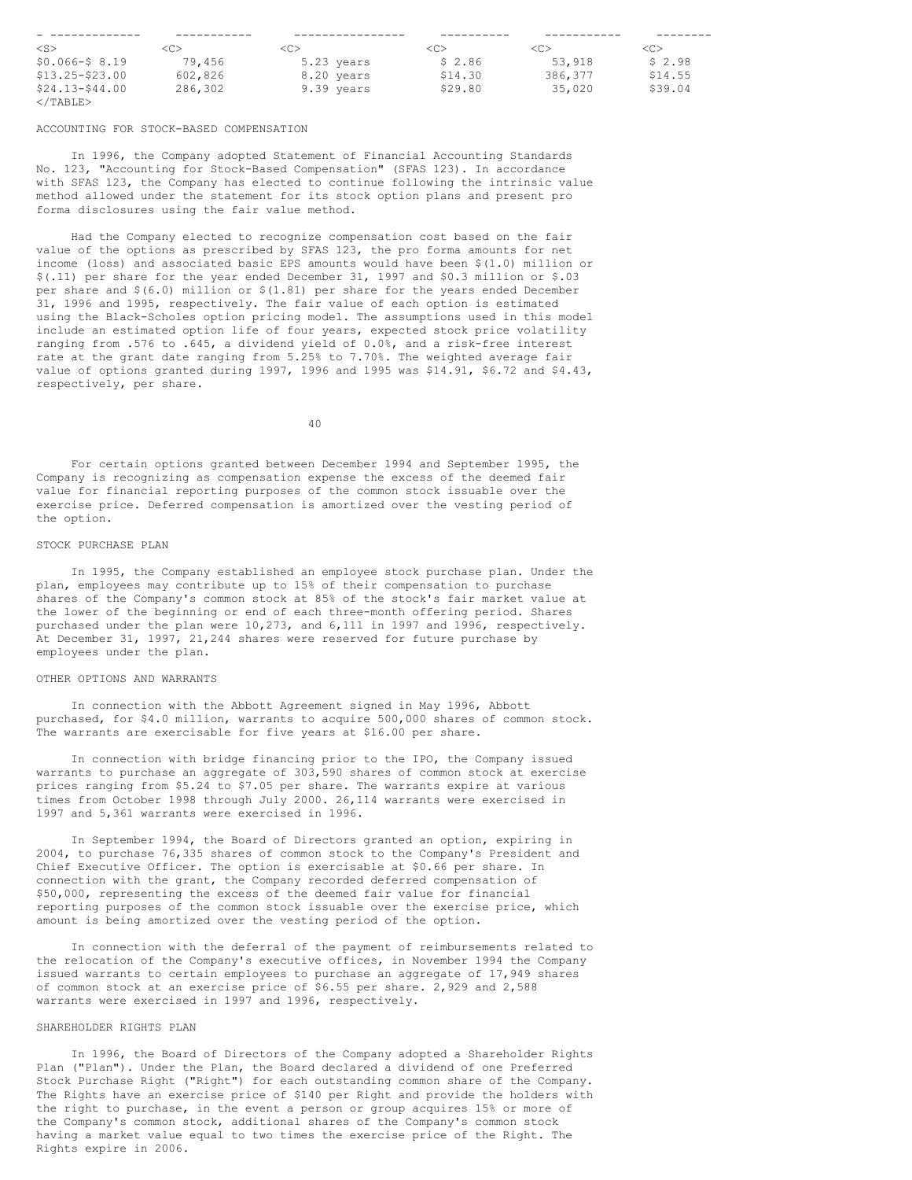|                   |         | ------------ |         |         |               |
|-------------------|---------|--------------|---------|---------|---------------|
| $<$ S>            | <c></c> | <c></c>      | <c></c> | <c></c> | < <sub></sub> |
| $$0.066 - $8.19$  | 79.456  | 5.23 years   | \$2.86  | 53,918  | \$2.98        |
| $$13.25 - $23.00$ | 602,826 | 8.20 years   | \$14.30 | 386,377 | \$14.55       |
| $$24.13 - $44.00$ | 286,302 | 9.39 years   | \$29.80 | 35,020  | \$39.04       |
| $\langle$ /TABLE> |         |              |         |         |               |

#### ACCOUNTING FOR STOCK-BASED COMPENSATION

In 1996, the Company adopted Statement of Financial Accounting Standards No. 123, "Accounting for Stock-Based Compensation" (SFAS 123). In accordance with SFAS 123, the Company has elected to continue following the intrinsic value method allowed under the statement for its stock option plans and present pro forma disclosures using the fair value method.

Had the Company elected to recognize compensation cost based on the fair value of the options as prescribed by SFAS 123, the pro forma amounts for net income (loss) and associated basic EPS amounts would have been \$(1.0) million or \$(.11) per share for the year ended December 31, 1997 and \$0.3 million or \$.03 per share and \$(6.0) million or \$(1.81) per share for the years ended December 31, 1996 and 1995, respectively. The fair value of each option is estimated using the Black-Scholes option pricing model. The assumptions used in this model include an estimated option life of four years, expected stock price volatility ranging from .576 to .645, a dividend yield of 0.0%, and a risk-free interest rate at the grant date ranging from 5.25% to 7.70%. The weighted average fair value of options granted during 1997, 1996 and 1995 was \$14.91, \$6.72 and \$4.43, respectively, per share.

40

For certain options granted between December 1994 and September 1995, the Company is recognizing as compensation expense the excess of the deemed fair value for financial reporting purposes of the common stock issuable over the exercise price. Deferred compensation is amortized over the vesting period of the option.

## STOCK PURCHASE PLAN

In 1995, the Company established an employee stock purchase plan. Under the plan, employees may contribute up to 15% of their compensation to purchase shares of the Company's common stock at 85% of the stock's fair market value at the lower of the beginning or end of each three-month offering period. Shares purchased under the plan were 10,273, and 6,111 in 1997 and 1996, respectively. At December 31, 1997, 21,244 shares were reserved for future purchase by employees under the plan.

#### OTHER OPTIONS AND WARRANTS

In connection with the Abbott Agreement signed in May 1996, Abbott purchased, for \$4.0 million, warrants to acquire 500,000 shares of common stock. The warrants are exercisable for five years at \$16.00 per share.

In connection with bridge financing prior to the IPO, the Company issued warrants to purchase an aggregate of 303,590 shares of common stock at exercise prices ranging from \$5.24 to \$7.05 per share. The warrants expire at various times from October 1998 through July 2000. 26,114 warrants were exercised in 1997 and 5,361 warrants were exercised in 1996.

In September 1994, the Board of Directors granted an option, expiring in 2004, to purchase 76,335 shares of common stock to the Company's President and Chief Executive Officer. The option is exercisable at \$0.66 per share. In connection with the grant, the Company recorded deferred compensation of \$50,000, representing the excess of the deemed fair value for financial reporting purposes of the common stock issuable over the exercise price, which amount is being amortized over the vesting period of the option.

In connection with the deferral of the payment of reimbursements related to the relocation of the Company's executive offices, in November 1994 the Company issued warrants to certain employees to purchase an aggregate of 17,949 shares of common stock at an exercise price of \$6.55 per share. 2,929 and 2,588 warrants were exercised in 1997 and 1996, respectively.

## SHAREHOLDER RIGHTS PLAN

In 1996, the Board of Directors of the Company adopted a Shareholder Rights Plan ("Plan"). Under the Plan, the Board declared a dividend of one Preferred Stock Purchase Right ("Right") for each outstanding common share of the Company. The Rights have an exercise price of \$140 per Right and provide the holders with the right to purchase, in the event a person or group acquires 15% or more of the Company's common stock, additional shares of the Company's common stock having a market value equal to two times the exercise price of the Right. The Rights expire in 2006.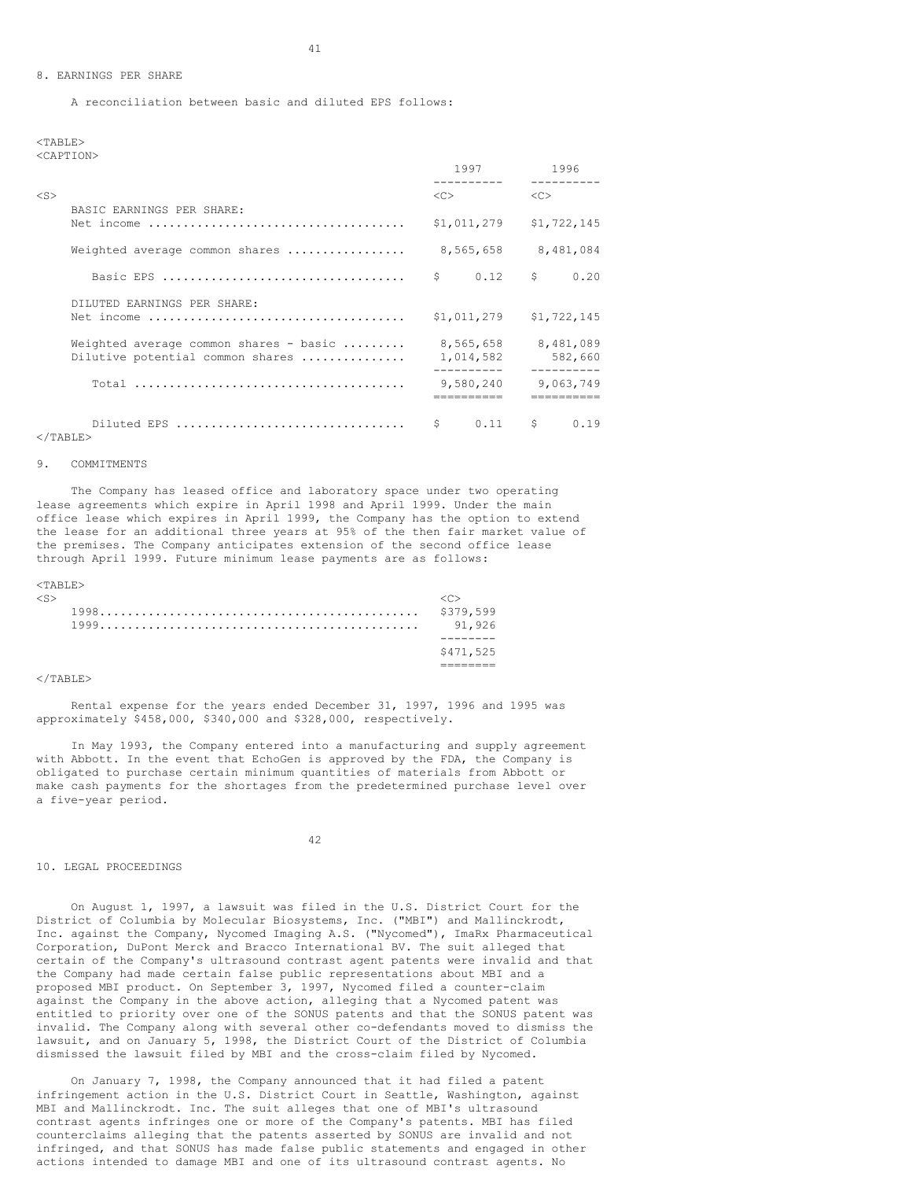#### 8. EARNINGS PER SHARE

A reconciliation between basic and diluted EPS follows:

<TABLE> <CAPTION>

|           |                                                                                                                   |                     | 1997                                 |               | 1996                              |
|-----------|-------------------------------------------------------------------------------------------------------------------|---------------------|--------------------------------------|---------------|-----------------------------------|
| $<$ S $>$ |                                                                                                                   | $\langle C \rangle$ |                                      | < <sub></sub> |                                   |
|           | BASIC EARNINGS PER SHARE:<br>Net income $\ldots \ldots \ldots \ldots \ldots \ldots \ldots \ldots \ldots \ldots$   |                     | \$1,011,279                          |               | \$1,722,145                       |
|           | Weighted average common shares                                                                                    |                     | 8,565,658                            |               | 8,481,084                         |
|           |                                                                                                                   | Ŝ.                  | $0.12 \quad S$                       |               | 0.20                              |
|           | DILUTED EARNINGS PER SHARE:<br>Net income $\ldots \ldots \ldots \ldots \ldots \ldots \ldots \ldots \ldots \ldots$ |                     | \$1,011,279                          |               | \$1,722,145                       |
|           | Weighted average common shares - basic<br>Dilutive potential common shares                                        |                     | 8,565,658<br>1,014,582<br>---------- |               | 8,481,089<br>582,660<br>--------- |
|           |                                                                                                                   |                     | 9,580,240                            |               | 9,063,749                         |
|           | Diluted EPS<br>$\langle$ /TABLE>                                                                                  | Ŝ                   | 0.11                                 | S.            | 0.19                              |

## 9. COMMITMENTS

The Company has leased office and laboratory space under two operating lease agreements which expire in April 1998 and April 1999. Under the main office lease which expires in April 1999, the Company has the option to extend the lease for an additional three years at 95% of the then fair market value of the premises. The Company anticipates extension of the second office lease through April 1999. Future minimum lease payments are as follows:

#### <TABLE>

| <s></s> | \$379,599<br>91.926 |
|---------|---------------------|
|         |                     |
|         | \$471,525           |
|         |                     |

#### $\langle$ /TABLE>

Rental expense for the years ended December 31, 1997, 1996 and 1995 was approximately \$458,000, \$340,000 and \$328,000, respectively.

In May 1993, the Company entered into a manufacturing and supply agreement with Abbott. In the event that EchoGen is approved by the FDA, the Company is obligated to purchase certain minimum quantities of materials from Abbott or make cash payments for the shortages from the predetermined purchase level over a five-year period.

#### 42

## 10. LEGAL PROCEEDINGS

On August 1, 1997, a lawsuit was filed in the U.S. District Court for the District of Columbia by Molecular Biosystems, Inc. ("MBI") and Mallinckrodt, Inc. against the Company, Nycomed Imaging A.S. ("Nycomed"), ImaRx Pharmaceutical Corporation, DuPont Merck and Bracco International BV. The suit alleged that certain of the Company's ultrasound contrast agent patents were invalid and that the Company had made certain false public representations about MBI and a proposed MBI product. On September 3, 1997, Nycomed filed a counter-claim against the Company in the above action, alleging that a Nycomed patent was entitled to priority over one of the SONUS patents and that the SONUS patent was invalid. The Company along with several other co-defendants moved to dismiss the lawsuit, and on January 5, 1998, the District Court of the District of Columbia dismissed the lawsuit filed by MBI and the cross-claim filed by Nycomed.

On January 7, 1998, the Company announced that it had filed a patent infringement action in the U.S. District Court in Seattle, Washington, against MBI and Mallinckrodt. Inc. The suit alleges that one of MBI's ultrasound contrast agents infringes one or more of the Company's patents. MBI has filed counterclaims alleging that the patents asserted by SONUS are invalid and not infringed, and that SONUS has made false public statements and engaged in other actions intended to damage MBI and one of its ultrasound contrast agents. No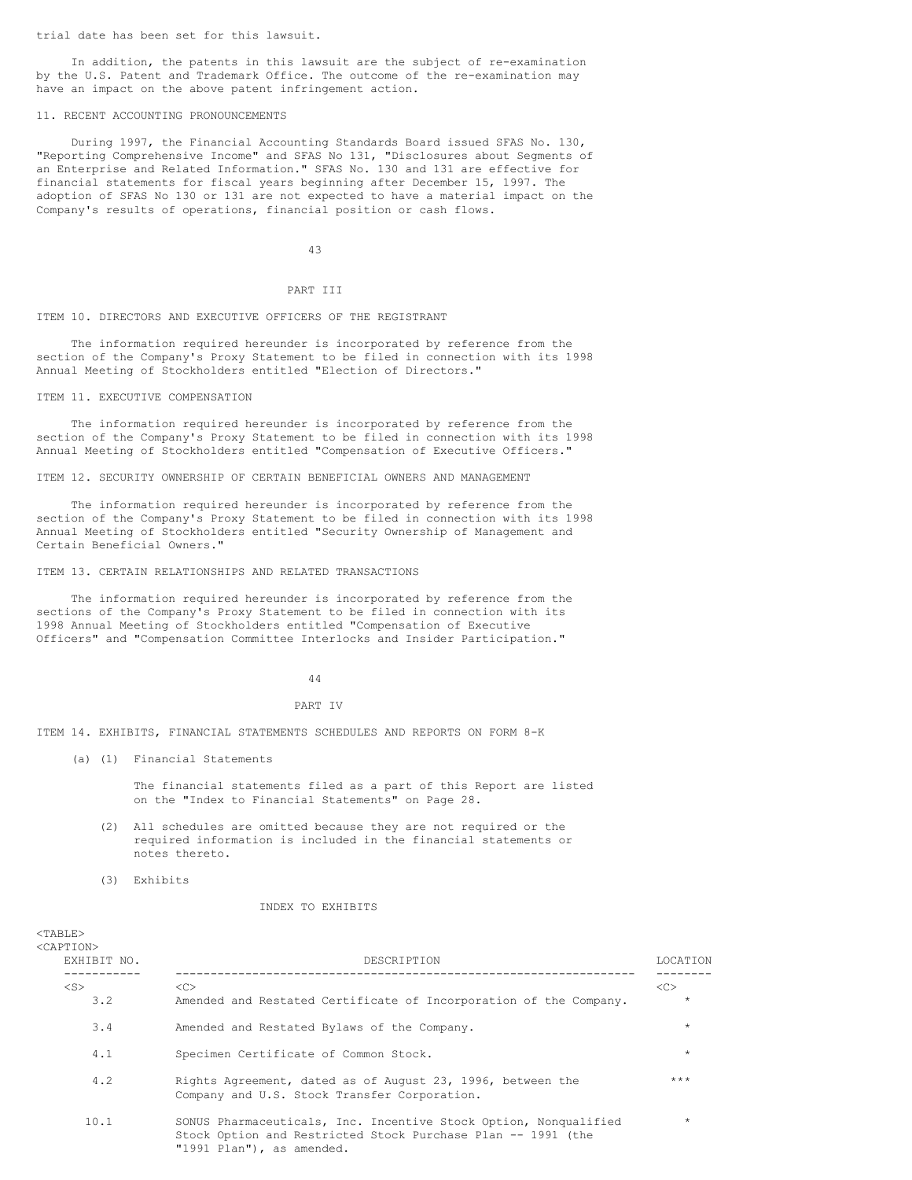trial date has been set for this lawsuit.

In addition, the patents in this lawsuit are the subject of re-examination by the U.S. Patent and Trademark Office. The outcome of the re-examination may have an impact on the above patent infringement action.

#### 11. RECENT ACCOUNTING PRONOUNCEMENTS

During 1997, the Financial Accounting Standards Board issued SFAS No. 130, "Reporting Comprehensive Income" and SFAS No 131, "Disclosures about Segments of an Enterprise and Related Information." SFAS No. 130 and 131 are effective for financial statements for fiscal years beginning after December 15, 1997. The adoption of SFAS No 130 or 131 are not expected to have a material impact on the Company's results of operations, financial position or cash flows.

43

#### PART III

#### ITEM 10. DIRECTORS AND EXECUTIVE OFFICERS OF THE REGISTRANT

The information required hereunder is incorporated by reference from the section of the Company's Proxy Statement to be filed in connection with its 1998 Annual Meeting of Stockholders entitled "Election of Directors."

ITEM 11. EXECUTIVE COMPENSATION

The information required hereunder is incorporated by reference from the section of the Company's Proxy Statement to be filed in connection with its 1998 Annual Meeting of Stockholders entitled "Compensation of Executive Officers."

ITEM 12. SECURITY OWNERSHIP OF CERTAIN BENEFICIAL OWNERS AND MANAGEMENT

The information required hereunder is incorporated by reference from the section of the Company's Proxy Statement to be filed in connection with its 1998 Annual Meeting of Stockholders entitled "Security Ownership of Management and Certain Beneficial Owners."

## ITEM 13. CERTAIN RELATIONSHIPS AND RELATED TRANSACTIONS

The information required hereunder is incorporated by reference from the sections of the Company's Proxy Statement to be filed in connection with its 1998 Annual Meeting of Stockholders entitled "Compensation of Executive Officers" and "Compensation Committee Interlocks and Insider Participation."

44

#### PART IV

ITEM 14. EXHIBITS, FINANCIAL STATEMENTS SCHEDULES AND REPORTS ON FORM 8-K

(a) (1) Financial Statements

The financial statements filed as a part of this Report are listed on the "Index to Financial Statements" on Page 28.

- (2) All schedules are omitted because they are not required or the required information is included in the financial statements or notes thereto.
- (3) Exhibits

 $<$ TABLE>

## INDEX TO EXHIBITS

| <caption><br/>EXHIBIT NO.</caption> | DESCRIPTION                                                                                                                                                   | <b>LOCATION</b> |
|-------------------------------------|---------------------------------------------------------------------------------------------------------------------------------------------------------------|-----------------|
| $<$ S $>$<br>3.2                    | < <sub><br/>Amended and Restated Certificate of Incorporation of the Company.</sub>                                                                           | <<<br>$\star$   |
| 3.4                                 | Amended and Restated Bylaws of the Company.                                                                                                                   | $\star$         |
| 4.1                                 | Specimen Certificate of Common Stock.                                                                                                                         | $\star$         |
| 4.2                                 | Rights Agreement, dated as of August 23, 1996, between the<br>Company and U.S. Stock Transfer Corporation.                                                    | ***             |
| 10.1                                | SONUS Pharmaceuticals, Inc. Incentive Stock Option, Nonqualified<br>Stock Option and Restricted Stock Purchase Plan -- 1991 (the<br>"1991 Plan"), as amended. | $\star$         |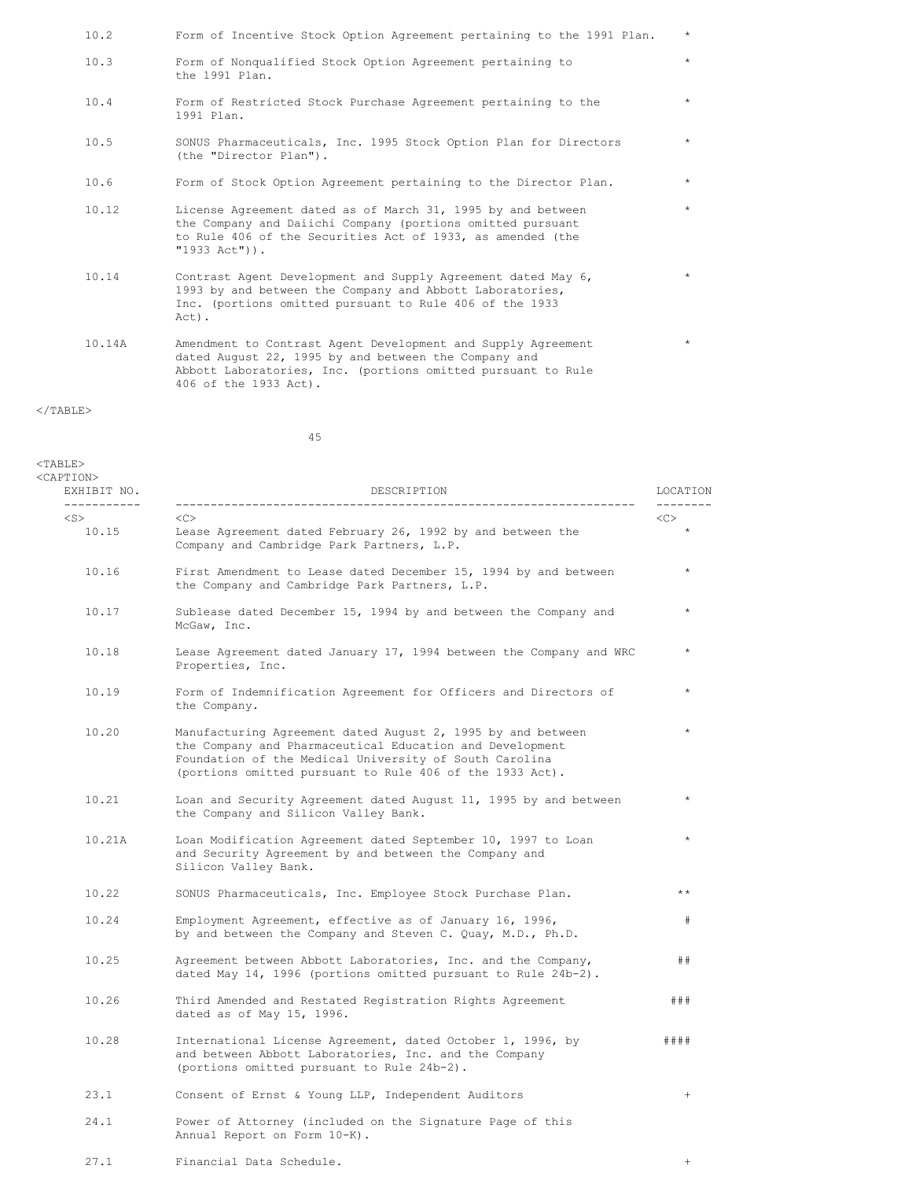| 10.2   | Form of Incentive Stock Option Agreement pertaining to the 1991 Plan.                                                                                                                                         | $\star$ |
|--------|---------------------------------------------------------------------------------------------------------------------------------------------------------------------------------------------------------------|---------|
| 10.3   | Form of Nonqualified Stock Option Agreement pertaining to<br>the 1991 Plan.                                                                                                                                   | $\star$ |
| 10.4   | Form of Restricted Stock Purchase Agreement pertaining to the<br>1991 Plan.                                                                                                                                   | $\star$ |
| 10.5   | SONUS Pharmaceuticals, Inc. 1995 Stock Option Plan for Directors<br>(the "Director Plan").                                                                                                                    | $\star$ |
| 10.6   | Form of Stock Option Agreement pertaining to the Director Plan.                                                                                                                                               | $\star$ |
| 10.12  | License Agreement dated as of March 31, 1995 by and between<br>the Company and Daiichi Company (portions omitted pursuant<br>to Rule 406 of the Securities Act of 1933, as amended (the<br>$"1933$ Act")).    | $\star$ |
| 10.14  | Contrast Agent Development and Supply Agreement dated May 6,<br>1993 by and between the Company and Abbott Laboratories,<br>Inc. (portions omitted pursuant to Rule 406 of the 1933<br>Act).                  | $\star$ |
| 10.14A | Amendment to Contrast Agent Development and Supply Agreement<br>dated August 22, 1995 by and between the Company and<br>Abbott Laboratories, Inc. (portions omitted pursuant to Rule<br>406 of the 1933 Act). | $\star$ |

# $\rm <$  /TABLE>

45

| $<$ TABLE><br><caption><br/>EXHIBIT NO.</caption> | DESCRIPTION                                                                                                                                                                                                                                   | LOCATION        |
|---------------------------------------------------|-----------------------------------------------------------------------------------------------------------------------------------------------------------------------------------------------------------------------------------------------|-----------------|
| -----------<br>$<$ S $>$<br>10.15                 | $<\infty$<br>Lease Agreement dated February 26, 1992 by and between the<br>Company and Cambridge Park Partners, L.P.                                                                                                                          |                 |
| 10.16                                             | First Amendment to Lease dated December 15, 1994 by and between<br>the Company and Cambridge Park Partners, L.P.                                                                                                                              | $\star$         |
| 10.17                                             | Sublease dated December 15, 1994 by and between the Company and<br>McGaw, Inc.                                                                                                                                                                | $\star$         |
| 10.18                                             | Lease Agreement dated January 17, 1994 between the Company and WRC<br>Properties, Inc.                                                                                                                                                        | $\star$         |
| 10.19                                             | Form of Indemnification Agreement for Officers and Directors of<br>the Company.                                                                                                                                                               | $\star$         |
| 10.20                                             | Manufacturing Agreement dated August 2, 1995 by and between<br>the Company and Pharmaceutical Education and Development<br>Foundation of the Medical University of South Carolina<br>(portions omitted pursuant to Rule 406 of the 1933 Act). | $\star$         |
| 10.21                                             | Loan and Security Agreement dated August 11, 1995 by and between<br>the Company and Silicon Valley Bank.                                                                                                                                      | $\star$         |
| 10.21A                                            | Loan Modification Agreement dated September 10, 1997 to Loan<br>and Security Agreement by and between the Company and<br>Silicon Valley Bank.                                                                                                 |                 |
| 10.22                                             | SONUS Pharmaceuticals, Inc. Employee Stock Purchase Plan.                                                                                                                                                                                     | $***$           |
| 10.24                                             | Employment Agreement, effective as of January 16, 1996,<br>by and between the Company and Steven C. Quay, M.D., Ph.D.                                                                                                                         | #               |
| 10.25                                             | Agreement between Abbott Laboratories, Inc. and the Company,<br>dated May 14, 1996 (portions omitted pursuant to Rule 24b-2).                                                                                                                 | ##              |
| 10.26                                             | Third Amended and Restated Registration Rights Agreement<br>dated as of May 15, 1996.                                                                                                                                                         | # ##            |
| 10.28                                             | International License Agreement, dated October 1, 1996, by<br>and between Abbott Laboratories, Inc. and the Company<br>(portions omitted pursuant to Rule 24b-2).                                                                             | # # # #         |
| 23.1                                              | Consent of Ernst & Young LLP, Independent Auditors                                                                                                                                                                                            | $\! + \!\!\!\!$ |
| 24.1                                              | Power of Attorney (included on the Signature Page of this<br>Annual Report on Form 10-K).                                                                                                                                                     |                 |

27.1 Financial Data Schedule. +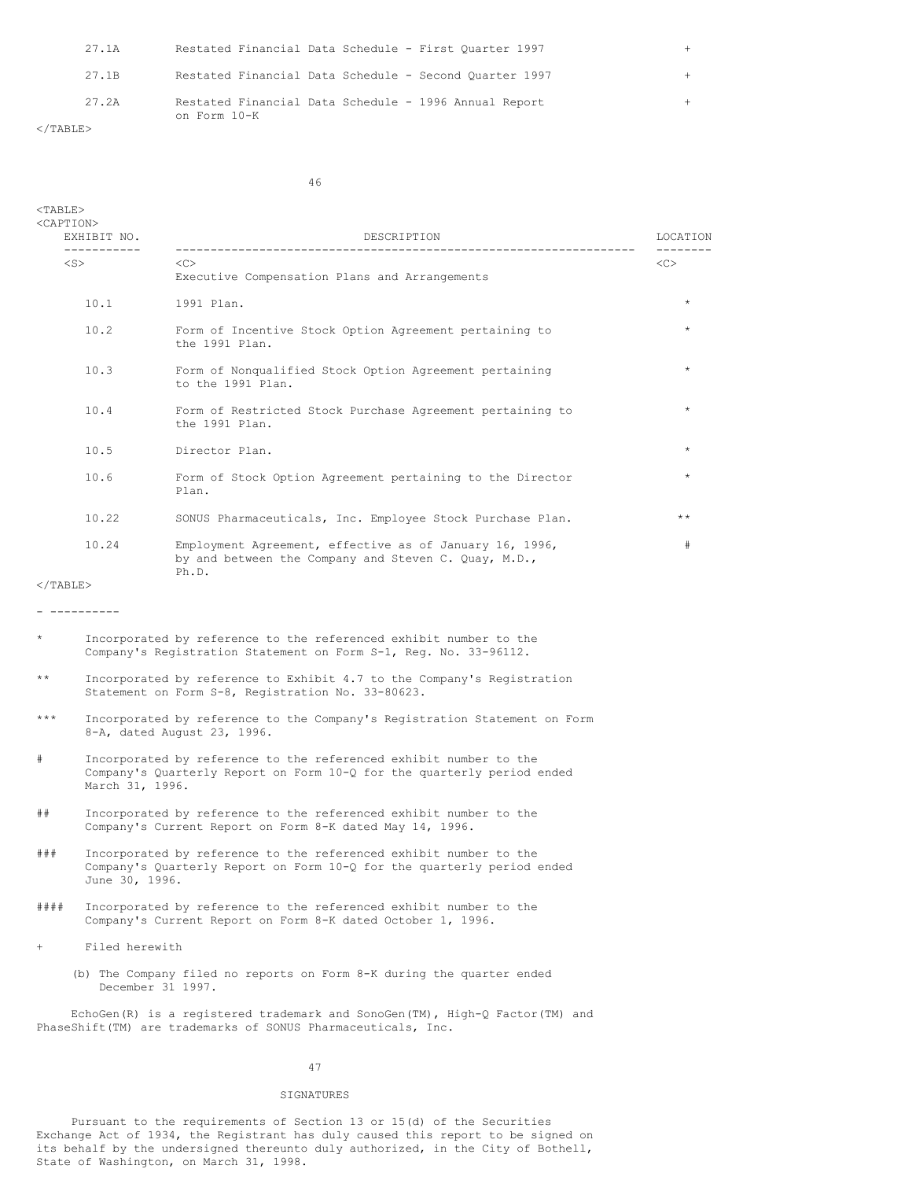| 27.1A             | Restated Financial Data Schedule - First Ouarter 1997                 |  |
|-------------------|-----------------------------------------------------------------------|--|
| 27.1B             | Restated Financial Data Schedule - Second Quarter 1997                |  |
| 27.2A             | Restated Financial Data Schedule - 1996 Annual Report<br>on Form 10-K |  |
| $\langle$ /TABLE> |                                                                       |  |

46

| -----------              | DESCRIPTION<br>_____________________                                                                                                                           | LOCATION     |  |
|--------------------------|----------------------------------------------------------------------------------------------------------------------------------------------------------------|--------------|--|
| $<$ S $>$                | $<<$ $<$ $>$<br>Executive Compensation Plans and Arrangements                                                                                                  | <<           |  |
| 10.1                     | 1991 Plan.                                                                                                                                                     | $\star$      |  |
| 10.2                     | Form of Incentive Stock Option Agreement pertaining to<br>the 1991 Plan.                                                                                       | $\star$      |  |
| 10.3                     | Form of Nonqualified Stock Option Agreement pertaining<br>to the 1991 Plan.                                                                                    | $\star$      |  |
| 10.4                     | Form of Restricted Stock Purchase Agreement pertaining to<br>the 1991 Plan.                                                                                    | $\star$      |  |
| 10.5                     | Director Plan.                                                                                                                                                 | $\star$      |  |
| 10.6                     | Form of Stock Option Agreement pertaining to the Director<br>Plan.                                                                                             | $\star$      |  |
| 10.22                    | SONUS Pharmaceuticals, Inc. Employee Stock Purchase Plan.                                                                                                      | $\star\star$ |  |
| 10.24                    | Employment Agreement, effective as of January 16, 1996,<br>by and between the Company and Steven C. Quay, M.D.,<br>Ph.D.                                       | #            |  |
| $\langle$ /TABLE>        |                                                                                                                                                                |              |  |
| ----------               |                                                                                                                                                                |              |  |
| $\star$                  | Incorporated by reference to the referenced exhibit number to the<br>Company's Registration Statement on Form S-1, Reg. No. 33-96112.                          |              |  |
| $\star\star$             | Incorporated by reference to Exhibit 4.7 to the Company's Registration<br>Statement on Form S-8, Registration No. 33-80623.                                    |              |  |
| $***$                    | Incorporated by reference to the Company's Registration Statement on Form<br>8-A, dated August 23, 1996.                                                       |              |  |
| #                        | Incorporated by reference to the referenced exhibit number to the<br>Company's Quarterly Report on Form 10-Q for the quarterly period ended<br>March 31, 1996. |              |  |
| ##                       | Incorporated by reference to the referenced exhibit number to the<br>Company's Current Report on Form 8-K dated May 14, 1996.                                  |              |  |
| # # #                    | Incorporated by reference to the referenced exhibit number to the<br>Company's Quarterly Report on Form 10-Q for the quarterly period ended<br>June 30, 1996.  |              |  |
| ####                     | Incorporated by reference to the referenced exhibit number to the<br>Company's Current Report on Form 8-K dated October 1, 1996.                               |              |  |
| Filed herewith<br>$^{+}$ |                                                                                                                                                                |              |  |
|                          | (b) The Company filed no reports on Form 8-K during the quarter ended<br>December 31 1997.                                                                     |              |  |
|                          | EchoGen(R) is a registered trademark and SonoGen(TM), High-Q Factor(TM) and<br>PhaseShift(TM) are trademarks of SONUS Pharmaceuticals, Inc.                    |              |  |
|                          | 47                                                                                                                                                             |              |  |

# SIGNATURES

Pursuant to the requirements of Section 13 or 15(d) of the Securities Exchange Act of 1934, the Registrant has duly caused this report to be signed on its behalf by the undersigned thereunto duly authorized, in the City of Bothell, State of Washington, on March 31, 1998.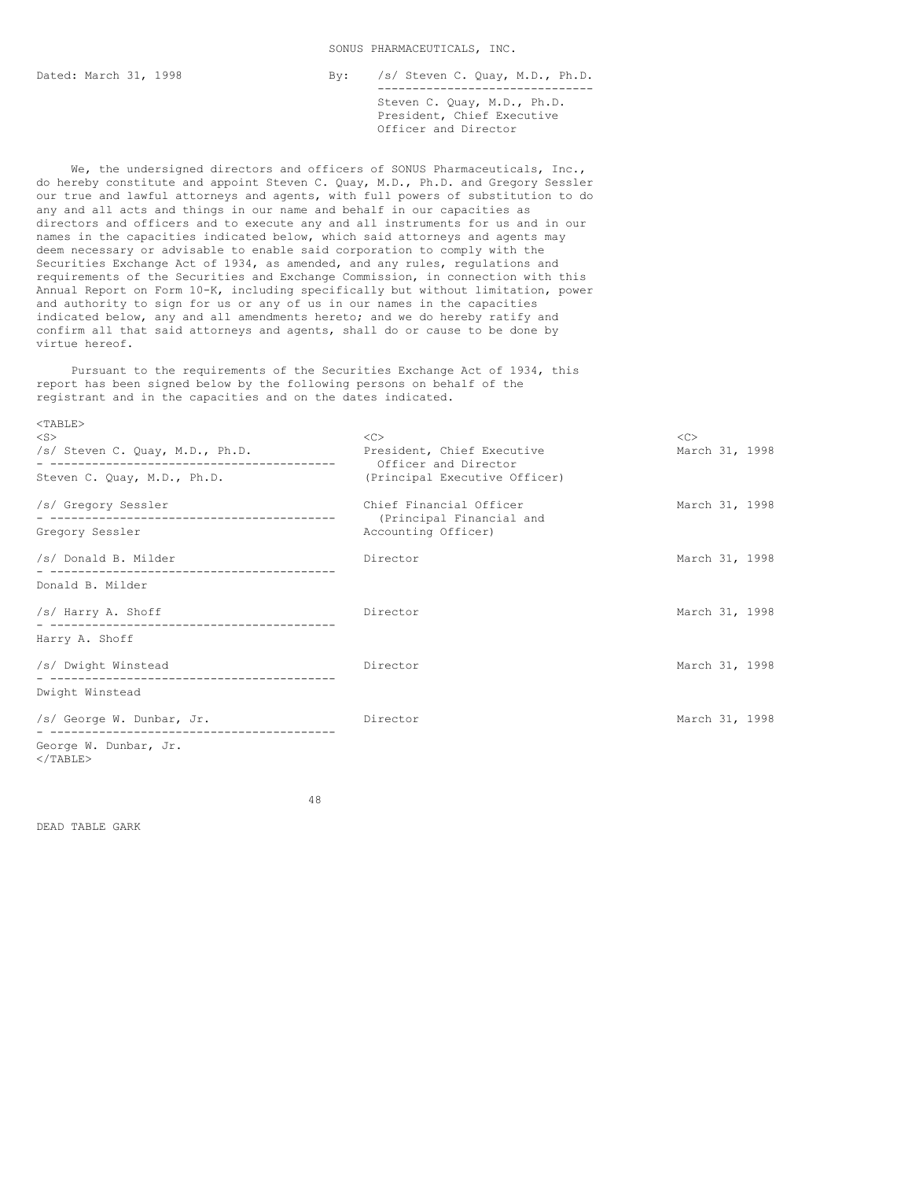## SONUS PHARMACEUTICALS, INC.

Dated: March 31, 1998 By: /s/ Steven C. Quay, M.D., Ph.D. ------------------------------- Steven C. Quay, M.D., Ph.D. President, Chief Executive Officer and Director

We, the undersigned directors and officers of SONUS Pharmaceuticals, Inc., do hereby constitute and appoint Steven C. Quay, M.D., Ph.D. and Gregory Sessler our true and lawful attorneys and agents, with full powers of substitution to do any and all acts and things in our name and behalf in our capacities as directors and officers and to execute any and all instruments for us and in our names in the capacities indicated below, which said attorneys and agents may deem necessary or advisable to enable said corporation to comply with the Securities Exchange Act of 1934, as amended, and any rules, regulations and requirements of the Securities and Exchange Commission, in connection with this Annual Report on Form 10-K, including specifically but without limitation, power and authority to sign for us or any of us in our names in the capacities indicated below, any and all amendments hereto; and we do hereby ratify and confirm all that said attorneys and agents, shall do or cause to be done by virtue hereof.

Pursuant to the requirements of the Securities Exchange Act of 1934, this report has been signed below by the following persons on behalf of the registrant and in the capacities and on the dates indicated.

| $<$ TABLE><br>$<$ S $>$<br>/s/ Steven C. Quay, M.D., Ph.D. | $\langle C \rangle$<br>President, Chief Executive | <<<br>March 31, 1998 |
|------------------------------------------------------------|---------------------------------------------------|----------------------|
|                                                            | Officer and Director                              |                      |
| Steven C. Quay, M.D., Ph.D.                                | (Principal Executive Officer)                     |                      |
| /s/ Gregory Sessler                                        | Chief Financial Officer                           | March 31, 1998       |
| Gregory Sessler                                            | (Principal Financial and<br>Accounting Officer)   |                      |
| /s/ Donald B. Milder                                       | Director                                          | March 31, 1998       |
| Donald B. Milder                                           |                                                   |                      |
| /s/ Harry A. Shoff                                         | Director                                          | March 31, 1998       |
| Harry A. Shoff                                             |                                                   |                      |
| /s/ Dwight Winstead                                        | Director                                          | March 31, 1998       |
| Dwight Winstead                                            |                                                   |                      |
| /s/ George W. Dunbar, Jr.                                  | Director                                          | March 31, 1998       |
| George W. Dunbar, Jr.<br>$<$ /TABLE>                       |                                                   |                      |

48

DEAD TABLE GARK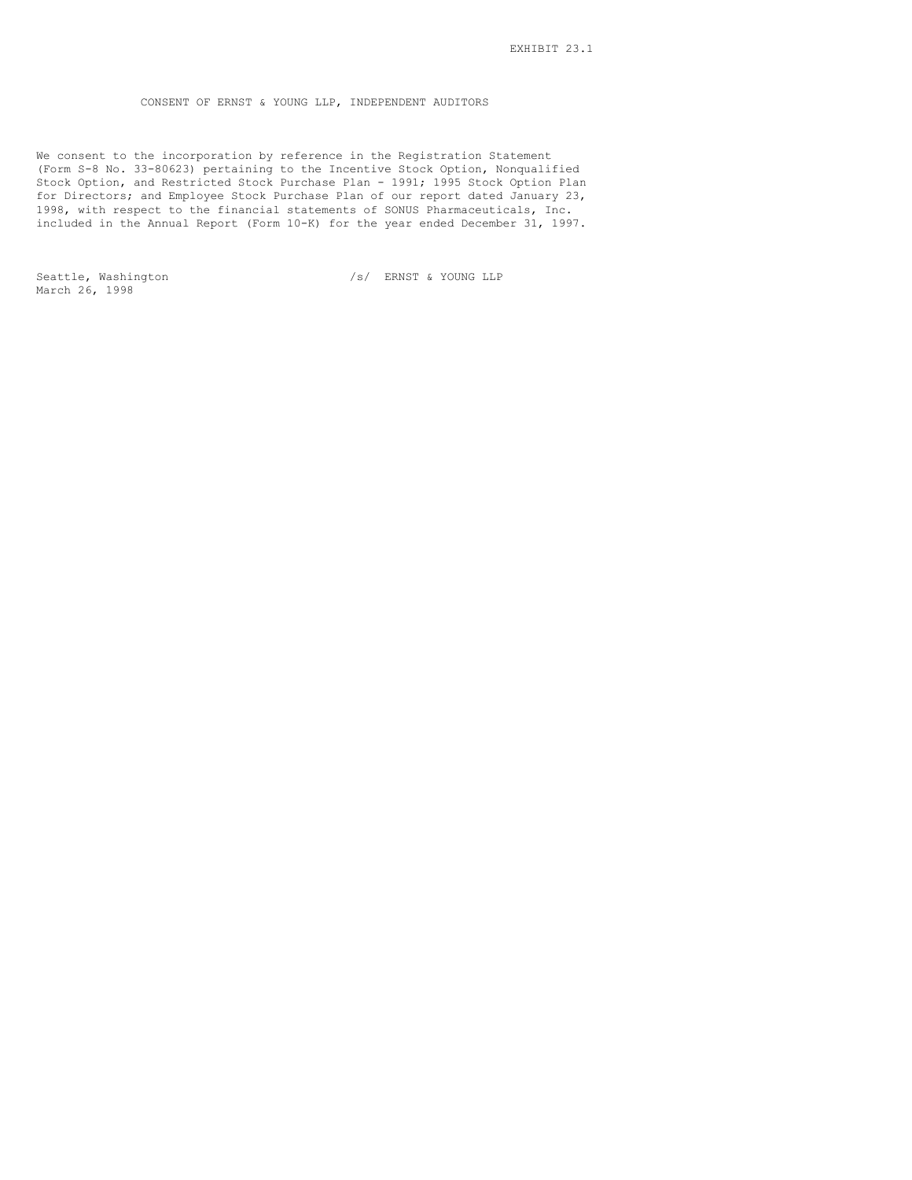CONSENT OF ERNST & YOUNG LLP, INDEPENDENT AUDITORS

We consent to the incorporation by reference in the Registration Statement (Form S-8 No. 33-80623) pertaining to the Incentive Stock Option, Nonqualified Stock Option, and Restricted Stock Purchase Plan - 1991; 1995 Stock Option Plan for Directors; and Employee Stock Purchase Plan of our report dated January 23, 1998, with respect to the financial statements of SONUS Pharmaceuticals, Inc. included in the Annual Report (Form 10-K) for the year ended December 31, 1997.

March 26, 1998

Seattle, Washington  $/s/$  ERNST & YOUNG LLP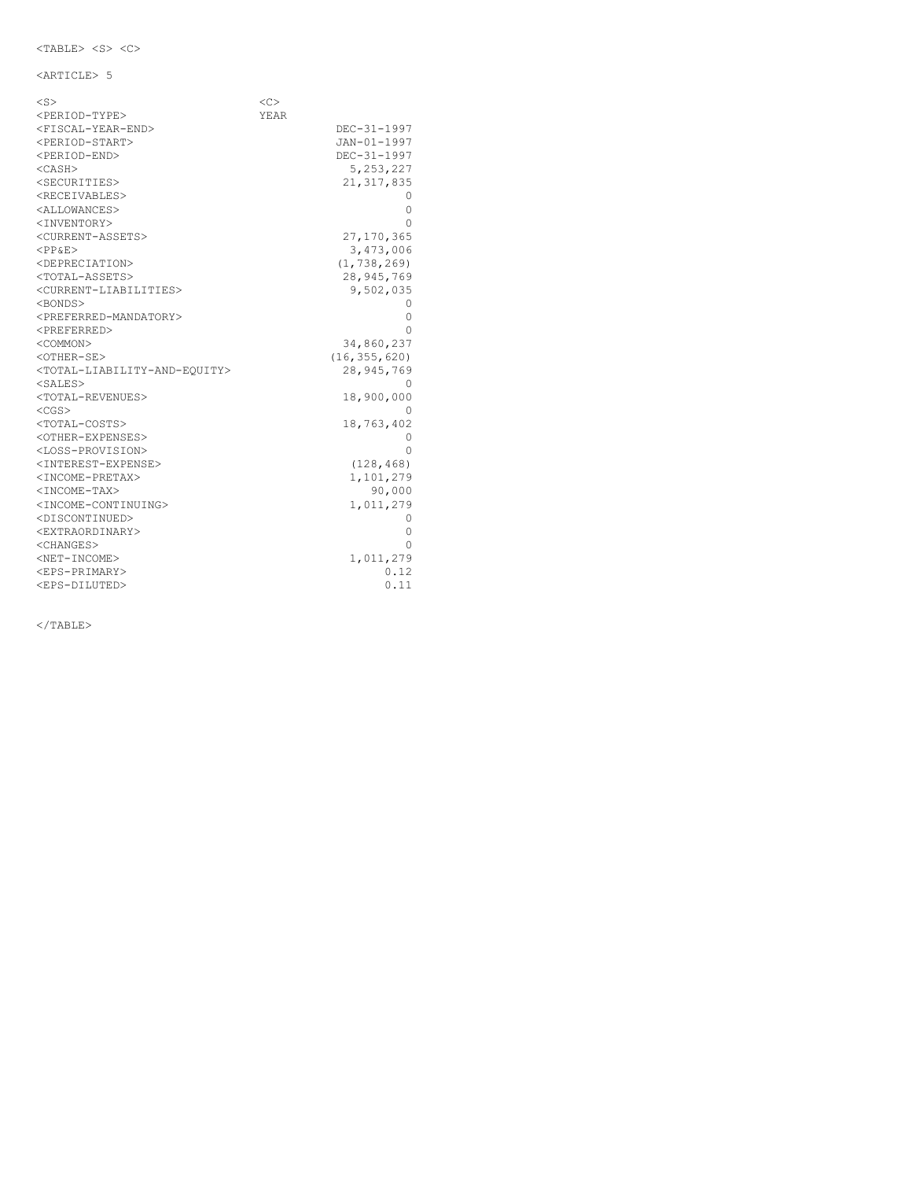<ARTICLE> 5

| $<$ S $>$                                                 | <<   |                |
|-----------------------------------------------------------|------|----------------|
| <period-type></period-type>                               | YEAR |                |
| <fiscal-year-end></fiscal-year-end>                       |      | DEC-31-1997    |
| <period-start></period-start>                             |      | JAN-01-1997    |
| <period-end></period-end>                                 |      | DEC-31-1997    |
| $<$ CASH $>$                                              |      | 5, 253, 227    |
| <securities></securities>                                 |      | 21, 317, 835   |
| <receivables></receivables>                               |      | $^{()}$        |
| <allowances></allowances>                                 |      | 0              |
| <inventory></inventory>                                   |      | Ω              |
| <current-assets></current-assets>                         |      | 27, 170, 365   |
| <pp&e></pp&e>                                             |      | 3,473,006      |
| <depreciation></depreciation>                             |      | (1, 738, 269)  |
| <total-assets></total-assets>                             |      | 28, 945, 769   |
| <current-liabilities></current-liabilities>               |      | 9,502,035      |
| <bonds></bonds>                                           |      | 0              |
| <preferred-mandatory></preferred-mandatory>               |      | 0              |
| <preferred></preferred>                                   |      | Λ              |
| <common></common>                                         |      | 34,860,237     |
| $<$ OTHER-SE $>$                                          |      | (16, 355, 620) |
| <total-liability-and-equity></total-liability-and-equity> |      | 28,945,769     |
| <sales></sales>                                           |      | 0              |
| <total-revenues></total-revenues>                         |      | 18,900,000     |
| $<$ CGS $>$                                               |      | 0              |
| <total-costs></total-costs>                               |      | 18,763,402     |
| <other-expenses></other-expenses>                         |      | 0              |
| <loss-provision></loss-provision>                         |      | Ω              |
| <interest-expense></interest-expense>                     |      | (128, 468)     |
| <income-pretax></income-pretax>                           |      | 1,101,279      |
| <income-tax></income-tax>                                 |      | 90,000         |
| <income-continuing></income-continuing>                   |      | 1,011,279      |
| <discontinued></discontinued>                             |      | 0              |
| <extraordinary></extraordinary>                           |      | 0              |
| <changes></changes>                                       |      | Ω              |
| <net-income></net-income>                                 |      | 1,011,279      |
| <eps-primary></eps-primary>                               |      | 0.12           |
| <eps-diluted></eps-diluted>                               |      | 0.11           |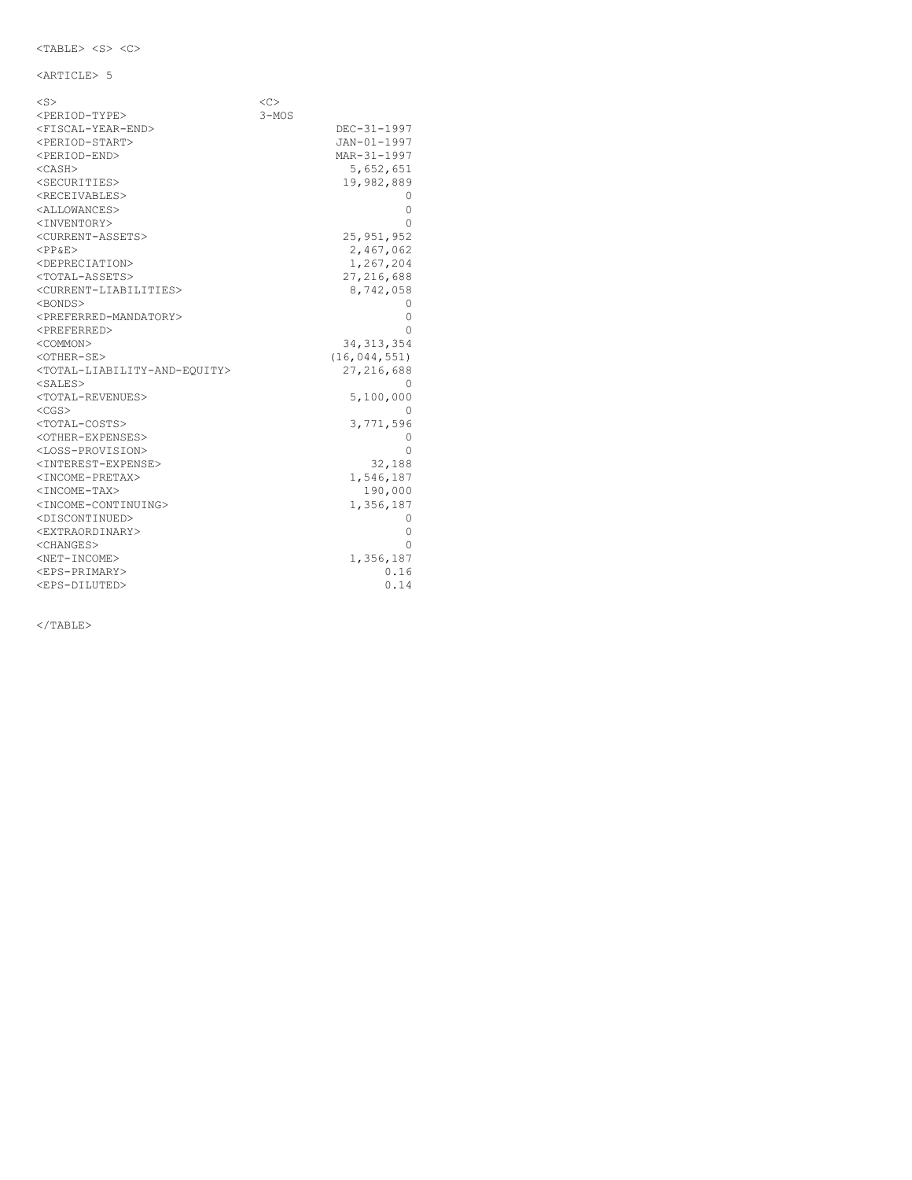<ARTICLE> 5

| $<$ S>                                                    | < <sub></sub> |                |
|-----------------------------------------------------------|---------------|----------------|
| <period-type></period-type>                               | $3 - MOS$     |                |
| <fiscal-year-end></fiscal-year-end>                       |               | DEC-31-1997    |
| <period-start></period-start>                             |               | JAN-01-1997    |
| <period-end></period-end>                                 |               | MAR-31-1997    |
| $<$ CASH $>$                                              |               | 5,652,651      |
| <securities></securities>                                 |               | 19,982,889     |
| <receivables></receivables>                               |               |                |
| <allowances></allowances>                                 |               | 0              |
| <inventory></inventory>                                   |               | Ω              |
| <current-assets></current-assets>                         |               | 25, 951, 952   |
| $<$ PP&E>                                                 |               | 2,467,062      |
| <depreciation></depreciation>                             |               | 1,267,204      |
| <total-assets></total-assets>                             |               | 27, 216, 688   |
| <current-liabilities></current-liabilities>               |               | 8,742,058      |
| <bonds></bonds>                                           |               | $^{()}$        |
| <preferred-mandatory></preferred-mandatory>               |               | 0              |
| <preferred></preferred>                                   |               | Ω              |
| <common></common>                                         |               | 34, 313, 354   |
| $<$ OTHER-SE $>$                                          |               | (16, 044, 551) |
| <total-liability-and-equity></total-liability-and-equity> |               | 27, 216, 688   |
| <sales></sales>                                           |               | 0              |
| <total-revenues></total-revenues>                         |               | 5,100,000      |
| $<$ CGS $>$                                               |               | $^{(1)}$       |
| <total-costs></total-costs>                               |               | 3,771,596      |
| <other-expenses></other-expenses>                         |               | 0              |
| <loss-provision></loss-provision>                         |               | Ω              |
| <interest-expense></interest-expense>                     |               | 32,188         |
| <income-pretax></income-pretax>                           |               | 1,546,187      |
| <income-tax></income-tax>                                 |               | 190,000        |
| <income-continuing></income-continuing>                   |               | 1,356,187      |
| <discontinued></discontinued>                             |               | 0              |
| <extraordinary></extraordinary>                           |               | 0              |
| <changes></changes>                                       |               | 0              |
| <net-income></net-income>                                 |               | 1,356,187      |
| <eps-primary></eps-primary>                               |               | 0.16           |
| <eps-diluted></eps-diluted>                               |               | 0.14           |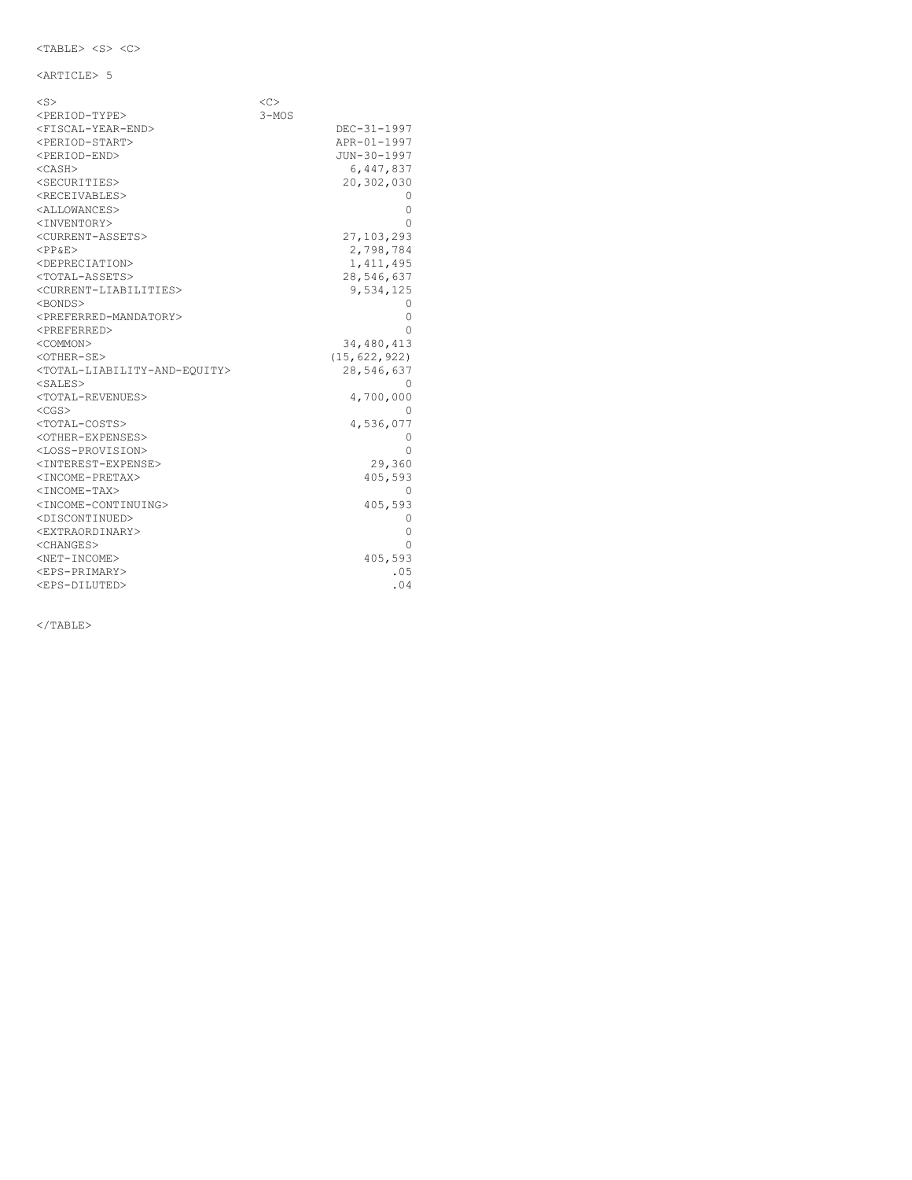<ARTICLE> 5

| $<$ S $>$                                                 | <<        |                |
|-----------------------------------------------------------|-----------|----------------|
| <period-type></period-type>                               | $3 - MOS$ |                |
| <fiscal-year-end></fiscal-year-end>                       |           | DEC-31-1997    |
| <period-start></period-start>                             |           | APR-01-1997    |
| <period-end></period-end>                                 |           | JUN-30-1997    |
| $<$ CASH $>$                                              |           | 6,447,837      |
| <securities></securities>                                 |           | 20,302,030     |
| <receivables></receivables>                               |           |                |
| <allowances></allowances>                                 |           | 0              |
| <inventory></inventory>                                   |           | Λ              |
| <current-assets></current-assets>                         |           | 27,103,293     |
| $<$ PP&E>                                                 |           | 2,798,784      |
| <depreciation></depreciation>                             |           | 1, 411, 495    |
| <total-assets></total-assets>                             |           | 28,546,637     |
| <current-liabilities></current-liabilities>               |           | 9,534,125      |
| <bonds></bonds>                                           |           | O              |
| <preferred-mandatory></preferred-mandatory>               |           | 0              |
| <preferred></preferred>                                   |           | Λ              |
| <common></common>                                         |           | 34,480,413     |
| <other-se></other-se>                                     |           | (15, 622, 922) |
| <total-liability-and-equity></total-liability-and-equity> |           | 28,546,637     |
| <sales></sales>                                           |           | $^{()}$        |
| <total-revenues></total-revenues>                         |           | 4,700,000      |
| $<$ CGS $>$                                               |           | $^{()}$        |
| <total-costs></total-costs>                               |           | 4,536,077      |
| <other-expenses></other-expenses>                         |           | 0              |
| <loss-provision></loss-provision>                         |           | Ω              |
| <interest-expense></interest-expense>                     |           | 29,360         |
| <income-pretax></income-pretax>                           |           | 405,593        |
| <income-tax></income-tax>                                 |           | 0              |
| <income-continuing></income-continuing>                   |           | 405,593        |
| <discontinued></discontinued>                             |           | 0              |
| <extraordinary></extraordinary>                           |           | 0              |
| <changes></changes>                                       |           | Ω              |
| <net-income></net-income>                                 |           | 405,593        |
| <eps-primary></eps-primary>                               |           | .05            |
| <eps-diluted></eps-diluted>                               |           | .04            |